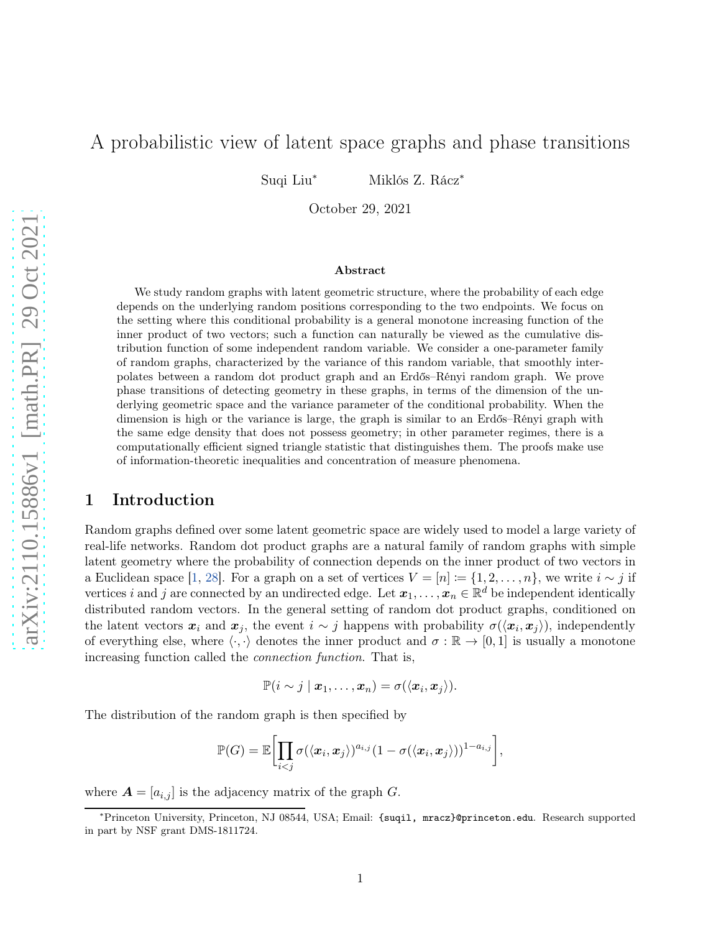# A probabilistic view of latent space graphs and phase transitions

Suqi Liu<sup>∗</sup> Miklós Z. Rácz<sup>∗</sup>

October 29, 2021

#### Abstract

We study random graphs with latent geometric structure, where the probability of each edge depends on the underlying random positions corresponding to the two endpoints. We focus on the setting where this conditional probability is a general monotone increasing function of the inner product of two vectors; such a function can naturally be viewed as the cumulative distribution function of some independent random variable. We consider a one-parameter family of random graphs, characterized by the variance of this random variable, that smoothly interpolates between a random dot product graph and an Erdős–Rényi random graph. We prove phase transitions of detecting geometry in these graphs, in terms of the dimension of the underlying geometric space and the variance parameter of the conditional probability. When the dimension is high or the variance is large, the graph is similar to an Erdős–Rényi graph with the same edge density that does not possess geometry; in other parameter regimes, there is a computationally efficient signed triangle statistic that distinguishes them. The proofs make use of information-theoretic inequalities and concentration of measure phenomena.

### 1 Introduction

Random graphs defined over some latent geometric space are widely used to model a large variety of real-life networks. Random dot product graphs are a natural family of random graphs with simple latent geometry where the probability of connection depends on the inner product of two vectors in a Euclidean space [\[1](#page-31-0), [28](#page-32-0)]. For a graph on a set of vertices  $V = [n] := \{1, 2, ..., n\}$ , we write  $i \sim j$  if vertices i and j are connected by an undirected edge. Let  $x_1, \ldots, x_n \in \mathbb{R}^d$  be independent identically distributed random vectors. In the general setting of random dot product graphs, conditioned on the latent vectors  $x_i$  and  $x_j$ , the event  $i \sim j$  happens with probability  $\sigma(\langle x_i, x_j \rangle)$ , independently of everything else, where  $\langle \cdot, \cdot \rangle$  denotes the inner product and  $\sigma : \mathbb{R} \to [0, 1]$  is usually a monotone increasing function called the connection function. That is,

$$
\mathbb{P}(i \sim j \mid \boldsymbol{x}_1,\ldots,\boldsymbol{x}_n) = \sigma(\langle \boldsymbol{x}_i, \boldsymbol{x}_j \rangle).
$$

The distribution of the random graph is then specified by

$$
\mathbb{P}(G) = \mathbb{E}\bigg[\prod_{i < j} \sigma(\langle \boldsymbol{x}_i, \boldsymbol{x}_j \rangle)^{a_{i,j}} (1 - \sigma(\langle \boldsymbol{x}_i, \boldsymbol{x}_j \rangle))^{1 - a_{i,j}}\bigg],
$$

where  $\mathbf{A} = [a_{i,j}]$  is the adjacency matrix of the graph G.

<sup>∗</sup>Princeton University, Princeton, NJ 08544, USA; Email: {suqil, mracz}@princeton.edu. Research supported in part by NSF grant DMS-1811724.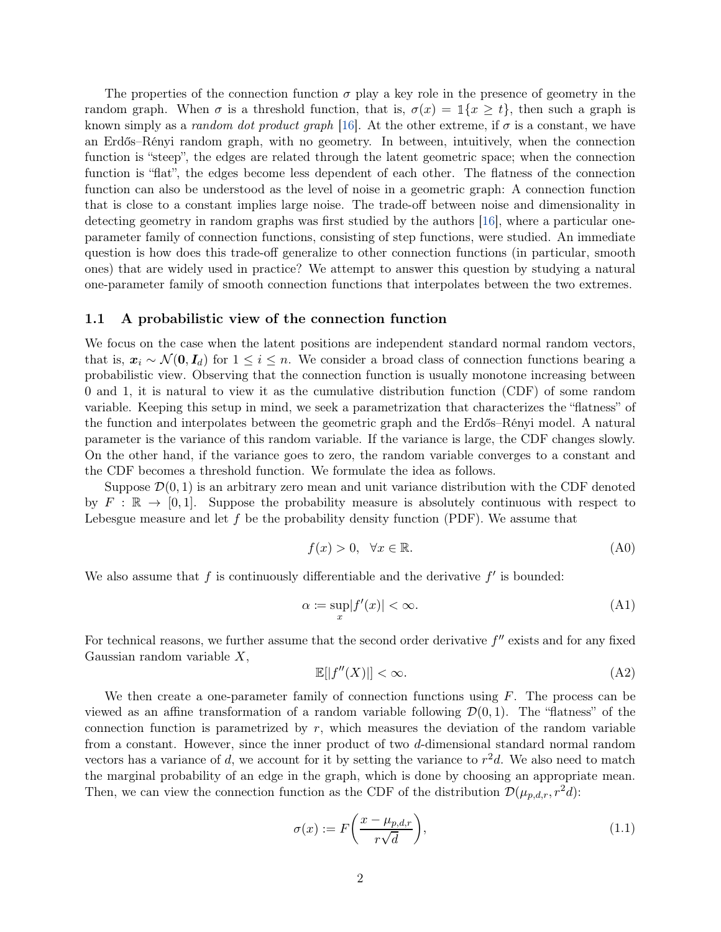The properties of the connection function  $\sigma$  play a key role in the presence of geometry in the random graph. When  $\sigma$  is a threshold function, that is,  $\sigma(x) = \mathbb{1}\{x \ge t\}$ , then such a graph is known simply as a *random dot product graph* [\[16](#page-32-1)]. At the other extreme, if  $\sigma$  is a constant, we have an Erdős–Rényi random graph, with no geometry. In between, intuitively, when the connection function is "steep", the edges are related through the latent geometric space; when the connection function is "flat", the edges become less dependent of each other. The flatness of the connection function can also be understood as the level of noise in a geometric graph: A connection function that is close to a constant implies large noise. The trade-off between noise and dimensionality in detecting geometry in random graphs was first studied by the authors [\[16](#page-32-1)], where a particular oneparameter family of connection functions, consisting of step functions, were studied. An immediate question is how does this trade-off generalize to other connection functions (in particular, smooth ones) that are widely used in practice? We attempt to answer this question by studying a natural one-parameter family of smooth connection functions that interpolates between the two extremes.

#### 1.1 A probabilistic view of the connection function

We focus on the case when the latent positions are independent standard normal random vectors, that is,  $x_i \sim \mathcal{N}(0, I_d)$  for  $1 \leq i \leq n$ . We consider a broad class of connection functions bearing a probabilistic view. Observing that the connection function is usually monotone increasing between 0 and 1, it is natural to view it as the cumulative distribution function (CDF) of some random variable. Keeping this setup in mind, we seek a parametrization that characterizes the "flatness" of the function and interpolates between the geometric graph and the Erdős–Rényi model. A natural parameter is the variance of this random variable. If the variance is large, the CDF changes slowly. On the other hand, if the variance goes to zero, the random variable converges to a constant and the CDF becomes a threshold function. We formulate the idea as follows.

Suppose  $\mathcal{D}(0, 1)$  is an arbitrary zero mean and unit variance distribution with the CDF denoted by  $F : \mathbb{R} \to [0,1]$ . Suppose the probability measure is absolutely continuous with respect to Lebesgue measure and let  $f$  be the probability density function (PDF). We assume that

<span id="page-1-1"></span>
$$
f(x) > 0, \quad \forall x \in \mathbb{R}.\tag{A0}
$$

We also assume that  $f$  is continuously differentiable and the derivative  $f'$  is bounded:

$$
\alpha := \sup_{x} |f'(x)| < \infty. \tag{A1}
$$

For technical reasons, we further assume that the second order derivative  $f''$  exists and for any fixed Gaussian random variable  $X$ ,

<span id="page-1-2"></span><span id="page-1-0"></span>
$$
\mathbb{E}[|f''(X)|] < \infty. \tag{A2}
$$

We then create a one-parameter family of connection functions using  $F$ . The process can be viewed as an affine transformation of a random variable following  $\mathcal{D}(0, 1)$ . The "flatness" of the connection function is parametrized by  $r$ , which measures the deviation of the random variable from a constant. However, since the inner product of two d-dimensional standard normal random vectors has a variance of d, we account for it by setting the variance to  $r^2d$ . We also need to match the marginal probability of an edge in the graph, which is done by choosing an appropriate mean. Then, we can view the connection function as the CDF of the distribution  $\mathcal{D}(\mu_{p,d,r}, r^2d)$ :

<span id="page-1-3"></span>
$$
\sigma(x) := F\left(\frac{x - \mu_{p,d,r}}{r\sqrt{d}}\right),\tag{1.1}
$$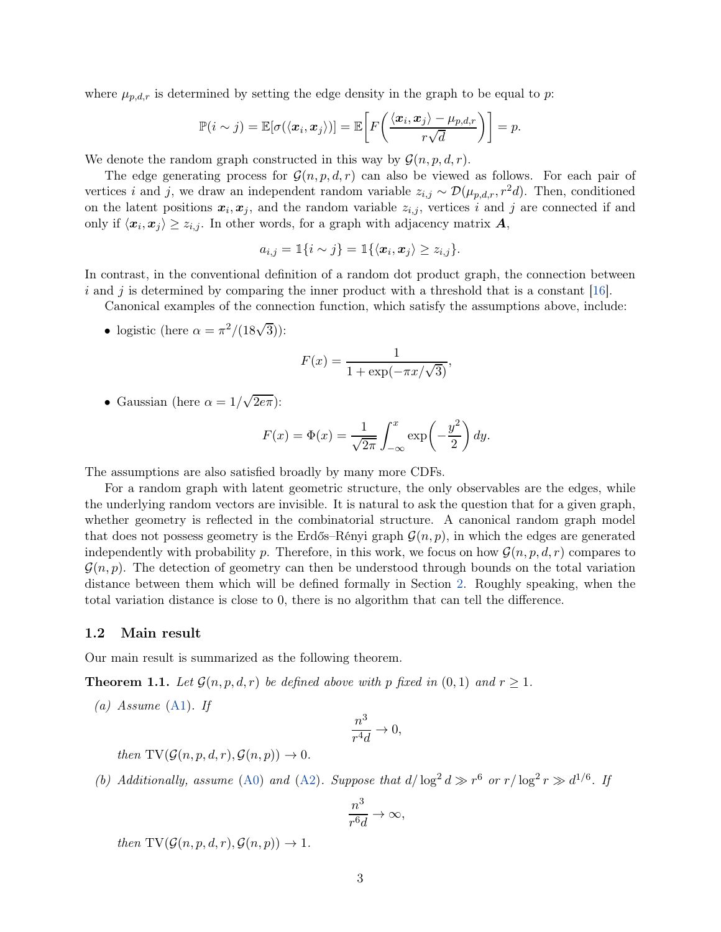where  $\mu_{p,d,r}$  is determined by setting the edge density in the graph to be equal to p:

$$
\mathbb{P}(i \sim j) = \mathbb{E}[\sigma(\langle \boldsymbol{x}_i, \boldsymbol{x}_j \rangle)] = \mathbb{E}\bigg[F\bigg(\frac{\langle \boldsymbol{x}_i, \boldsymbol{x}_j \rangle - \mu_{p,d,r}}{r\sqrt{d}}\bigg)\bigg] = p.
$$

We denote the random graph constructed in this way by  $\mathcal{G}(n, p, d, r)$ .

The edge generating process for  $\mathcal{G}(n, p, d, r)$  can also be viewed as follows. For each pair of vertices i and j, we draw an independent random variable  $z_{i,j} \sim \mathcal{D}(\mu_{p,d,r}, r^2d)$ . Then, conditioned on the latent positions  $x_i, x_j$ , and the random variable  $z_{i,j}$ , vertices i and j are connected if and only if  $\langle x_i, x_j \rangle \ge z_{i,j}$ . In other words, for a graph with adjacency matrix  $A$ ,

$$
a_{i,j} = \mathbb{1}\{i \sim j\} = \mathbb{1}\{\langle \boldsymbol{x}_i, \boldsymbol{x}_j \rangle \geq z_{i,j}\}.
$$

In contrast, in the conventional definition of a random dot product graph, the connection between i and j is determined by comparing the inner product with a threshold that is a constant  $[16]$ .

Canonical examples of the connection function, which satisfy the assumptions above, include:

• logistic (here  $\alpha = \pi^2/(18\sqrt{3}))$ :

$$
F(x) = \frac{1}{1 + \exp(-\pi x/\sqrt{3})},
$$

• Gaussian (here  $\alpha = 1/\sqrt{2e\pi}$ ):

$$
F(x) = \Phi(x) = \frac{1}{\sqrt{2\pi}} \int_{-\infty}^{x} \exp\left(-\frac{y^2}{2}\right) dy.
$$

The assumptions are also satisfied broadly by many more CDFs.

For a random graph with latent geometric structure, the only observables are the edges, while the underlying random vectors are invisible. It is natural to ask the question that for a given graph, whether geometry is reflected in the combinatorial structure. A canonical random graph model that does not possess geometry is the Erdős–Rényi graph  $\mathcal{G}(n, p)$ , in which the edges are generated independently with probability p. Therefore, in this work, we focus on how  $\mathcal{G}(n, p, d, r)$  compares to  $\mathcal{G}(n, p)$ . The detection of geometry can then be understood through bounds on the total variation distance between them which will be defined formally in Section [2.](#page-4-0) Roughly speaking, when the total variation distance is close to 0, there is no algorithm that can tell the difference.

#### 1.2 Main result

Our main result is summarized as the following theorem.

<span id="page-2-2"></span><span id="page-2-0"></span>**Theorem 1.1.** Let  $\mathcal{G}(n, p, d, r)$  be defined above with p fixed in  $(0, 1)$  and  $r \geq 1$ .

(a) Assume  $(A1)$ . If

$$
\frac{n^3}{r^4d}\to 0,
$$

then  $TV(\mathcal{G}(n, p, d, r), \mathcal{G}(n, p)) \rightarrow 0$ .

<span id="page-2-1"></span>(b) Additionally, assume [\(A0\)](#page-1-1) and [\(A2\)](#page-1-2). Suppose that  $d/\log^2 d \gg r^6$  or  $r/\log^2 r \gg d^{1/6}$ . If

$$
\frac{n^3}{r^6d}\to\infty,
$$

then  $TV(\mathcal{G}(n, p, d, r), \mathcal{G}(n, p)) \rightarrow 1$ .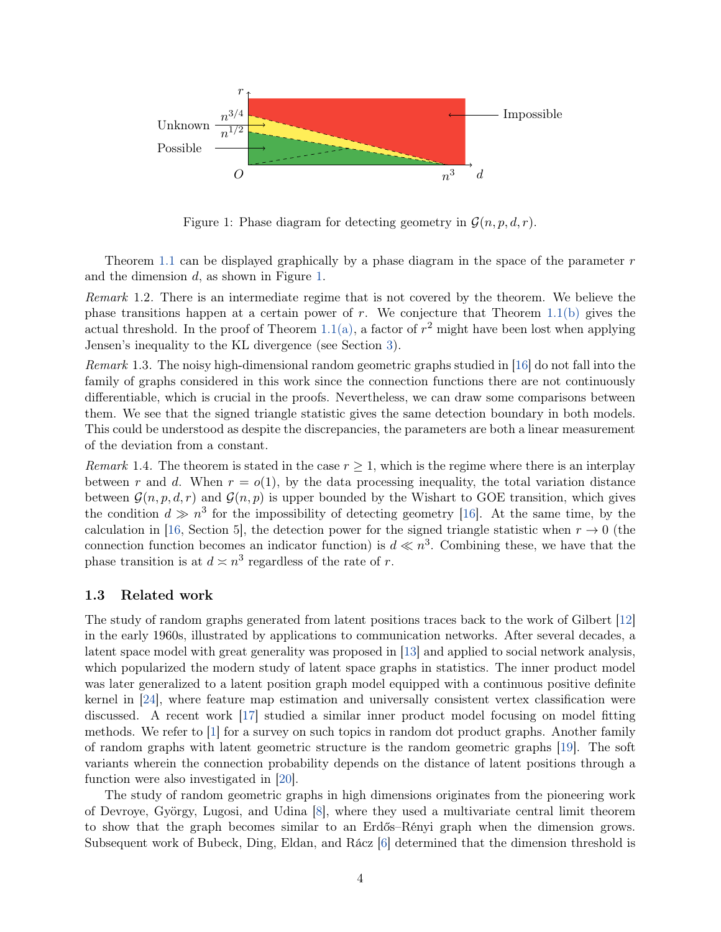

<span id="page-3-0"></span>Figure 1: Phase diagram for detecting geometry in  $\mathcal{G}(n, p, d, r)$ .

Theorem [1.1](#page-2-0) can be displayed graphically by a phase diagram in the space of the parameter  $r$ and the dimension d, as shown in Figure [1.](#page-3-0)

Remark 1.2. There is an intermediate regime that is not covered by the theorem. We believe the phase transitions happen at a certain power of r. We conjecture that Theorem [1.1\(b\)](#page-2-1) gives the actual threshold. In the proof of Theorem [1.1\(a\),](#page-2-2) a factor of  $r^2$  might have been lost when applying Jensen's inequality to the KL divergence (see Section [3\)](#page-9-0).

<span id="page-3-1"></span>Remark 1.3. The noisy high-dimensional random geometric graphs studied in [\[16\]](#page-32-1) do not fall into the family of graphs considered in this work since the connection functions there are not continuously differentiable, which is crucial in the proofs. Nevertheless, we can draw some comparisons between them. We see that the signed triangle statistic gives the same detection boundary in both models. This could be understood as despite the discrepancies, the parameters are both a linear measurement of the deviation from a constant.

Remark 1.4. The theorem is stated in the case  $r \geq 1$ , which is the regime where there is an interplay between r and d. When  $r = o(1)$ , by the data processing inequality, the total variation distance between  $\mathcal{G}(n, p, d, r)$  and  $\mathcal{G}(n, p)$  is upper bounded by the Wishart to GOE transition, which gives the condition  $d \gg n^3$  for the impossibility of detecting geometry [\[16](#page-32-1)]. At the same time, by the calculation in [\[16](#page-32-1), Section 5], the detection power for the signed triangle statistic when  $r \to 0$  (the connection function becomes an indicator function) is  $d \ll n^3$ . Combining these, we have that the phase transition is at  $d \asymp n^3$  regardless of the rate of r.

#### 1.3 Related work

The study of random graphs generated from latent positions traces back to the work of Gilbert [\[12](#page-31-1)] in the early 1960s, illustrated by applications to communication networks. After several decades, a latent space model with great generality was proposed in [\[13\]](#page-31-2) and applied to social network analysis, which popularized the modern study of latent space graphs in statistics. The inner product model was later generalized to a latent position graph model equipped with a continuous positive definite kernel in [\[24](#page-32-2)], where feature map estimation and universally consistent vertex classification were discussed. A recent work [\[17\]](#page-32-3) studied a similar inner product model focusing on model fitting methods. We refer to [\[1\]](#page-31-0) for a survey on such topics in random dot product graphs. Another family of random graphs with latent geometric structure is the random geometric graphs [\[19\]](#page-32-4). The soft variants wherein the connection probability depends on the distance of latent positions through a function were also investigated in [\[20\]](#page-32-5).

The study of random geometric graphs in high dimensions originates from the pioneering work of Devroye, György, Lugosi, and Udina [\[8\]](#page-31-3), where they used a multivariate central limit theorem to show that the graph becomes similar to an Erdős–Rényi graph when the dimension grows. Subsequent work of Bubeck, Ding, Eldan, and Rácz [\[6](#page-31-4)] determined that the dimension threshold is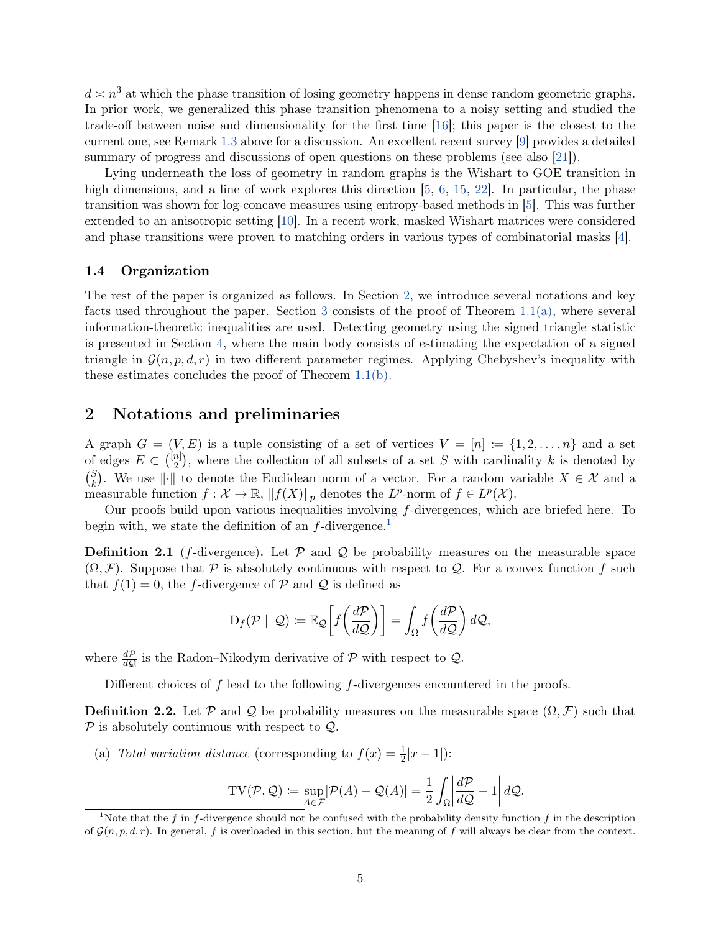$d \approx n^3$  at which the phase transition of losing geometry happens in dense random geometric graphs. In prior work, we generalized this phase transition phenomena to a noisy setting and studied the trade-off between noise and dimensionality for the first time [\[16](#page-32-1)]; this paper is the closest to the current one, see Remark [1.3](#page-3-1) above for a discussion. An excellent recent survey [\[9\]](#page-31-5) provides a detailed summary of progress and discussions of open questions on these problems (see also [\[21\]](#page-32-6)).

Lying underneath the loss of geometry in random graphs is the Wishart to GOE transition in high dimensions, and a line of work explores this direction [\[5,](#page-31-6) [6](#page-31-4), [15](#page-32-7), [22](#page-32-8)]. In particular, the phase transition was shown for log-concave measures using entropy-based methods in [\[5](#page-31-6)]. This was further extended to an anisotropic setting [\[10](#page-31-7)]. In a recent work, masked Wishart matrices were considered and phase transitions were proven to matching orders in various types of combinatorial masks [\[4\]](#page-31-8).

#### 1.4 Organization

The rest of the paper is organized as follows. In Section [2,](#page-4-0) we introduce several notations and key facts used throughout the paper. Section [3](#page-9-0) consists of the proof of Theorem  $1.1(a)$ , where several information-theoretic inequalities are used. Detecting geometry using the signed triangle statistic is presented in Section [4,](#page-13-0) where the main body consists of estimating the expectation of a signed triangle in  $\mathcal{G}(n, p, d, r)$  in two different parameter regimes. Applying Chebyshev's inequality with these estimates concludes the proof of Theorem [1.1\(b\).](#page-2-1)

### <span id="page-4-0"></span>2 Notations and preliminaries

A graph  $G = (V, E)$  is a tuple consisting of a set of vertices  $V = [n] := \{1, 2, ..., n\}$  and a set of edges  $E \subset \binom{[n]}{2}$  $\binom{n}{2}$ , where the collection of all subsets of a set S with cardinality k is denoted by  $\binom{S}{L}$  $\{k\}$ . We use  $\|\cdot\|$  to denote the Euclidean norm of a vector. For a random variable  $X \in \mathcal{X}$  and a measurable function  $f: \mathcal{X} \to \mathbb{R}$ ,  $||f(X)||_p$  denotes the  $L^p$ -norm of  $f \in L^p(\mathcal{X})$ .

Our proofs build upon various inequalities involving f-divergences, which are briefed here. To begin with, we state the definition of an  $f$ -divergence.<sup>[1](#page-4-1)</sup>

**Definition 2.1** (f-divergence). Let  $P$  and  $Q$  be probability measures on the measurable space  $(\Omega, \mathcal{F})$ . Suppose that P is absolutely continuous with respect to Q. For a convex function f such that  $f(1) = 0$ , the f-divergence of P and Q is defined as

$$
D_f(\mathcal{P} \parallel \mathcal{Q}) \coloneqq \mathbb{E}_{\mathcal{Q}}\bigg[f\bigg(\frac{d\mathcal{P}}{d\mathcal{Q}}\bigg)\bigg] = \int_{\Omega} f\bigg(\frac{d\mathcal{P}}{d\mathcal{Q}}\bigg) d\mathcal{Q},
$$

where  $\frac{dP}{dQ}$  is the Radon–Nikodym derivative of  $P$  with respect to  $Q$ .

Different choices of  $f$  lead to the following  $f$ -divergences encountered in the proofs.

**Definition 2.2.** Let P and Q be probability measures on the measurable space  $(\Omega, \mathcal{F})$  such that  $\mathcal P$  is absolutely continuous with respect to  $\mathcal Q$ .

(a) Total variation distance (corresponding to  $f(x) = \frac{1}{2}|x-1|$ ):

$$
TV(\mathcal{P}, \mathcal{Q}) \coloneqq \sup_{A \in \mathcal{F}} |\mathcal{P}(A) - \mathcal{Q}(A)| = \frac{1}{2} \int_{\Omega} \left| \frac{d\mathcal{P}}{d\mathcal{Q}} - 1 \right| d\mathcal{Q}.
$$

<span id="page-4-1"></span><sup>&</sup>lt;sup>1</sup>Note that the f in f-divergence should not be confused with the probability density function f in the description of  $\mathcal{G}(n, p, d, r)$ . In general, f is overloaded in this section, but the meaning of f will always be clear from the context.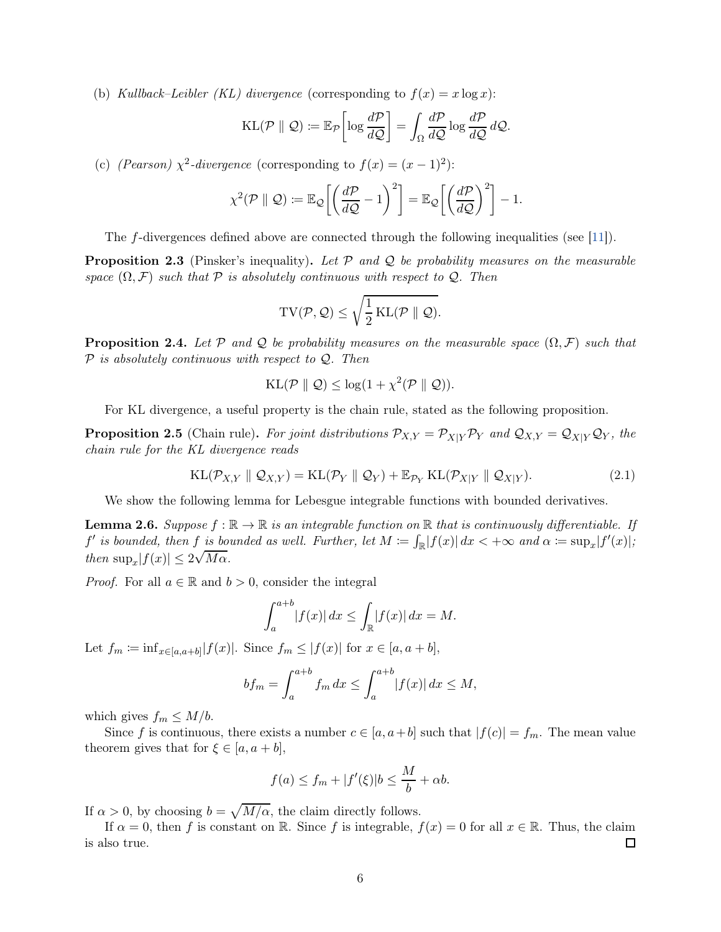(b) Kullback–Leibler (KL) divergence (corresponding to  $f(x) = x \log x$ ):

$$
KL(\mathcal{P} \parallel \mathcal{Q}) \coloneqq \mathbb{E}_{\mathcal{P}} \left[ \log \frac{d\mathcal{P}}{d\mathcal{Q}} \right] = \int_{\Omega} \frac{d\mathcal{P}}{d\mathcal{Q}} \log \frac{d\mathcal{P}}{d\mathcal{Q}} d\mathcal{Q}.
$$

(c) (Pearson)  $\chi^2$ -divergence (corresponding to  $f(x) = (x - 1)^2$ ):

$$
\chi^2(\mathcal{P} \parallel \mathcal{Q}) \coloneqq \mathbb{E}_{\mathcal{Q}} \bigg[ \bigg( \frac{d\mathcal{P}}{d\mathcal{Q}} - 1 \bigg)^2 \bigg] = \mathbb{E}_{\mathcal{Q}} \bigg[ \bigg( \frac{d\mathcal{P}}{d\mathcal{Q}} \bigg)^2 \bigg] - 1.
$$

The f-divergences defined above are connected through the following inequalities (see [\[11](#page-31-9)]).

<span id="page-5-1"></span>**Proposition 2.3** (Pinsker's inequality). Let  $P$  and  $Q$  be probability measures on the measurable space  $(\Omega, \mathcal{F})$  such that  $\mathcal P$  is absolutely continuous with respect to  $\mathcal Q$ . Then

$$
\mathrm{TV}(\mathcal{P},\mathcal{Q}) \leq \sqrt{\frac{1}{2}\mathrm{KL}(\mathcal{P} \parallel \mathcal{Q})}.
$$

<span id="page-5-3"></span>**Proposition 2.4.** Let P and Q be probability measures on the measurable space  $(\Omega, \mathcal{F})$  such that  $P$  is absolutely continuous with respect to  $Q$ . Then

$$
KL(\mathcal{P} \parallel \mathcal{Q}) \leq \log(1 + \chi^2(\mathcal{P} \parallel \mathcal{Q})).
$$

For KL divergence, a useful property is the chain rule, stated as the following proposition.

<span id="page-5-2"></span>**Proposition 2.5** (Chain rule). For joint distributions  $\mathcal{P}_{X,Y} = \mathcal{P}_{X|Y}\mathcal{P}_Y$  and  $\mathcal{Q}_{X,Y} = \mathcal{Q}_{X|Y}\mathcal{Q}_Y$ , the chain rule for the KL divergence reads

$$
KL(\mathcal{P}_{X,Y} \parallel \mathcal{Q}_{X,Y}) = KL(\mathcal{P}_Y \parallel \mathcal{Q}_Y) + \mathbb{E}_{\mathcal{P}_Y} KL(\mathcal{P}_{X|Y} \parallel \mathcal{Q}_{X|Y}).
$$
\n(2.1)

We show the following lemma for Lebesgue integrable functions with bounded derivatives.

<span id="page-5-0"></span>**Lemma 2.6.** Suppose  $f : \mathbb{R} \to \mathbb{R}$  is an integrable function on  $\mathbb{R}$  that is continuously differentiable. If  $f'$  is bounded, then  $f$  is bounded as well. Further, let  $M := \int_{\mathbb{R}} |f(x)| dx < +\infty$  and  $\alpha := \sup_x |f'(x)|$ ; then  $\sup_x |f(x)| \leq 2\sqrt{M\alpha}$ .

*Proof.* For all  $a \in \mathbb{R}$  and  $b > 0$ , consider the integral

$$
\int_{a}^{a+b} |f(x)| dx \le \int_{\mathbb{R}} |f(x)| dx = M.
$$

Let  $f_m := \inf_{x \in [a,a+b]} |f(x)|$ . Since  $f_m \leq |f(x)|$  for  $x \in [a, a+b]$ ,

$$
bf_m = \int_a^{a+b} f_m dx \le \int_a^{a+b} |f(x)| dx \le M,
$$

which gives  $f_m \leq M/b$ .

Since f is continuous, there exists a number  $c \in [a, a+b]$  such that  $|f(c)| = f_m$ . The mean value theorem gives that for  $\xi \in [a, a + b]$ ,

$$
f(a) \le f_m + |f'(\xi)|b \le \frac{M}{b} + \alpha b.
$$

If  $\alpha > 0$ , by choosing  $b = \sqrt{M/\alpha}$ , the claim directly follows.

If  $\alpha = 0$ , then f is constant on R. Since f is integrable,  $f(x) = 0$  for all  $x \in \mathbb{R}$ . Thus, the claim so true. is also true.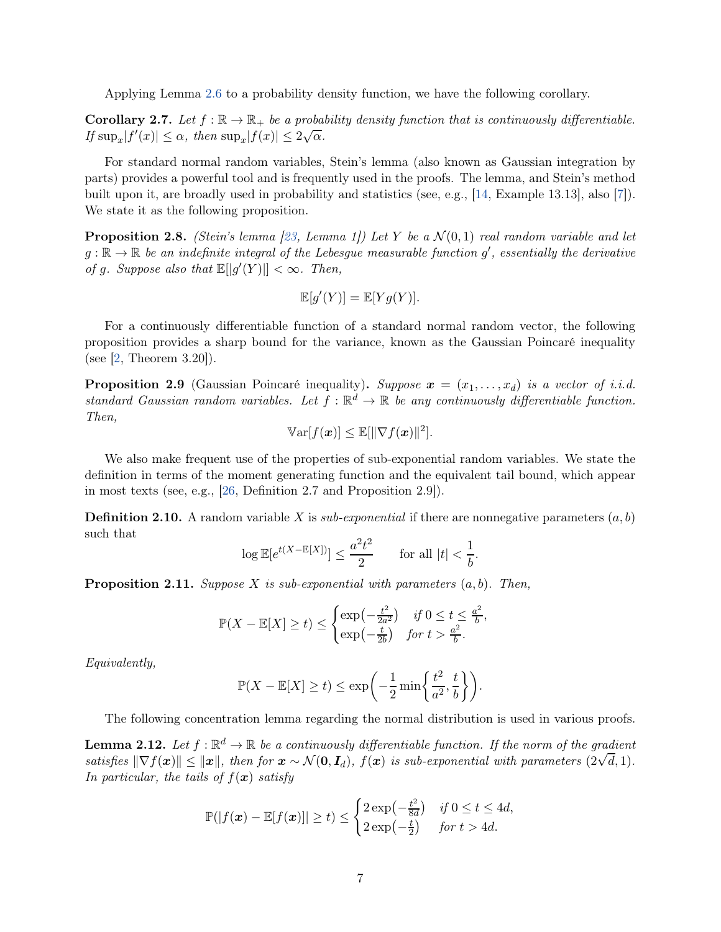Applying Lemma [2.6](#page-5-0) to a probability density function, we have the following corollary.

<span id="page-6-4"></span>**Corollary 2.7.** Let  $f : \mathbb{R} \to \mathbb{R}_+$  be a probability density function that is continuously differentiable. If  $\sup_x |f'(x)| \leq \alpha$ , then  $\sup_x |f(x)| \leq 2\sqrt{\alpha}$ .

For standard normal random variables, Stein's lemma (also known as Gaussian integration by parts) provides a powerful tool and is frequently used in the proofs. The lemma, and Stein's method built upon it, are broadly used in probability and statistics (see, e.g., [\[14](#page-31-10), Example 13.13], also [\[7\]](#page-31-11)). We state it as the following proposition.

**Proposition 2.8.** (Stein's lemma [\[23,](#page-32-9) Lemma 1]) Let Y be a  $\mathcal{N}(0,1)$  real random variable and let  $g : \mathbb{R} \to \mathbb{R}$  be an indefinite integral of the Lebesgue measurable function  $g'$ , essentially the derivative of g. Suppose also that  $\mathbb{E}[|g'(Y)|] < \infty$ . Then,

$$
\mathbb{E}[g'(Y)] = \mathbb{E}[Yg(Y)].
$$

For a continuously differentiable function of a standard normal random vector, the following proposition provides a sharp bound for the variance, known as the Gaussian Poincaré inequality (see  $\vert 2$ , Theorem 3.20).

<span id="page-6-3"></span>**Proposition 2.9** (Gaussian Poincaré inequality). Suppose  $x = (x_1, \ldots, x_d)$  is a vector of i.i.d. standard Gaussian random variables. Let  $f : \mathbb{R}^d \to \mathbb{R}$  be any continuously differentiable function. Then,

$$
\mathbb{V}\text{ar}[f(\boldsymbol{x})] \leq \mathbb{E}[\|\nabla f(\boldsymbol{x})\|^2].
$$

We also make frequent use of the properties of sub-exponential random variables. We state the definition in terms of the moment generating function and the equivalent tail bound, which appear in most texts (see, e.g., [\[26,](#page-32-10) Definition 2.7 and Proposition 2.9]).

<span id="page-6-0"></span>**Definition 2.10.** A random variable X is sub-exponential if there are nonnegative parameters  $(a, b)$ such that

$$
\log \mathbb{E}[e^{t(X - \mathbb{E}[X])}] \le \frac{a^2 t^2}{2} \quad \text{for all } |t| < \frac{1}{b}.
$$

<span id="page-6-1"></span>**Proposition 2.11.** Suppose X is sub-exponential with parameters  $(a, b)$ . Then,

$$
\mathbb{P}(X - \mathbb{E}[X] \ge t) \le \begin{cases} \exp\left(-\frac{t^2}{2a^2}\right) & \text{if } 0 \le t \le \frac{a^2}{b}, \\ \exp\left(-\frac{t}{2b}\right) & \text{for } t > \frac{a^2}{b}. \end{cases}
$$

Equivalently,

$$
\mathbb{P}(X - \mathbb{E}[X] \ge t) \le \exp\left(-\frac{1}{2}\min\left\{\frac{t^2}{a^2}, \frac{t}{b}\right\}\right).
$$

The following concentration lemma regarding the normal distribution is used in various proofs.

<span id="page-6-2"></span>**Lemma 2.12.** Let  $f : \mathbb{R}^d \to \mathbb{R}$  be a continuously differentiable function. If the norm of the gradient satisfies  $\|\nabla f(x)\| \leq \|x\|$ , then for  $x \sim \mathcal{N}(\mathbf{0}, \mathbf{I}_d)$ ,  $f(x)$  is sub-exponential with parameters  $(2\sqrt{d}, 1)$ . In particular, the tails of  $f(x)$  satisfy

$$
\mathbb{P}(|f(\boldsymbol{x}) - \mathbb{E}[f(\boldsymbol{x})]| \ge t) \le \begin{cases} 2\exp\left(-\frac{t^2}{8d}\right) & \text{if } 0 \le t \le 4d, \\ 2\exp\left(-\frac{t}{2}\right) & \text{for } t > 4d. \end{cases}
$$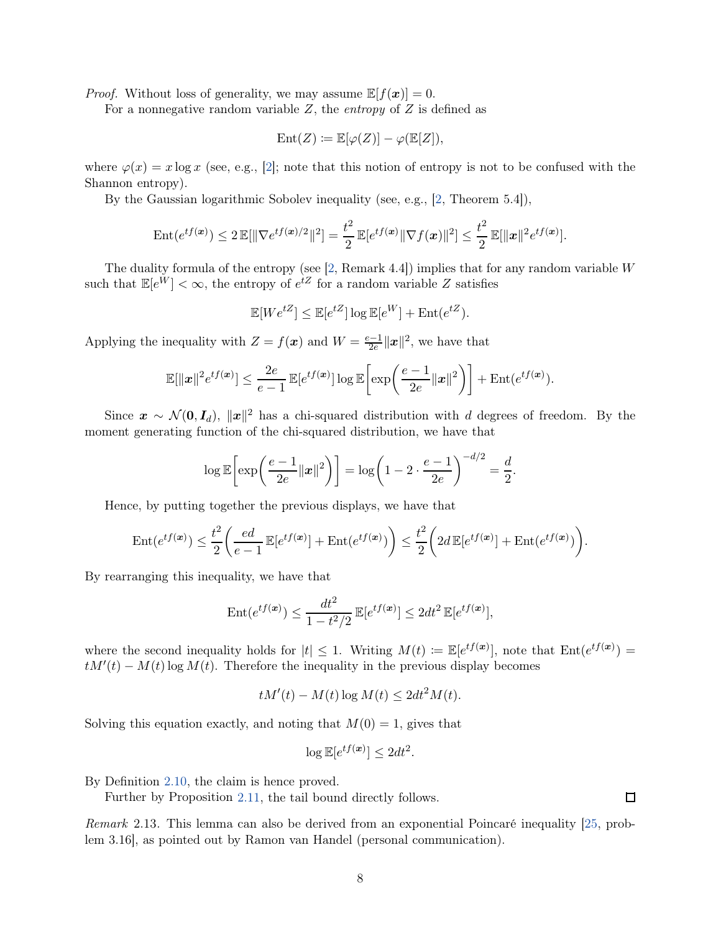*Proof.* Without loss of generality, we may assume  $\mathbb{E}[f(\boldsymbol{x})] = 0$ .

For a nonnegative random variable  $Z$ , the *entropy* of  $Z$  is defined as

$$
\operatorname{Ent}(Z) \coloneqq \mathbb{E}[\varphi(Z)] - \varphi(\mathbb{E}[Z]),
$$

where  $\varphi(x) = x \log x$  (see, e.g., [\[2](#page-31-12)]; note that this notion of entropy is not to be confused with the Shannon entropy).

By the Gaussian logarithmic Sobolev inequality (see, e.g., [\[2](#page-31-12), Theorem 5.4]),

Ent
$$
(e^{tf(x)}) \le 2 \mathbb{E}[\|\nabla e^{tf(x)/2}\|^2] = \frac{t^2}{2} \mathbb{E}[e^{tf(x)}\|\nabla f(x)\|^2] \le \frac{t^2}{2} \mathbb{E}[\|x\|^2 e^{tf(x)}].
$$

The duality formula of the entropy (see  $[2,$  Remark 4.4]) implies that for any random variable  $W$ such that  $\mathbb{E}[e^W] < \infty$ , the entropy of  $e^{tZ}$  for a random variable Z satisfies

$$
\mathbb{E}[We^{tZ}] \le \mathbb{E}[e^{tZ}] \log \mathbb{E}[e^W] + \text{Ent}(e^{tZ}).
$$

Applying the inequality with  $Z = f(x)$  and  $W = \frac{e-1}{2e} ||x||^2$ , we have that

$$
\mathbb{E}[\|\boldsymbol{x}\|^2 e^{tf(\boldsymbol{x})}] \leq \frac{2e}{e-1} \mathbb{E}[e^{tf(\boldsymbol{x})}] \log \mathbb{E}\bigg[\exp\bigg(\frac{e-1}{2e}\|\boldsymbol{x}\|^2\bigg)\bigg] + \mathrm{Ent}(e^{tf(\boldsymbol{x})}).
$$

Since  $\mathbf{x} \sim \mathcal{N}(\mathbf{0}, \mathbf{I}_d)$ ,  $\|\mathbf{x}\|^2$  has a chi-squared distribution with d degrees of freedom. By the moment generating function of the chi-squared distribution, we have that

$$
\log \mathbb{E}\bigg[\exp\bigg(\frac{e-1}{2e}||\mathbf{x}||^2\bigg)\bigg] = \log\bigg(1-2\cdot\frac{e-1}{2e}\bigg)^{-d/2} = \frac{d}{2}.
$$

Hence, by putting together the previous displays, we have that

$$
\operatorname{Ent}(e^{tf(\boldsymbol{x})}) \leq \frac{t^2}{2} \bigg( \frac{ed}{e-1} \operatorname{\mathbb{E}}[e^{tf(\boldsymbol{x})}] + \operatorname{Ent}(e^{tf(\boldsymbol{x})}) \bigg) \leq \frac{t^2}{2} \bigg( 2d \operatorname{\mathbb{E}}[e^{tf(\boldsymbol{x})}] + \operatorname{Ent}(e^{tf(\boldsymbol{x})}) \bigg).
$$

By rearranging this inequality, we have that

$$
\operatorname{Ent}(e^{tf(\boldsymbol{x})}) \le \frac{dt^2}{1 - t^2/2} \mathbb{E}[e^{tf(\boldsymbol{x})}] \le 2dt^2 \mathbb{E}[e^{tf(\boldsymbol{x})}],
$$

where the second inequality holds for  $|t| \leq 1$ . Writing  $M(t) := \mathbb{E}[e^{tf(x)}]$ , note that  $Ent(e^{tf(x)}) =$  $tM'(t) - M(t) \log M(t)$ . Therefore the inequality in the previous display becomes

$$
tM'(t) - M(t)\log M(t) \le 2dt^2 M(t).
$$

Solving this equation exactly, and noting that  $M(0) = 1$ , gives that

$$
\log \mathbb{E}[e^{tf(\boldsymbol{x})}] \le 2dt^2.
$$

By Definition [2.10,](#page-6-0) the claim is hence proved.

Further by Proposition [2.11,](#page-6-1) the tail bound directly follows.

Remark 2.13. This lemma can also be derived from an exponential Poincaré inequality [\[25](#page-32-11), problem 3.16], as pointed out by Ramon van Handel (personal communication).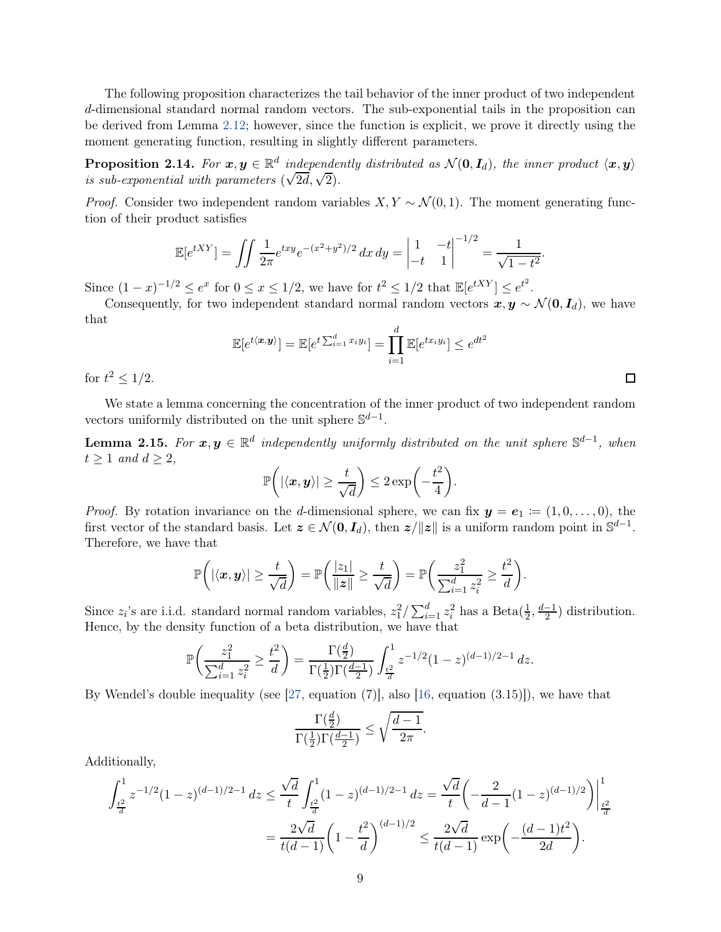The following proposition characterizes the tail behavior of the inner product of two independent d-dimensional standard normal random vectors. The sub-exponential tails in the proposition can be derived from Lemma [2.12;](#page-6-2) however, since the function is explicit, we prove it directly using the moment generating function, resulting in slightly different parameters.

<span id="page-8-1"></span>**Proposition 2.14.** For  $x, y \in \mathbb{R}^d$  independently distributed as  $\mathcal{N}(\mathbf{0}, \mathbf{I}_d)$ , the inner product  $\langle x, y \rangle$ is sub-exponential with parameters  $(\sqrt{2d}, \sqrt{2})$ .

*Proof.* Consider two independent random variables  $X, Y \sim \mathcal{N}(0, 1)$ . The moment generating function of their product satisfies

$$
\mathbb{E}[e^{tXY}] = \iint \frac{1}{2\pi} e^{txy} e^{-(x^2+y^2)/2} dx dy = \begin{vmatrix} 1 & -t \\ -t & 1 \end{vmatrix}^{-1/2} = \frac{1}{\sqrt{1-t^2}}.
$$

Since  $(1-x)^{-1/2} \le e^x$  for  $0 \le x \le 1/2$ , we have for  $t^2 \le 1/2$  that  $\mathbb{E}[e^{tXY}] \le e^{t^2}$ .

Consequently, for two independent standard normal random vectors  $x, y \sim \mathcal{N}(0, I_d)$ , we have that

$$
\mathbb{E}[e^{t\langle \boldsymbol{x}, \boldsymbol{y} \rangle}] = \mathbb{E}[e^{t\sum_{i=1}^d x_i y_i}] = \prod_{i=1}^d \mathbb{E}[e^{tx_i y_i}] \le e^{dt^2}
$$

for  $t^2 \leq 1/2$ .

We state a lemma concerning the concentration of the inner product of two independent random vectors uniformly distributed on the unit sphere  $\mathbb{S}^{d-1}$ .

<span id="page-8-0"></span>**Lemma 2.15.** For  $x, y \in \mathbb{R}^d$  independently uniformly distributed on the unit sphere  $\mathbb{S}^{d-1}$ , when  $t \geq 1$  and  $d \geq 2$ ,

$$
\mathbb{P}\bigg( |\langle x, y \rangle| \geq \frac{t}{\sqrt{d}} \bigg) \leq 2 \exp\bigg( -\frac{t^2}{4} \bigg).
$$

*Proof.* By rotation invariance on the d-dimensional sphere, we can fix  $y = e_1 := (1, 0, \ldots, 0)$ , the first vector of the standard basis. Let  $\boldsymbol{z} \in \mathcal{N}(\boldsymbol{0}, \boldsymbol{I}_d)$ , then  $\boldsymbol{z}/\|\boldsymbol{z}\|$  is a uniform random point in  $\mathbb{S}^{d-1}$ . Therefore, we have that

$$
\mathbb{P}\bigg( |\langle x, y \rangle| \geq \frac{t}{\sqrt{d}} \bigg) = \mathbb{P}\bigg( \frac{|z_1|}{\|z\|} \geq \frac{t}{\sqrt{d}} \bigg) = \mathbb{P}\bigg( \frac{z_1^2}{\sum_{i=1}^d z_i^2} \geq \frac{t^2}{d} \bigg).
$$

Since  $z_i$ 's are i.i.d. standard normal random variables,  $z_1^2 / \sum_{i=1}^d z_i^2$  has a Beta $(\frac{1}{2}, \frac{d-1}{2})$  distribution. Hence, by the density function of a beta distribution, we have that

$$
\mathbb{P}\left(\frac{z_1^2}{\sum_{i=1}^d z_i^2} \ge \frac{t^2}{d}\right) = \frac{\Gamma(\frac{d}{2})}{\Gamma(\frac{1}{2})\Gamma(\frac{d-1}{2})} \int_{\frac{t^2}{d}}^1 z^{-1/2} (1-z)^{(d-1)/2 - 1} dz.
$$

By Wendel's double inequality (see  $[27, \text{ equation } (7)]$ , also  $[16, \text{ equation } (3.15)]$ ), we have that

$$
\frac{\Gamma(\frac{d}{2})}{\Gamma(\frac{1}{2})\Gamma(\frac{d-1}{2})}\leq \sqrt{\frac{d-1}{2\pi}}.
$$

Additionally,

$$
\int_{\frac{t^2}{d}}^{1} z^{-1/2} (1-z)^{(d-1)/2-1} dz \le \frac{\sqrt{d}}{t} \int_{\frac{t^2}{d}}^{1} (1-z)^{(d-1)/2-1} dz = \frac{\sqrt{d}}{t} \left( -\frac{2}{d-1} (1-z)^{(d-1)/2} \right) \Big|_{\frac{t^2}{d}}^{1}
$$

$$
= \frac{2\sqrt{d}}{t(d-1)} \left( 1 - \frac{t^2}{d} \right)^{(d-1)/2} \le \frac{2\sqrt{d}}{t(d-1)} \exp\left( -\frac{(d-1)t^2}{2d} \right).
$$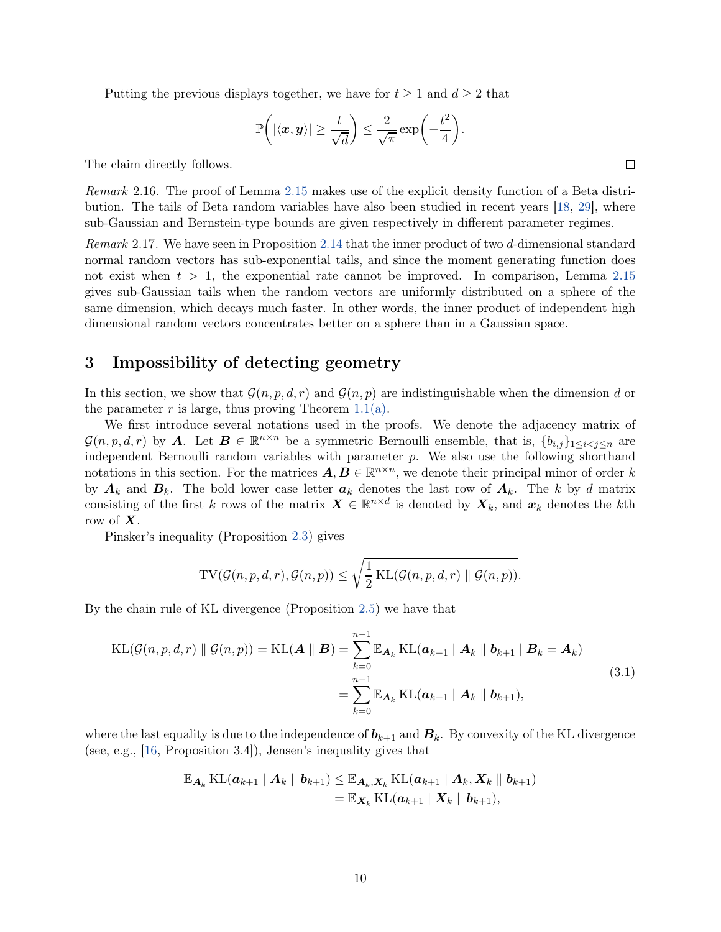Putting the previous displays together, we have for  $t \geq 1$  and  $d \geq 2$  that

$$
\mathbb{P}\bigg(|\langle \boldsymbol{x}, \boldsymbol{y} \rangle| \geq \frac{t}{\sqrt{d}}\bigg) \leq \frac{2}{\sqrt{\pi}} \exp\bigg(-\frac{t^2}{4}\bigg).
$$

The claim directly follows.

Remark 2.16. The proof of Lemma [2.15](#page-8-0) makes use of the explicit density function of a Beta distribution. The tails of Beta random variables have also been studied in recent years [\[18](#page-32-13), [29](#page-32-14)], where sub-Gaussian and Bernstein-type bounds are given respectively in different parameter regimes.

Remark 2.17. We have seen in Proposition [2.14](#page-8-1) that the inner product of two d-dimensional standard normal random vectors has sub-exponential tails, and since the moment generating function does not exist when  $t > 1$ , the exponential rate cannot be improved. In comparison, Lemma [2.15](#page-8-0) gives sub-Gaussian tails when the random vectors are uniformly distributed on a sphere of the same dimension, which decays much faster. In other words, the inner product of independent high dimensional random vectors concentrates better on a sphere than in a Gaussian space.

### <span id="page-9-0"></span>3 Impossibility of detecting geometry

In this section, we show that  $\mathcal{G}(n, p, d, r)$  and  $\mathcal{G}(n, p)$  are indistinguishable when the dimension d or the parameter r is large, thus proving Theorem [1.1\(a\).](#page-2-2)

We first introduce several notations used in the proofs. We denote the adjacency matrix of  $\mathcal{G}(n, p, d, r)$  by A. Let  $\mathbf{B} \in \mathbb{R}^{n \times n}$  be a symmetric Bernoulli ensemble, that is,  $\{b_{i,j}\}_{1 \leq i < j \leq n}$  are independent Bernoulli random variables with parameter p. We also use the following shorthand notations in this section. For the matrices  $A, B \in \mathbb{R}^{n \times n}$ , we denote their principal minor of order k by  $A_k$  and  $B_k$ . The bold lower case letter  $a_k$  denotes the last row of  $A_k$ . The k by d matrix consisting of the first k rows of the matrix  $\boldsymbol{X} \in \mathbb{R}^{n \times d}$  is denoted by  $\boldsymbol{X}_k$ , and  $\boldsymbol{x}_k$  denotes the kth row of  $X$ .

Pinsker's inequality (Proposition [2.3\)](#page-5-1) gives

$$
TV(\mathcal{G}(n, p, d, r), \mathcal{G}(n, p)) \le \sqrt{\frac{1}{2} \text{KL}(\mathcal{G}(n, p, d, r) \parallel \mathcal{G}(n, p))}.
$$

By the chain rule of KL divergence (Proposition [2.5\)](#page-5-2) we have that

<span id="page-9-1"></span>
$$
\text{KL}(\mathcal{G}(n, p, d, r) \parallel \mathcal{G}(n, p)) = \text{KL}(\boldsymbol{A} \parallel \boldsymbol{B}) = \sum_{k=0}^{n-1} \mathbb{E}_{\boldsymbol{A}_k} \text{KL}(\boldsymbol{a}_{k+1} \mid \boldsymbol{A}_k \parallel \boldsymbol{b}_{k+1} \mid \boldsymbol{B}_k = \boldsymbol{A}_k)
$$
\n
$$
= \sum_{k=0}^{n-1} \mathbb{E}_{\boldsymbol{A}_k} \text{KL}(\boldsymbol{a}_{k+1} \mid \boldsymbol{A}_k \parallel \boldsymbol{b}_{k+1}),
$$
\n(3.1)

where the last equality is due to the independence of  $b_{k+1}$  and  $B_k$ . By convexity of the KL divergence (see, e.g., [\[16](#page-32-1), Proposition 3.4]), Jensen's inequality gives that

$$
\mathbb{E}_{\mathbf{A}_k} \operatorname{KL}(\mathbf{a}_{k+1} | \mathbf{A}_k \|\mathbf{b}_{k+1}) \leq \mathbb{E}_{\mathbf{A}_k, \mathbf{X}_k} \operatorname{KL}(\mathbf{a}_{k+1} | \mathbf{A}_k, \mathbf{X}_k \|\mathbf{b}_{k+1})
$$
  
=  $\mathbb{E}_{\mathbf{X}_k} \operatorname{KL}(\mathbf{a}_{k+1} | \mathbf{X}_k \|\mathbf{b}_{k+1}),$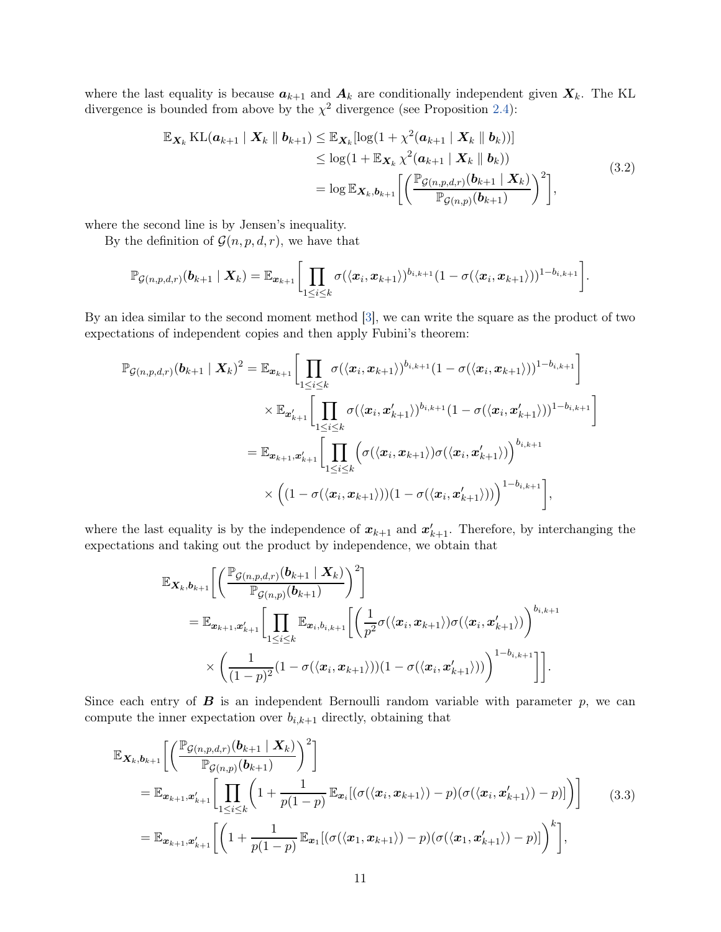where the last equality is because  $a_{k+1}$  and  $A_k$  are conditionally independent given  $X_k$ . The KL divergence is bounded from above by the  $\chi^2$  divergence (see Proposition [2.4\)](#page-5-3):

$$
\mathbb{E}_{\mathbf{X}_k} \operatorname{KL}(\mathbf{a}_{k+1} | \mathbf{X}_k || \mathbf{b}_{k+1}) \leq \mathbb{E}_{\mathbf{X}_k}[\log(1 + \chi^2(\mathbf{a}_{k+1} | \mathbf{X}_k || \mathbf{b}_k))]
$$
  
\n
$$
\leq \log(1 + \mathbb{E}_{\mathbf{X}_k} \chi^2(\mathbf{a}_{k+1} | \mathbf{X}_k || \mathbf{b}_k))
$$
  
\n
$$
= \log \mathbb{E}_{\mathbf{X}_k, \mathbf{b}_{k+1}} \left[ \left( \frac{\mathbb{P}_{\mathcal{G}(n, p, d, r)}(\mathbf{b}_{k+1} | \mathbf{X}_k)}{\mathbb{P}_{\mathcal{G}(n, p)}(\mathbf{b}_{k+1})} \right)^2 \right],
$$
\n(3.2)

<span id="page-10-1"></span>where the second line is by Jensen's inequality.

By the definition of  $\mathcal{G}(n, p, d, r)$ , we have that

$$
\mathbb{P}_{\mathcal{G}(n,p,d,r)}(\boldsymbol{b}_{k+1} \mid \boldsymbol{X}_{k}) = \mathbb{E}_{\boldsymbol{x}_{k+1}}\bigg[\prod_{1 \leq i \leq k} \sigma(\langle \boldsymbol{x}_{i}, \boldsymbol{x}_{k+1} \rangle)^{b_{i,k+1}}(1 - \sigma(\langle \boldsymbol{x}_{i}, \boldsymbol{x}_{k+1} \rangle))^{1-b_{i,k+1}}\bigg].
$$

By an idea similar to the second moment method [\[3\]](#page-31-13), we can write the square as the product of two expectations of independent copies and then apply Fubini's theorem:

$$
\mathbb{P}_{\mathcal{G}(n,p,d,r)}(\boldsymbol{b}_{k+1} | \mathbf{X}_{k})^{2} = \mathbb{E}_{\boldsymbol{x}_{k+1}} \bigg[ \prod_{1 \leq i \leq k} \sigma(\langle \boldsymbol{x}_{i}, \boldsymbol{x}_{k+1} \rangle)^{b_{i,k+1}} (1 - \sigma(\langle \boldsymbol{x}_{i}, \boldsymbol{x}_{k+1} \rangle))^{1-b_{i,k+1}} \bigg] \times \mathbb{E}_{\boldsymbol{x}'_{k+1}} \bigg[ \prod_{1 \leq i \leq k} \sigma(\langle \boldsymbol{x}_{i}, \boldsymbol{x}'_{k+1} \rangle)^{b_{i,k+1}} (1 - \sigma(\langle \boldsymbol{x}_{i}, \boldsymbol{x}'_{k+1} \rangle))^{1-b_{i,k+1}} \bigg] \n= \mathbb{E}_{\boldsymbol{x}_{k+1}, \boldsymbol{x}'_{k+1}} \bigg[ \prod_{1 \leq i \leq k} \Big( \sigma(\langle \boldsymbol{x}_{i}, \boldsymbol{x}_{k+1} \rangle) \sigma(\langle \boldsymbol{x}_{i}, \boldsymbol{x}'_{k+1} \rangle) \Big)^{b_{i,k+1}} \times \Big( (1 - \sigma(\langle \boldsymbol{x}_{i}, \boldsymbol{x}_{k+1} \rangle)) (1 - \sigma(\langle \boldsymbol{x}_{i}, \boldsymbol{x}'_{k+1} \rangle)) \Big)^{1-b_{i,k+1}} \bigg],
$$

where the last equality is by the independence of  $x_{k+1}$  and  $x'_{k+1}$ . Therefore, by interchanging the expectations and taking out the product by independence, we obtain that

$$
\mathbb{E}_{\mathbf{X}_k, \mathbf{b}_{k+1}} \bigg[ \bigg( \frac{\mathbb{P}_{\mathcal{G}(n, p, d, r)}(\mathbf{b}_{k+1} \mid \mathbf{X}_k)}{\mathbb{P}_{\mathcal{G}(n, p)}(\mathbf{b}_{k+1})} \bigg)^2 \bigg] \n= \mathbb{E}_{\mathbf{x}_{k+1}, \mathbf{x}'_{k+1}} \bigg[ \prod_{1 \leq i \leq k} \mathbb{E}_{\mathbf{x}_i, b_{i,k+1}} \bigg[ \bigg( \frac{1}{p^2} \sigma(\langle \mathbf{x}_i, \mathbf{x}_{k+1} \rangle) \sigma(\langle \mathbf{x}_i, \mathbf{x}'_{k+1} \rangle) \bigg)^{b_{i,k+1}} \times \bigg( \frac{1}{(1-p)^2} (1 - \sigma(\langle \mathbf{x}_i, \mathbf{x}_{k+1} \rangle)) (1 - \sigma(\langle \mathbf{x}_i, \mathbf{x}'_{k+1} \rangle)) \bigg)^{1-b_{i,k+1}} \bigg] \bigg].
$$

Since each entry of  $\bf{B}$  is an independent Bernoulli random variable with parameter  $p$ , we can compute the inner expectation over  $b_{i,k+1}$  directly, obtaining that

<span id="page-10-0"></span>
$$
\mathbb{E}_{\mathbf{X}_k, \mathbf{b}_{k+1}} \bigg[ \bigg( \frac{\mathbb{P}_{\mathcal{G}(n, p, d, r)}(\mathbf{b}_{k+1} \mid \mathbf{X}_k)}{\mathbb{P}_{\mathcal{G}(n, p)}(\mathbf{b}_{k+1})} \bigg)^2 \bigg] \n= \mathbb{E}_{\mathbf{x}_{k+1}, \mathbf{x}'_{k+1}} \bigg[ \prod_{1 \leq i \leq k} \bigg( 1 + \frac{1}{p(1-p)} \mathbb{E}_{\mathbf{x}_i} [(\sigma(\langle \mathbf{x}_i, \mathbf{x}_{k+1} \rangle) - p)(\sigma(\langle \mathbf{x}_i, \mathbf{x}'_{k+1} \rangle) - p)] \bigg) \bigg] \qquad (3.3)
$$
\n
$$
= \mathbb{E}_{\mathbf{x}_{k+1}, \mathbf{x}'_{k+1}} \bigg[ \bigg( 1 + \frac{1}{p(1-p)} \mathbb{E}_{\mathbf{x}_1} [(\sigma(\langle \mathbf{x}_1, \mathbf{x}_{k+1} \rangle) - p)(\sigma(\langle \mathbf{x}_1, \mathbf{x}'_{k+1} \rangle) - p)] \bigg)^k \bigg],
$$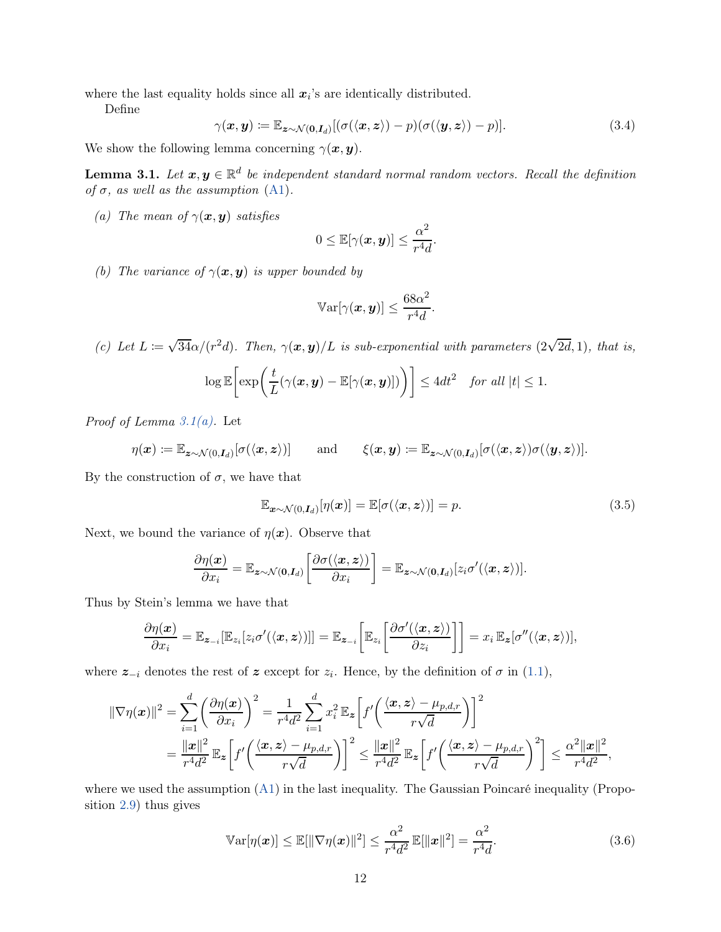where the last equality holds since all  $x_i$ 's are identically distributed.

Define

<span id="page-11-6"></span>
$$
\gamma(\boldsymbol{x}, \boldsymbol{y}) := \mathbb{E}_{\boldsymbol{z} \sim \mathcal{N}(\boldsymbol{0}, \boldsymbol{I}_d)} [(\sigma(\langle \boldsymbol{x}, \boldsymbol{z} \rangle) - p)(\sigma(\langle \boldsymbol{y}, \boldsymbol{z} \rangle) - p)]. \tag{3.4}
$$

We show the following lemma concerning  $\gamma(x, y)$ .

<span id="page-11-5"></span>**Lemma 3.1.** Let  $x, y \in \mathbb{R}^d$  be independent standard normal random vectors. Recall the definition of  $\sigma$ , as well as the assumption [\(A1\)](#page-1-0).

<span id="page-11-0"></span>(a) The mean of  $\gamma(x, y)$  satisfies

$$
0 \leq \mathbb{E}[\gamma(\boldsymbol{x}, \boldsymbol{y})] \leq \frac{\alpha^2}{r^4 d}.
$$

<span id="page-11-3"></span>(b) The variance of  $\gamma(x, y)$  is upper bounded by

$$
\mathbb{V}\text{ar}[\gamma(\boldsymbol{x},\boldsymbol{y})] \leq \frac{68\alpha^2}{r^4d}.
$$

<span id="page-11-4"></span>(c) Let  $L := \sqrt{34\alpha}/(r^2d)$ . Then,  $\gamma(x, y)/L$  is sub-exponential with parameters  $(2\sqrt{2d}, 1)$ , that is,

$$
\log \mathbb{E}\bigg[\exp\bigg(\frac{t}{L}(\gamma(\boldsymbol{x}, \boldsymbol{y}) - \mathbb{E}[\gamma(\boldsymbol{x}, \boldsymbol{y})])\bigg)\bigg] \leq 4dt^2 \quad \text{for all } |t| \leq 1.
$$

*Proof of Lemma 3.1(a)*. Let

$$
\eta(\boldsymbol{x}) \coloneqq \mathbb{E}_{\boldsymbol{z} \sim \mathcal{N}(0,\boldsymbol{I}_d)}[\sigma(\langle \boldsymbol{x}, \boldsymbol{z} \rangle)] \quad \text{and} \quad \xi(\boldsymbol{x}, \boldsymbol{y}) \coloneqq \mathbb{E}_{\boldsymbol{z} \sim \mathcal{N}(0,\boldsymbol{I}_d)}[\sigma(\langle \boldsymbol{x}, \boldsymbol{z} \rangle) \sigma(\langle \boldsymbol{y}, \boldsymbol{z} \rangle)].
$$

By the construction of  $\sigma$ , we have that

<span id="page-11-1"></span>
$$
\mathbb{E}_{\boldsymbol{x}\sim\mathcal{N}(0,\boldsymbol{I}_d)}[\eta(\boldsymbol{x})] = \mathbb{E}[\sigma(\langle \boldsymbol{x}, \boldsymbol{z} \rangle)] = p. \tag{3.5}
$$

Next, we bound the variance of  $\eta(x)$ . Observe that

$$
\frac{\partial \eta(\boldsymbol{x})}{\partial x_i} = \mathbb{E}_{\boldsymbol{z} \sim \mathcal{N}(\boldsymbol{0}, \boldsymbol{I}_d)} \left[ \frac{\partial \sigma(\langle \boldsymbol{x}, \boldsymbol{z} \rangle)}{\partial x_i} \right] = \mathbb{E}_{\boldsymbol{z} \sim \mathcal{N}(\boldsymbol{0}, \boldsymbol{I}_d)} [z_i \sigma'(\langle \boldsymbol{x}, \boldsymbol{z} \rangle)].
$$

Thus by Stein's lemma we have that

$$
\frac{\partial \eta(\boldsymbol{x})}{\partial x_i} = \mathbb{E}_{\boldsymbol{z}_{-i}}[\mathbb{E}_{z_i}[z_i \sigma'(\langle \boldsymbol{x}, \boldsymbol{z} \rangle)]] = \mathbb{E}_{\boldsymbol{z}_{-i}}\bigg[\mathbb{E}_{z_i}\bigg[\frac{\partial \sigma'(\langle \boldsymbol{x}, \boldsymbol{z} \rangle)}{\partial z_i}\bigg]\bigg] = x_i \mathbb{E}_{\boldsymbol{z}}[\sigma''(\langle \boldsymbol{x}, \boldsymbol{z} \rangle)],
$$

where  $z_{-i}$  denotes the rest of z except for  $z_i$ . Hence, by the definition of  $\sigma$  in [\(1.1\)](#page-1-3),

$$
\begin{split} \|\nabla \eta(\boldsymbol{x})\|^{2} &= \sum_{i=1}^{d} \left(\frac{\partial \eta(\boldsymbol{x})}{\partial x_{i}}\right)^{2} = \frac{1}{r^{4}d^{2}} \sum_{i=1}^{d} x_{i}^{2} \mathbb{E}_{\boldsymbol{z}}\left[f'\left(\frac{\langle \boldsymbol{x}, \boldsymbol{z} \rangle - \mu_{p,d,r}}{r\sqrt{d}}\right)\right]^{2} \\ &= \frac{\|\boldsymbol{x}\|^{2}}{r^{4}d^{2}} \mathbb{E}_{\boldsymbol{z}}\left[f'\left(\frac{\langle \boldsymbol{x}, \boldsymbol{z} \rangle - \mu_{p,d,r}}{r\sqrt{d}}\right)\right]^{2} \leq \frac{\|\boldsymbol{x}\|^{2}}{r^{4}d^{2}} \mathbb{E}_{\boldsymbol{z}}\left[f'\left(\frac{\langle \boldsymbol{x}, \boldsymbol{z} \rangle - \mu_{p,d,r}}{r\sqrt{d}}\right)^{2}\right] \leq \frac{\alpha^{2} \|\boldsymbol{x}\|^{2}}{r^{4}d^{2}}, \end{split}
$$

where we used the assumption  $(A1)$  in the last inequality. The Gaussian Poincaré inequality (Proposition [2.9\)](#page-6-3) thus gives

<span id="page-11-2"></span>
$$
\mathbb{V}\text{ar}[\eta(\boldsymbol{x})] \le \mathbb{E}[\|\nabla \eta(\boldsymbol{x})\|^2] \le \frac{\alpha^2}{r^4 d^2} \mathbb{E}[\|\boldsymbol{x}\|^2] = \frac{\alpha^2}{r^4 d}.
$$
\n(3.6)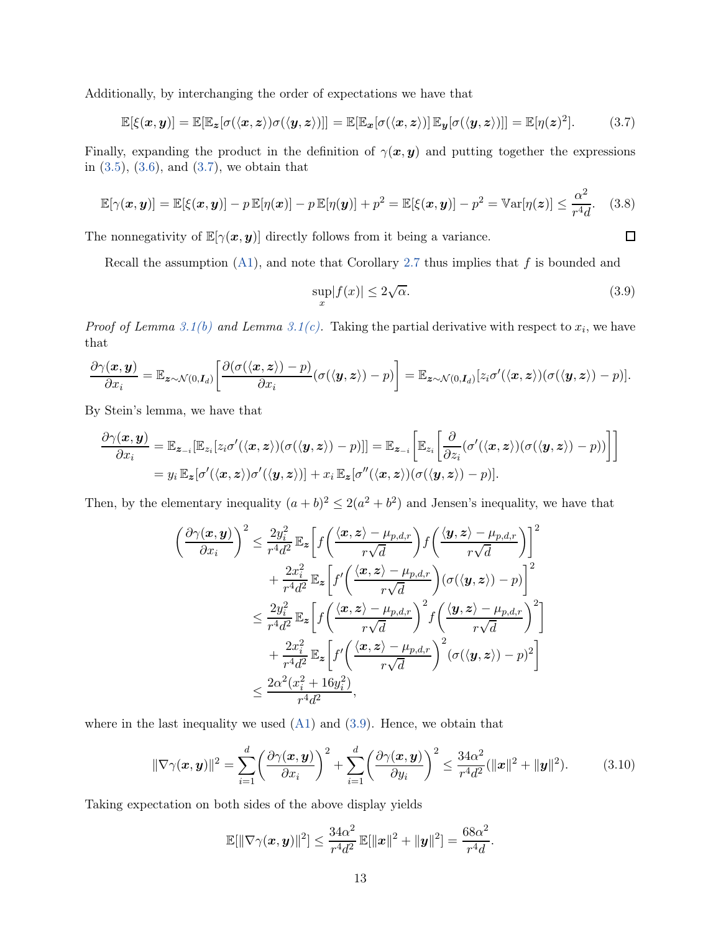Additionally, by interchanging the order of expectations we have that

<span id="page-12-0"></span>
$$
\mathbb{E}[\xi(\boldsymbol{x},\boldsymbol{y})] = \mathbb{E}[\mathbb{E}_{\boldsymbol{z}}[\sigma(\langle \boldsymbol{x}, \boldsymbol{z} \rangle) \sigma(\langle \boldsymbol{y}, \boldsymbol{z} \rangle)]] = \mathbb{E}[\mathbb{E}_{\boldsymbol{x}}[\sigma(\langle \boldsymbol{x}, \boldsymbol{z} \rangle) ] \mathbb{E}_{\boldsymbol{y}}[\sigma(\langle \boldsymbol{y}, \boldsymbol{z} \rangle)]] = \mathbb{E}[\eta(\boldsymbol{z})^2]. \tag{3.7}
$$

Finally, expanding the product in the definition of  $\gamma(x, y)$  and putting together the expressions in  $(3.5)$ ,  $(3.6)$ , and  $(3.7)$ , we obtain that

<span id="page-12-3"></span>
$$
\mathbb{E}[\gamma(\boldsymbol{x},\boldsymbol{y})] = \mathbb{E}[\xi(\boldsymbol{x},\boldsymbol{y})] - p \mathbb{E}[\eta(\boldsymbol{x})] - p \mathbb{E}[\eta(\boldsymbol{y})] + p^2 = \mathbb{E}[\xi(\boldsymbol{x},\boldsymbol{y})] - p^2 = \text{Var}[\eta(\boldsymbol{z})] \le \frac{\alpha^2}{r^4 d}.
$$
 (3.8)

The nonnegativity of  $\mathbb{E}[\gamma(x, y)]$  directly follows from it being a variance.

Recall the assumption  $(A1)$ , and note that Corollary [2.7](#page-6-4) thus implies that f is bounded and

<span id="page-12-1"></span>
$$
\sup_{x} |f(x)| \le 2\sqrt{\alpha}.\tag{3.9}
$$

 $\Box$ 

*Proof of Lemma [3.1\(b\)](#page-11-3) and Lemma 3.1(c)*. Taking the partial derivative with respect to  $x_i$ , we have that

$$
\frac{\partial \gamma(\boldsymbol{x}, \boldsymbol{y})}{\partial x_i} = \mathbb{E}_{\boldsymbol{z} \sim \mathcal{N}(0, \boldsymbol{I}_d)} \bigg[ \frac{\partial (\sigma(\langle \boldsymbol{x}, \boldsymbol{z} \rangle) - p)}{\partial x_i} (\sigma(\langle \boldsymbol{y}, \boldsymbol{z} \rangle) - p) \bigg] = \mathbb{E}_{\boldsymbol{z} \sim \mathcal{N}(0, \boldsymbol{I}_d)} [z_i \sigma'(\langle \boldsymbol{x}, \boldsymbol{z} \rangle) (\sigma(\langle \boldsymbol{y}, \boldsymbol{z} \rangle) - p)].
$$

By Stein's lemma, we have that

$$
\frac{\partial \gamma(\boldsymbol{x}, \boldsymbol{y})}{\partial x_i} = \mathbb{E}_{\boldsymbol{z}_{-i}}[\mathbb{E}_{z_i}[z_i \sigma'(\langle \boldsymbol{x}, \boldsymbol{z} \rangle)(\sigma(\langle \boldsymbol{y}, \boldsymbol{z} \rangle) - p)]] = \mathbb{E}_{\boldsymbol{z}_{-i}}\bigg[\mathbb{E}_{z_i}\bigg[\frac{\partial}{\partial z_i}(\sigma'(\langle \boldsymbol{x}, \boldsymbol{z} \rangle)(\sigma(\langle \boldsymbol{y}, \boldsymbol{z} \rangle) - p))\bigg]\bigg]
$$
  
=  $y_i \mathbb{E}_{\boldsymbol{z}}[\sigma'(\langle \boldsymbol{x}, \boldsymbol{z} \rangle)\sigma'(\langle \boldsymbol{y}, \boldsymbol{z} \rangle)] + x_i \mathbb{E}_{\boldsymbol{z}}[\sigma''(\langle \boldsymbol{x}, \boldsymbol{z} \rangle)(\sigma(\langle \boldsymbol{y}, \boldsymbol{z} \rangle) - p)].$ 

Then, by the elementary inequality  $(a + b)^2 \leq 2(a^2 + b^2)$  and Jensen's inequality, we have that

$$
\left(\frac{\partial \gamma(\boldsymbol{x}, \boldsymbol{y})}{\partial x_i}\right)^2 \leq \frac{2y_i^2}{r^4 d^2} \mathbb{E}_{\boldsymbol{z}} \bigg[ f\left(\frac{\langle \boldsymbol{x}, \boldsymbol{z} \rangle - \mu_{p,d,r}}{r\sqrt{d}}\right) f\left(\frac{\langle \boldsymbol{y}, \boldsymbol{z} \rangle - \mu_{p,d,r}}{r\sqrt{d}}\right) \bigg]^2 + \frac{2x_i^2}{r^4 d^2} \mathbb{E}_{\boldsymbol{z}} \bigg[ f'\left(\frac{\langle \boldsymbol{x}, \boldsymbol{z} \rangle - \mu_{p,d,r}}{r\sqrt{d}}\right) (\sigma(\langle \boldsymbol{y}, \boldsymbol{z} \rangle) - p) \bigg]^2 \leq \frac{2y_i^2}{r^4 d^2} \mathbb{E}_{\boldsymbol{z}} \bigg[ f\left(\frac{\langle \boldsymbol{x}, \boldsymbol{z} \rangle - \mu_{p,d,r}}{r\sqrt{d}}\right)^2 f\left(\frac{\langle \boldsymbol{y}, \boldsymbol{z} \rangle - \mu_{p,d,r}}{r\sqrt{d}}\right)^2 \bigg] + \frac{2x_i^2}{r^4 d^2} \mathbb{E}_{\boldsymbol{z}} \bigg[ f'\left(\frac{\langle \boldsymbol{x}, \boldsymbol{z} \rangle - \mu_{p,d,r}}{r\sqrt{d}}\right)^2 (\sigma(\langle \boldsymbol{y}, \boldsymbol{z} \rangle) - p)^2 \bigg] \leq \frac{2\alpha^2 (x_i^2 + 16y_i^2)}{r^4 d^2},
$$

where in the last inequality we used  $(A1)$  and  $(3.9)$ . Hence, we obtain that

<span id="page-12-2"></span>
$$
\|\nabla \gamma(\boldsymbol{x}, \boldsymbol{y})\|^2 = \sum_{i=1}^d \left(\frac{\partial \gamma(\boldsymbol{x}, \boldsymbol{y})}{\partial x_i}\right)^2 + \sum_{i=1}^d \left(\frac{\partial \gamma(\boldsymbol{x}, \boldsymbol{y})}{\partial y_i}\right)^2 \le \frac{34\alpha^2}{r^4 d^2} (\|\boldsymbol{x}\|^2 + \|\boldsymbol{y}\|^2). \tag{3.10}
$$

Taking expectation on both sides of the above display yields

$$
\mathbb{E}[\|\nabla \gamma(\boldsymbol{x}, \boldsymbol{y})\|^2] \leq \frac{34\alpha^2}{r^4d^2} \mathbb{E}[\|\boldsymbol{x}\|^2 + \|\boldsymbol{y}\|^2] = \frac{68\alpha^2}{r^4d}.
$$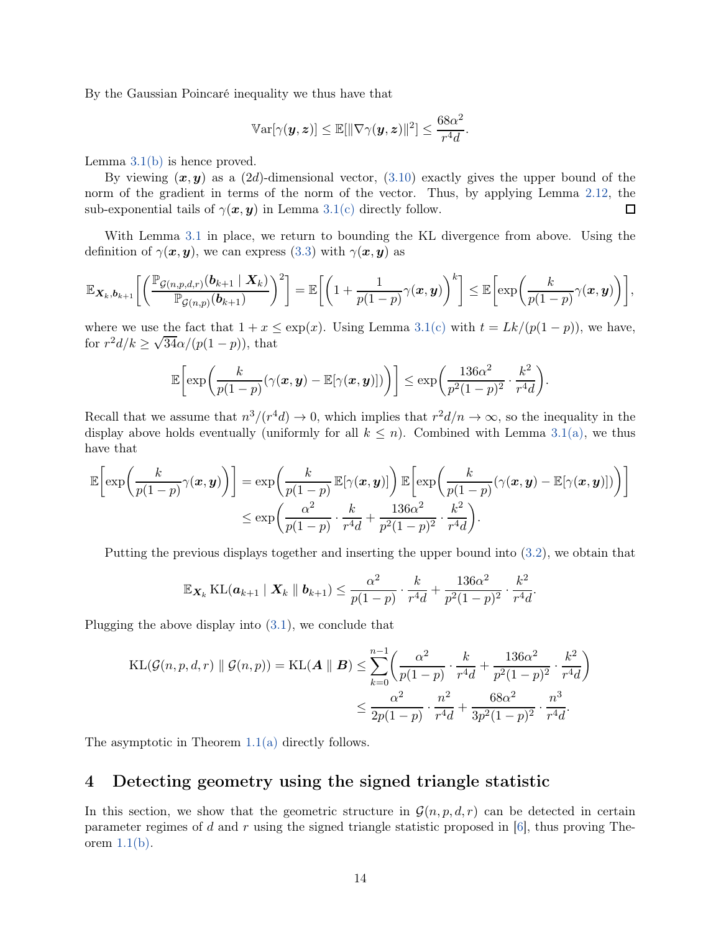By the Gaussian Poincaré inequality we thus have that

$$
\mathbb{V}{\rm ar}[\gamma(\boldsymbol{y},\boldsymbol{z})] \leq \mathbb{E}[\|\nabla \gamma(\boldsymbol{y},\boldsymbol{z})\|^2] \leq \frac{68\alpha^2}{r^4 d}.
$$

Lemma  $3.1(b)$  is hence proved.

By viewing  $(x, y)$  as a  $(2d)$ -dimensional vector,  $(3.10)$  exactly gives the upper bound of the norm of the gradient in terms of the norm of the vector. Thus, by applying Lemma [2.12,](#page-6-2) the sub-exponential tails of  $\gamma(x, y)$  in Lemma [3.1\(c\)](#page-11-4) directly follow.  $\Box$ 

With Lemma [3.1](#page-11-5) in place, we return to bounding the KL divergence from above. Using the definition of  $\gamma(x, y)$ , we can express [\(3.3\)](#page-10-0) with  $\gamma(x, y)$  as

$$
\mathbb{E}_{\mathbf{X}_k,\mathbf{b}_{k+1}}\bigg[\bigg(\frac{\mathbb{P}_{\mathcal{G}(n,p,d,r)}(\mathbf{b}_{k+1} \mid \mathbf{X}_k)}{\mathbb{P}_{\mathcal{G}(n,p)}(\mathbf{b}_{k+1})}\bigg)^2\bigg] = \mathbb{E}\bigg[\bigg(1 + \frac{1}{p(1-p)}\gamma(\mathbf{x}, \mathbf{y})\bigg)^k\bigg] \leq \mathbb{E}\bigg[\exp\bigg(\frac{k}{p(1-p)}\gamma(\mathbf{x}, \mathbf{y})\bigg)\bigg],
$$

where we use the fact that  $1 + x \leq \exp(x)$ . Using Lemma [3.1\(c\)](#page-11-4) with  $t = Lk/(p(1-p))$ , we have, for  $r^2 d/k \ge \sqrt{34\alpha}/(p(1-p))$ , that

$$
\mathbb{E}\bigg[\exp\bigg(\frac{k}{p(1-p)}(\gamma(\boldsymbol{x},\boldsymbol{y})-\mathbb{E}[\gamma(\boldsymbol{x},\boldsymbol{y})])\bigg)\bigg]\leq \exp\bigg(\frac{136\alpha^2}{p^2(1-p)^2}\cdot\frac{k^2}{r^4d}\bigg).
$$

Recall that we assume that  $n^3/(r^4d) \to 0$ , which implies that  $r^2d/n \to \infty$ , so the inequality in the display above holds eventually (uniformly for all  $k \leq n$ ). Combined with Lemma [3.1\(a\),](#page-11-0) we thus have that

$$
\mathbb{E}\bigg[\exp\bigg(\frac{k}{p(1-p)}\gamma(\boldsymbol{x},\boldsymbol{y})\bigg)\bigg] = \exp\bigg(\frac{k}{p(1-p)}\mathbb{E}[\gamma(\boldsymbol{x},\boldsymbol{y})]\bigg)\mathbb{E}\bigg[\exp\bigg(\frac{k}{p(1-p)}(\gamma(\boldsymbol{x},\boldsymbol{y})-\mathbb{E}[\gamma(\boldsymbol{x},\boldsymbol{y})])\bigg)\bigg]
$$

$$
\leq \exp\bigg(\frac{\alpha^2}{p(1-p)}\cdot\frac{k}{r^4d}+\frac{136\alpha^2}{p^2(1-p)^2}\cdot\frac{k^2}{r^4d}\bigg).
$$

Putting the previous displays together and inserting the upper bound into [\(3.2\)](#page-10-1), we obtain that

$$
\mathbb{E}_{\mathbf{X}_k} \operatorname{KL}(\boldsymbol{a}_{k+1} \mid \mathbf{X}_k \parallel \boldsymbol{b}_{k+1}) \leq \frac{\alpha^2}{p(1-p)} \cdot \frac{k}{r^4d} + \frac{136\alpha^2}{p^2(1-p)^2} \cdot \frac{k^2}{r^4d}.
$$

Plugging the above display into [\(3.1\)](#page-9-1), we conclude that

$$
KL(\mathcal{G}(n, p, d, r) \parallel \mathcal{G}(n, p)) = KL(\mathbf{A} \parallel \mathbf{B}) \le \sum_{k=0}^{n-1} \left( \frac{\alpha^2}{p(1-p)} \cdot \frac{k}{r^4 d} + \frac{136\alpha^2}{p^2(1-p)^2} \cdot \frac{k^2}{r^4 d} \right)
$$
  

$$
\le \frac{\alpha^2}{2p(1-p)} \cdot \frac{n^2}{r^4 d} + \frac{68\alpha^2}{3p^2(1-p)^2} \cdot \frac{n^3}{r^4 d}.
$$

The asymptotic in Theorem [1.1\(a\)](#page-2-2) directly follows.

### <span id="page-13-0"></span>4 Detecting geometry using the signed triangle statistic

In this section, we show that the geometric structure in  $\mathcal{G}(n, p, d, r)$  can be detected in certain parameter regimes of  $d$  and  $r$  using the signed triangle statistic proposed in [\[6\]](#page-31-4), thus proving Theorem  $1.1(b)$ .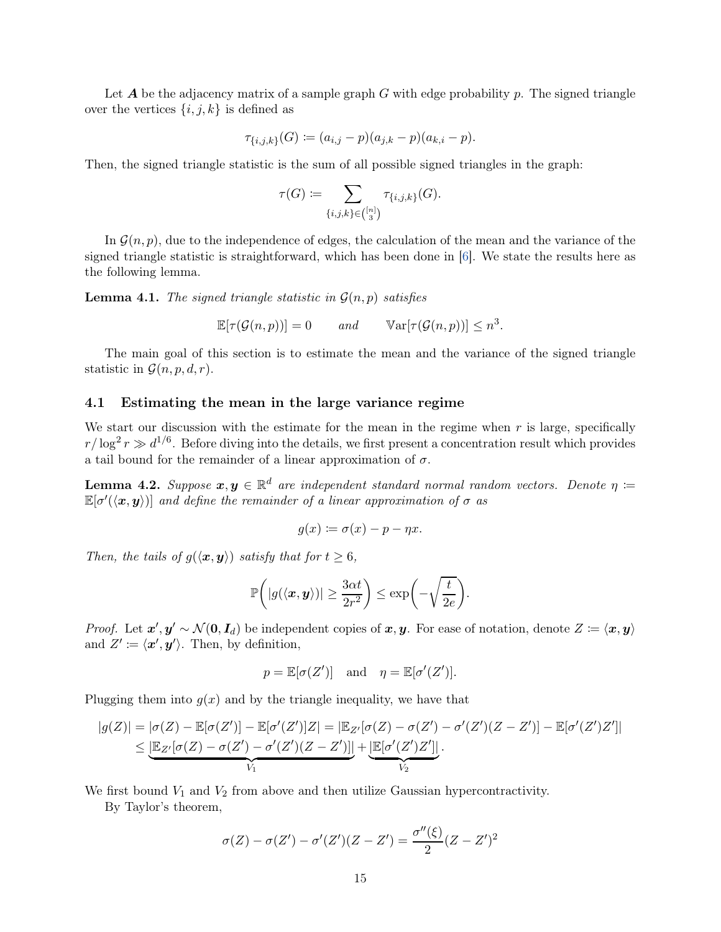Let  $A$  be the adjacency matrix of a sample graph  $G$  with edge probability  $p$ . The signed triangle over the vertices  $\{i, j, k\}$  is defined as

$$
\tau_{\{i,j,k\}}(G) := (a_{i,j} - p)(a_{j,k} - p)(a_{k,i} - p).
$$

Then, the signed triangle statistic is the sum of all possible signed triangles in the graph:

$$
\tau(G) \coloneqq \sum_{\{i,j,k\} \in \binom{[n]}{3}} \tau_{\{i,j,k\}}(G).
$$

In  $\mathcal{G}(n, p)$ , due to the independence of edges, the calculation of the mean and the variance of the signed triangle statistic is straightforward, which has been done in [\[6](#page-31-4)]. We state the results here as the following lemma.

**Lemma 4.1.** The signed triangle statistic in  $\mathcal{G}(n, p)$  satisfies

$$
\mathbb{E}[\tau(\mathcal{G}(n,p))] = 0 \quad and \quad \mathbb{V}\text{ar}[\tau(\mathcal{G}(n,p))] \leq n^3.
$$

The main goal of this section is to estimate the mean and the variance of the signed triangle statistic in  $\mathcal{G}(n, p, d, r)$ .

#### 4.1 Estimating the mean in the large variance regime

We start our discussion with the estimate for the mean in the regime when  $r$  is large, specifically  $r/\log^2 r \gg d^{1/6}$ . Before diving into the details, we first present a concentration result which provides a tail bound for the remainder of a linear approximation of  $\sigma$ .

<span id="page-14-0"></span>**Lemma 4.2.** Suppose  $x, y \in \mathbb{R}^d$  are independent standard normal random vectors. Denote  $\eta :=$  $\mathbb{E}[\sigma'(\langle \bm{x}, \bm{y} \rangle) ]$  and define the remainder of a linear approximation of  $\sigma$  as

$$
g(x) \coloneqq \sigma(x) - p - \eta x.
$$

Then, the tails of  $g(\langle x, y \rangle)$  satisfy that for  $t \geq 6$ ,

$$
\mathbb{P}\bigg(|g(\langle \boldsymbol{x}, \boldsymbol{y} \rangle)| \geq \frac{3\alpha t}{2r^2}\bigg) \leq \exp\bigg(-\sqrt{\frac{t}{2e}}\bigg).
$$

*Proof.* Let  $x', y' \sim \mathcal{N}(0, I_d)$  be independent copies of  $x, y$ . For ease of notation, denote  $Z := \langle x, y \rangle$ and  $Z' \coloneqq \langle x', y' \rangle$ . Then, by definition,

$$
p = \mathbb{E}[\sigma(Z')] \text{ and } \eta = \mathbb{E}[\sigma'(Z')].
$$

Plugging them into  $g(x)$  and by the triangle inequality, we have that

$$
|g(Z)| = |\sigma(Z) - \mathbb{E}[\sigma(Z')] - \mathbb{E}[\sigma'(Z')]Z| = |\mathbb{E}_{Z'}[\sigma(Z) - \sigma(Z') - \sigma'(Z')(Z - Z')] - \mathbb{E}[\sigma'(Z')Z']|
$$
  

$$
\leq \underbrace{|\mathbb{E}_{Z'}[\sigma(Z) - \sigma(Z') - \sigma'(Z')(Z - Z')]|}_{V_1} + \underbrace{|\mathbb{E}[\sigma'(Z')Z']|}_{V_2}.
$$

We first bound  $V_1$  and  $V_2$  from above and then utilize Gaussian hypercontractivity.

By Taylor's theorem,

$$
\sigma(Z) - \sigma(Z') - \sigma'(Z')(Z - Z') = \frac{\sigma''(\xi)}{2}(Z - Z')^{2}
$$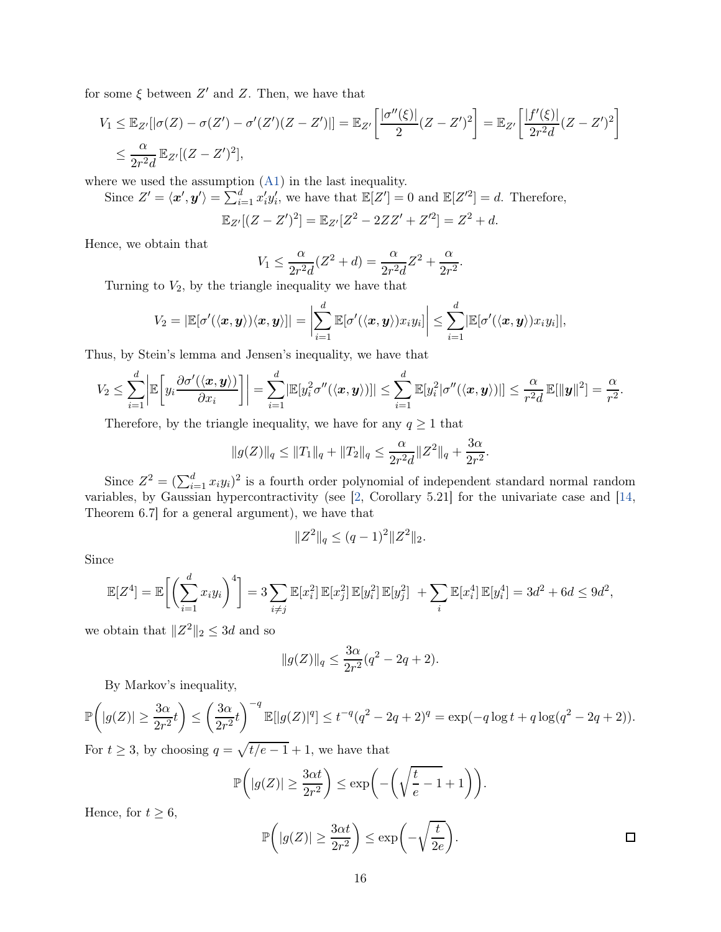for some  $\xi$  between  $Z'$  and  $Z$ . Then, we have that

$$
V_1 \leq \mathbb{E}_{Z'}[|\sigma(Z) - \sigma(Z') - \sigma'(Z')(Z - Z')|] = \mathbb{E}_{Z'}\left[\frac{|\sigma''(\xi)|}{2}(Z - Z')^2\right] = \mathbb{E}_{Z'}\left[\frac{|f'(\xi)|}{2r^2d}(Z - Z')^2\right]
$$
  

$$
\leq \frac{\alpha}{2r^2d} \mathbb{E}_{Z'}[(Z - Z')^2],
$$

where we used the assumption [\(A1\)](#page-1-0) in the last inequality.

Since  $Z' = \langle x', y' \rangle = \sum_{i=1}^d x'_i y'_i$ , we have that  $\mathbb{E}[Z'] = 0$  and  $\mathbb{E}[Z'^2] = d$ . Therefore,

$$
\mathbb{E}_{Z'}[(Z-Z')^2] = \mathbb{E}_{Z'}[Z^2 - 2ZZ' + Z'^2] = Z^2 + d.
$$

Hence, we obtain that

$$
V_1 \le \frac{\alpha}{2r^2 d} (Z^2 + d) = \frac{\alpha}{2r^2 d} Z^2 + \frac{\alpha}{2r^2}.
$$

Turning to  $V_2$ , by the triangle inequality we have that

$$
V_2 = |\mathbb{E}[\sigma'(\langle \boldsymbol{x}, \boldsymbol{y} \rangle) \langle \boldsymbol{x}, \boldsymbol{y} \rangle]| = \left|\sum_{i=1}^d \mathbb{E}[\sigma'(\langle \boldsymbol{x}, \boldsymbol{y} \rangle) x_i y_i]\right| \leq \sum_{i=1}^d |\mathbb{E}[\sigma'(\langle \boldsymbol{x}, \boldsymbol{y} \rangle) x_i y_i]|,
$$

Thus, by Stein's lemma and Jensen's inequality, we have that

$$
V_2 \leq \sum_{i=1}^d \bigg| \mathbb{E}\bigg[y_i \frac{\partial \sigma'(\langle \boldsymbol{x}, \boldsymbol{y} \rangle)}{\partial x_i}\bigg]\bigg| = \sum_{i=1}^d |\mathbb{E}[y_i^2 \sigma''(\langle \boldsymbol{x}, \boldsymbol{y} \rangle)|] \leq \sum_{i=1}^d \mathbb{E}[y_i^2 | \sigma''(\langle \boldsymbol{x}, \boldsymbol{y} \rangle)|] \leq \frac{\alpha}{r^2 d} \mathbb{E}[\|\boldsymbol{y}\|^2] = \frac{\alpha}{r^2}.
$$

Therefore, by the triangle inequality, we have for any  $q \geq 1$  that

$$
||g(Z)||_q \le ||T_1||_q + ||T_2||_q \le \frac{\alpha}{2r^2d} ||Z^2||_q + \frac{3\alpha}{2r^2}.
$$

Since  $Z^2 = (\sum_{i=1}^d x_i y_i)^2$  is a fourth order polynomial of independent standard normal random variables, by Gaussian hypercontractivity (see [\[2](#page-31-12), Corollary 5.21] for the univariate case and [\[14](#page-31-10), Theorem 6.7] for a general argument), we have that

$$
||Z^2||_q \leq (q-1)^2 ||Z^2||_2.
$$

Since

$$
\mathbb{E}[Z^4] = \mathbb{E}\bigg[\bigg(\sum_{i=1}^d x_i y_i\bigg)^4\bigg] = 3 \sum_{i \neq j} \mathbb{E}[x_i^2] \mathbb{E}[x_j^2] \mathbb{E}[y_i^2] \mathbb{E}[y_j^2] + \sum_i \mathbb{E}[x_i^4] \mathbb{E}[y_i^4] = 3d^2 + 6d \le 9d^2,
$$

we obtain that  $||Z^2||_2 \leq 3d$  and so

$$
||g(Z)||_q \le \frac{3\alpha}{2r^2}(q^2 - 2q + 2).
$$

By Markov's inequality,

$$
\mathbb{P}\left(|g(Z)| \ge \frac{3\alpha}{2r^2}t\right) \le \left(\frac{3\alpha}{2r^2}t\right)^{-q} \mathbb{E}[|g(Z)|^q] \le t^{-q}(q^2 - 2q + 2)^q = \exp(-q\log t + q\log(q^2 - 2q + 2)).
$$

For  $t \geq 3$ , by choosing  $q = \sqrt{t/e - 1} + 1$ , we have that

$$
\mathbb{P}\bigg(|g(Z)| \ge \frac{3\alpha t}{2r^2}\bigg) \le \exp\bigg(-\bigg(\sqrt{\frac{t}{e}-1}+1\bigg)\bigg).
$$

Hence, for  $t \geq 6$ ,

$$
\mathbb{P}\left(|g(Z)| \ge \frac{3\alpha t}{2r^2}\right) \le \exp\left(-\sqrt{\frac{t}{2e}}\right).
$$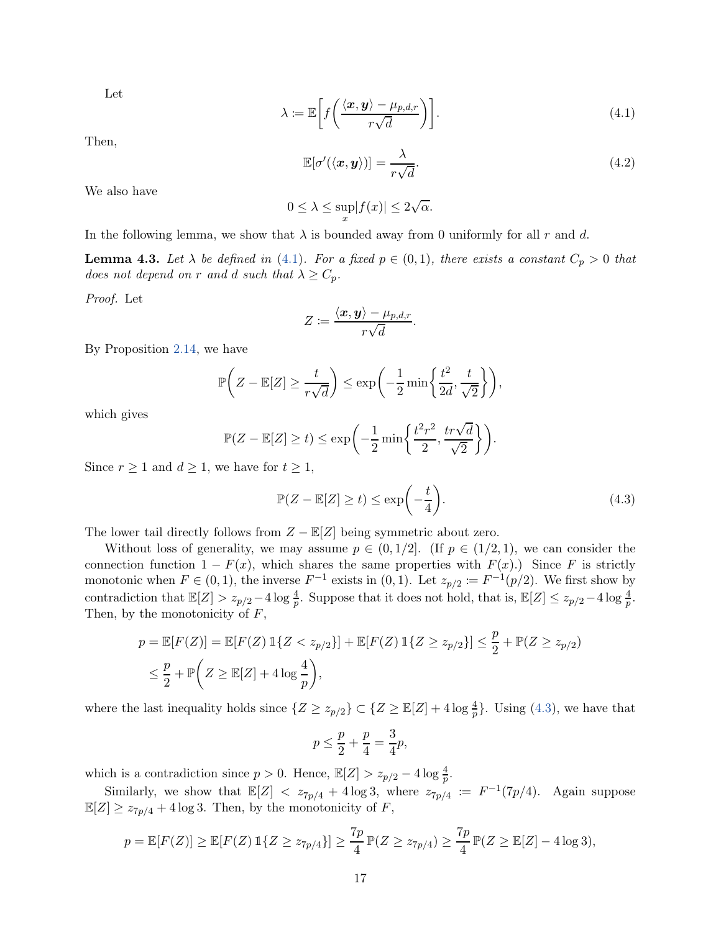Let

<span id="page-16-0"></span>
$$
\lambda := \mathbb{E}\bigg[f\bigg(\frac{\langle \boldsymbol{x}, \boldsymbol{y} \rangle - \mu_{p,d,r}}{r\sqrt{d}}\bigg)\bigg].\tag{4.1}
$$

Then,

$$
\mathbb{E}[\sigma'(\langle \boldsymbol{x}, \boldsymbol{y} \rangle)] = \frac{\lambda}{r\sqrt{d}}.
$$
\n(4.2)

We also have

$$
0 \le \lambda \le \sup_{x} |f(x)| \le 2\sqrt{\alpha}.
$$

In the following lemma, we show that  $\lambda$  is bounded away from 0 uniformly for all r and d.

<span id="page-16-2"></span>**Lemma 4.3.** Let  $\lambda$  be defined in [\(4.1\)](#page-16-0). For a fixed  $p \in (0,1)$ , there exists a constant  $C_p > 0$  that does not depend on r and d such that  $\lambda \geq C_p$ .

Proof. Let

$$
Z \coloneqq \frac{\langle \boldsymbol{x}, \boldsymbol{y} \rangle - \mu_{p,d,r}}{r \sqrt{d}}.
$$

By Proposition [2.14,](#page-8-1) we have

$$
\mathbb{P}\bigg(Z - \mathbb{E}[Z] \ge \frac{t}{r\sqrt{d}}\bigg) \le \exp\bigg(-\frac{1}{2}\min\bigg\{\frac{t^2}{2d}, \frac{t}{\sqrt{2}}\bigg\}\bigg),
$$

which gives

$$
\mathbb{P}(Z - \mathbb{E}[Z] \ge t) \le \exp\left(-\frac{1}{2}\min\left\{\frac{t^2r^2}{2}, \frac{tr\sqrt{d}}{\sqrt{2}}\right\}\right).
$$

Since  $r \geq 1$  and  $d \geq 1$ , we have for  $t \geq 1$ ,

<span id="page-16-1"></span>
$$
\mathbb{P}(Z - \mathbb{E}[Z] \ge t) \le \exp\left(-\frac{t}{4}\right). \tag{4.3}
$$

The lower tail directly follows from  $Z - \mathbb{E}[Z]$  being symmetric about zero.

Without loss of generality, we may assume  $p \in (0,1/2]$ . (If  $p \in (1/2,1)$ , we can consider the connection function  $1 - F(x)$ , which shares the same properties with  $F(x)$ .) Since F is strictly monotonic when  $F \in (0, 1)$ , the inverse  $F^{-1}$  exists in  $(0, 1)$ . Let  $z_{p/2} := F^{-1}(p/2)$ . We first show by contradiction that  $\mathbb{E}[Z] > z_{p/2} - 4 \log \frac{4}{p}$ . Suppose that it does not hold, that is,  $\mathbb{E}[Z] \leq z_{p/2} - 4 \log \frac{4}{p}$ . Then, by the monotonicity of  $F$ ,

$$
p = \mathbb{E}[F(Z)] = \mathbb{E}[F(Z) \mathbb{1}\{Z < z_{p/2}\}] + \mathbb{E}[F(Z) \mathbb{1}\{Z \ge z_{p/2}\}] \le \frac{p}{2} + \mathbb{P}(Z \ge z_{p/2})
$$
\n
$$
\le \frac{p}{2} + \mathbb{P}\left(Z \ge \mathbb{E}[Z] + 4\log\frac{4}{p}\right),
$$

where the last inequality holds since  $\{Z \ge z_{p/2}\} \subset \{Z \ge \mathbb{E}[Z] + 4\log \frac{4}{p}\}\.$  Using [\(4.3\)](#page-16-1), we have that

$$
p \le \frac{p}{2} + \frac{p}{4} = \frac{3}{4}p,
$$

which is a contradiction since  $p > 0$ . Hence,  $\mathbb{E}[Z] > z_{p/2} - 4 \log \frac{4}{p}$ .

Similarly, we show that  $\mathbb{E}[Z] < z_{7p/4} + 4 \log 3$ , where  $z_{7p/4} := F^{-1}(7p/4)$ . Again suppose  $\mathbb{E}[Z] \geq z_{7p/4} + 4 \log 3$ . Then, by the monotonicity of  $F$ ,

$$
p = \mathbb{E}[F(Z)] \ge \mathbb{E}[F(Z) \mathbb{1}\{Z \ge z_{7p/4}\}] \ge \frac{7p}{4}\mathbb{P}(Z \ge z_{7p/4}) \ge \frac{7p}{4}\mathbb{P}(Z \ge \mathbb{E}[Z] - 4\log 3),
$$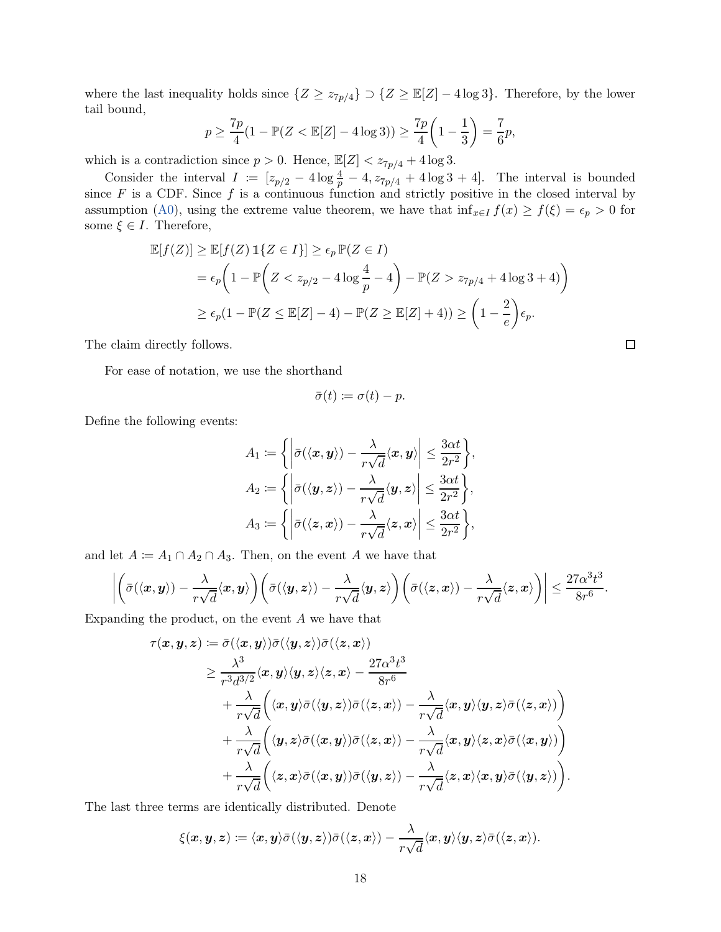where the last inequality holds since  $\{Z \geq z_{7p/4}\} \supset \{Z \geq \mathbb{E}[Z] - 4 \log 3\}$ . Therefore, by the lower tail bound,

$$
p \ge \frac{7p}{4}(1 - \mathbb{P}(Z < \mathbb{E}[Z] - 4\log 3)) \ge \frac{7p}{4}\left(1 - \frac{1}{3}\right) = \frac{7}{6}p,
$$

which is a contradiction since  $p > 0$ . Hence,  $\mathbb{E}[Z] < z_{7p/4} + 4 \log 3$ .

Consider the interval  $I := [z_{p/2} - 4 \log \frac{4}{p} - 4, z_{7p/4} + 4 \log 3 + 4]$ . The interval is bounded since F is a CDF. Since f is a continuous function and strictly positive in the closed interval by assumption [\(A0\)](#page-1-1), using the extreme value theorem, we have that  $\inf_{x \in I} f(x) \ge f(\xi) = \epsilon_p > 0$  for some  $\xi \in I$ . Therefore,

$$
\mathbb{E}[f(Z)] \ge \mathbb{E}[f(Z) \mathbb{1}\{Z \in I\}] \ge \epsilon_p \mathbb{P}(Z \in I)
$$
  
=  $\epsilon_p \left(1 - \mathbb{P}\left(Z < z_{p/2} - 4\log\frac{4}{p} - 4\right) - \mathbb{P}(Z > z_{7p/4} + 4\log 3 + 4)\right)$   
 $\ge \epsilon_p (1 - \mathbb{P}(Z \le \mathbb{E}[Z] - 4) - \mathbb{P}(Z \ge \mathbb{E}[Z] + 4)) \ge \left(1 - \frac{2}{e}\right)\epsilon_p.$ 

The claim directly follows.

For ease of notation, we use the shorthand

$$
\bar{\sigma}(t) \coloneqq \sigma(t) - p.
$$

Define the following events:

$$
A_1 \coloneqq \left\{ \left| \bar{\sigma}(\langle \mathbf{x}, \mathbf{y} \rangle) - \frac{\lambda}{r\sqrt{d}} \langle \mathbf{x}, \mathbf{y} \rangle \right| \leq \frac{3\alpha t}{2r^2} \right\},
$$
  
\n
$$
A_2 \coloneqq \left\{ \left| \bar{\sigma}(\langle \mathbf{y}, \mathbf{z} \rangle) - \frac{\lambda}{r\sqrt{d}} \langle \mathbf{y}, \mathbf{z} \rangle \right| \leq \frac{3\alpha t}{2r^2} \right\},
$$
  
\n
$$
A_3 \coloneqq \left\{ \left| \bar{\sigma}(\langle \mathbf{z}, \mathbf{x} \rangle) - \frac{\lambda}{r\sqrt{d}} \langle \mathbf{z}, \mathbf{x} \rangle \right| \leq \frac{3\alpha t}{2r^2} \right\},
$$

and let  $A := A_1 \cap A_2 \cap A_3$ . Then, on the event A we have that

$$
\left|\left(\bar{\sigma}(\langle \mathbf{x}, \mathbf{y}\rangle) - \frac{\lambda}{r\sqrt{d}}\langle \mathbf{x}, \mathbf{y}\rangle\right)\left(\bar{\sigma}(\langle \mathbf{y}, \mathbf{z}\rangle) - \frac{\lambda}{r\sqrt{d}}\langle \mathbf{y}, \mathbf{z}\rangle\right)\left(\bar{\sigma}(\langle \mathbf{z}, \mathbf{x}\rangle) - \frac{\lambda}{r\sqrt{d}}\langle \mathbf{z}, \mathbf{x}\rangle\right)\right| \leq \frac{27\alpha^3t^3}{8r^6}.
$$

Expanding the product, on the event A we have that

$$
\tau(\boldsymbol{x}, \boldsymbol{y}, \boldsymbol{z}) \coloneqq \bar{\sigma}(\langle \boldsymbol{x}, \boldsymbol{y} \rangle) \bar{\sigma}(\langle \boldsymbol{y}, \boldsymbol{z} \rangle) \bar{\sigma}(\langle \boldsymbol{z}, \boldsymbol{x} \rangle) \n\geq \frac{\lambda^3}{r^3 d^{3/2}} \langle \boldsymbol{x}, \boldsymbol{y} \rangle \langle \boldsymbol{y}, \boldsymbol{z} \rangle \langle \boldsymbol{z}, \boldsymbol{x} \rangle - \frac{27 \alpha^3 t^3}{8 r^6} \n+ \frac{\lambda}{r \sqrt{d}} \Big( \langle \boldsymbol{x}, \boldsymbol{y} \rangle \bar{\sigma}(\langle \boldsymbol{y}, \boldsymbol{z} \rangle) \bar{\sigma}(\langle \boldsymbol{z}, \boldsymbol{x} \rangle) - \frac{\lambda}{r \sqrt{d}} \langle \boldsymbol{x}, \boldsymbol{y} \rangle \langle \boldsymbol{y}, \boldsymbol{z} \rangle \bar{\sigma}(\langle \boldsymbol{z}, \boldsymbol{x} \rangle) \Big) \n+ \frac{\lambda}{r \sqrt{d}} \Big( \langle \boldsymbol{y}, \boldsymbol{z} \rangle \bar{\sigma}(\langle \boldsymbol{x}, \boldsymbol{y} \rangle) \bar{\sigma}(\langle \boldsymbol{z}, \boldsymbol{x} \rangle) - \frac{\lambda}{r \sqrt{d}} \langle \boldsymbol{x}, \boldsymbol{y} \rangle \langle \boldsymbol{z}, \boldsymbol{x} \rangle \bar{\sigma}(\langle \boldsymbol{x}, \boldsymbol{y} \rangle) \Big) \n+ \frac{\lambda}{r \sqrt{d}} \Big( \langle \boldsymbol{z}, \boldsymbol{x} \rangle \bar{\sigma}(\langle \boldsymbol{x}, \boldsymbol{y} \rangle) \bar{\sigma}(\langle \boldsymbol{y}, \boldsymbol{z} \rangle) - \frac{\lambda}{r \sqrt{d}} \langle \boldsymbol{z}, \boldsymbol{x} \rangle \langle \boldsymbol{x}, \boldsymbol{y} \rangle \bar{\sigma}(\langle \boldsymbol{y}, \boldsymbol{z} \rangle) \Big).
$$

The last three terms are identically distributed. Denote

$$
\xi(\boldsymbol{x},\boldsymbol{y},\boldsymbol{z}) \coloneqq \langle \boldsymbol{x},\boldsymbol{y}\rangle \bar{\sigma}(\langle \boldsymbol{y},\boldsymbol{z}\rangle) \bar{\sigma}(\langle \boldsymbol{z},\boldsymbol{x}\rangle) - \frac{\lambda}{r\sqrt{d}}\langle \boldsymbol{x},\boldsymbol{y}\rangle \langle \boldsymbol{y},\boldsymbol{z}\rangle \bar{\sigma}(\langle \boldsymbol{z},\boldsymbol{x}\rangle).
$$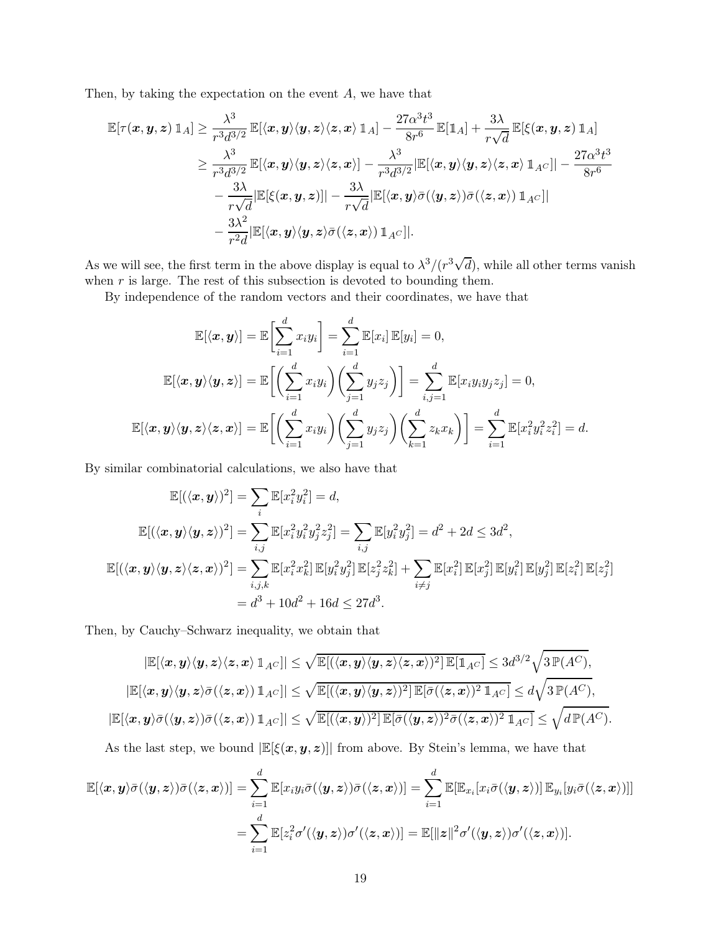Then, by taking the expectation on the event  $A$ , we have that

$$
\mathbb{E}[\tau(\boldsymbol{x},\boldsymbol{y},\boldsymbol{z})\,\mathbb{1}_A] \geq \frac{\lambda^3}{r^3d^{3/2}}\,\mathbb{E}[\langle \boldsymbol{x},\boldsymbol{y}\rangle\langle \boldsymbol{y},\boldsymbol{z}\rangle\langle \boldsymbol{z},\boldsymbol{x}\rangle\,\mathbb{1}_A] - \frac{27\alpha^3t^3}{8r^6}\,\mathbb{E}[\mathbb{1}_A] + \frac{3\lambda}{r\sqrt{d}}\,\mathbb{E}[\xi(\boldsymbol{x},\boldsymbol{y},\boldsymbol{z})\,\mathbb{1}_A] \\ \geq \frac{\lambda^3}{r^3d^{3/2}}\,\mathbb{E}[\langle \boldsymbol{x},\boldsymbol{y}\rangle\langle \boldsymbol{y},\boldsymbol{z}\rangle\langle \boldsymbol{z},\boldsymbol{x}\rangle] - \frac{\lambda^3}{r^3d^{3/2}}|\mathbb{E}[\langle \boldsymbol{x},\boldsymbol{y}\rangle\langle \boldsymbol{y},\boldsymbol{z}\rangle\langle \boldsymbol{z},\boldsymbol{x}\rangle\,\mathbb{1}_{A^C}]| - \frac{27\alpha^3t^3}{8r^6} \\ - \frac{3\lambda}{r\sqrt{d}}|\mathbb{E}[\xi(\boldsymbol{x},\boldsymbol{y},\boldsymbol{z})]| - \frac{3\lambda}{r\sqrt{d}}|\mathbb{E}[\langle \boldsymbol{x},\boldsymbol{y}\rangle\bar{\sigma}(\langle \boldsymbol{y},\boldsymbol{z}\rangle)\bar{\sigma}(\langle \boldsymbol{z},\boldsymbol{x}\rangle)\,\mathbb{1}_{A^C}]| \\ - \frac{3\lambda^2}{r^2d}|\mathbb{E}[\langle \boldsymbol{x},\boldsymbol{y}\rangle\langle \boldsymbol{y},\boldsymbol{z}\rangle\bar{\sigma}(\langle \boldsymbol{z},\boldsymbol{x}\rangle)\,\mathbb{1}_{A^C}].
$$

As we will see, the first term in the above display is equal to  $\lambda^3/(r^3\sqrt{d})$ , while all other terms vanish when  $r$  is large. The rest of this subsection is devoted to bounding them.

By independence of the random vectors and their coordinates, we have that

$$
\mathbb{E}[\langle \mathbf{x}, \mathbf{y} \rangle] = \mathbb{E}\bigg[\sum_{i=1}^{d} x_i y_i\bigg] = \sum_{i=1}^{d} \mathbb{E}[x_i] \mathbb{E}[y_i] = 0,
$$
  

$$
\mathbb{E}[\langle \mathbf{x}, \mathbf{y} \rangle \langle \mathbf{y}, \mathbf{z} \rangle] = \mathbb{E}\bigg[\bigg(\sum_{i=1}^{d} x_i y_i\bigg)\bigg(\sum_{j=1}^{d} y_j z_j\bigg)\bigg] = \sum_{i,j=1}^{d} \mathbb{E}[x_i y_i y_j z_j] = 0,
$$
  

$$
\mathbb{E}[\langle \mathbf{x}, \mathbf{y} \rangle \langle \mathbf{y}, \mathbf{z} \rangle \langle \mathbf{z}, \mathbf{x} \rangle] = \mathbb{E}\bigg[\bigg(\sum_{i=1}^{d} x_i y_i\bigg)\bigg(\sum_{j=1}^{d} y_j z_j\bigg)\bigg(\sum_{k=1}^{d} z_k x_k\bigg)\bigg] = \sum_{i=1}^{d} \mathbb{E}[x_i^2 y_i^2 z_i^2] = d.
$$

By similar combinatorial calculations, we also have that

$$
\mathbb{E}[(\langle \mathbf{x}, \mathbf{y} \rangle)^2] = \sum_i \mathbb{E}[x_i^2 y_i^2] = d,
$$
  
\n
$$
\mathbb{E}[(\langle \mathbf{x}, \mathbf{y} \rangle \langle \mathbf{y}, \mathbf{z} \rangle)^2] = \sum_{i,j} \mathbb{E}[x_i^2 y_i^2 y_j^2 z_j^2] = \sum_{i,j} \mathbb{E}[y_i^2 y_j^2] = d^2 + 2d \le 3d^2,
$$
  
\n
$$
\mathbb{E}[(\langle \mathbf{x}, \mathbf{y} \rangle \langle \mathbf{y}, \mathbf{z} \rangle \langle \mathbf{z}, \mathbf{x} \rangle)^2] = \sum_{i,j,k} \mathbb{E}[x_i^2 x_k^2] \mathbb{E}[y_i^2 y_j^2] \mathbb{E}[z_j^2 z_k^2] + \sum_{i \neq j} \mathbb{E}[x_i^2] \mathbb{E}[x_j^2] \mathbb{E}[y_i^2] \mathbb{E}[y_j^2] \mathbb{E}[z_i^2] \mathbb{E}[z_j^2]
$$
  
\n
$$
= d^3 + 10d^2 + 16d \le 27d^3.
$$

Then, by Cauchy–Schwarz inequality, we obtain that

$$
|\mathbb{E}[\langle x, y \rangle \langle y, z \rangle \langle z, x \rangle \mathbbm{1}_{A^C}]| \leq \sqrt{\mathbb{E}[(\langle x, y \rangle \langle y, z \rangle \langle z, x \rangle)^2] \mathbb{E}[\mathbbm{1}_{A^C}]} \leq 3d^{3/2} \sqrt{3\mathbb{P}(A^C)},
$$
  

$$
|\mathbb{E}[\langle x, y \rangle \langle y, z \rangle \bar{\sigma}(\langle z, x \rangle) \mathbbm{1}_{A^C}]| \leq \sqrt{\mathbb{E}[(\langle x, y \rangle \langle y, z \rangle)^2] \mathbb{E}[\bar{\sigma}(\langle z, x \rangle)^2 \mathbbm{1}_{A^C}]} \leq d \sqrt{3\mathbb{P}(A^C)},
$$
  

$$
|\mathbb{E}[\langle x, y \rangle \bar{\sigma}(\langle y, z \rangle) \bar{\sigma}(\langle z, x \rangle) \mathbbm{1}_{A^C}]| \leq \sqrt{\mathbb{E}[(\langle x, y \rangle)^2] \mathbb{E}[\bar{\sigma}(\langle y, z \rangle)^2 \bar{\sigma}(\langle z, x \rangle)^2 \mathbbm{1}_{A^C}]} \leq \sqrt{d \mathbb{P}(A^C)}.
$$

As the last step, we bound  $\mathbb{E}[\xi(x, y, z)]$  from above. By Stein's lemma, we have that

$$
\mathbb{E}[\langle \boldsymbol{x}, \boldsymbol{y} \rangle \bar{\sigma}(\langle \boldsymbol{y}, \boldsymbol{z} \rangle) \bar{\sigma}(\langle \boldsymbol{z}, \boldsymbol{x} \rangle)] = \sum_{i=1}^d \mathbb{E}[x_i y_i \bar{\sigma}(\langle \boldsymbol{y}, \boldsymbol{z} \rangle) \bar{\sigma}(\langle \boldsymbol{z}, \boldsymbol{x} \rangle)] = \sum_{i=1}^d \mathbb{E}[\mathbb{E}_{x_i}[x_i \bar{\sigma}(\langle \boldsymbol{y}, \boldsymbol{z} \rangle)] \mathbb{E}_{y_i}[y_i \bar{\sigma}(\langle \boldsymbol{z}, \boldsymbol{x} \rangle)]]
$$
  
= 
$$
\sum_{i=1}^d \mathbb{E}[z_i^2 \sigma'(\langle \boldsymbol{y}, \boldsymbol{z} \rangle) \sigma'(\langle \boldsymbol{z}, \boldsymbol{x} \rangle)] = \mathbb{E}[\|\boldsymbol{z}\|^2 \sigma'(\langle \boldsymbol{y}, \boldsymbol{z} \rangle) \sigma'(\langle \boldsymbol{z}, \boldsymbol{x} \rangle)].
$$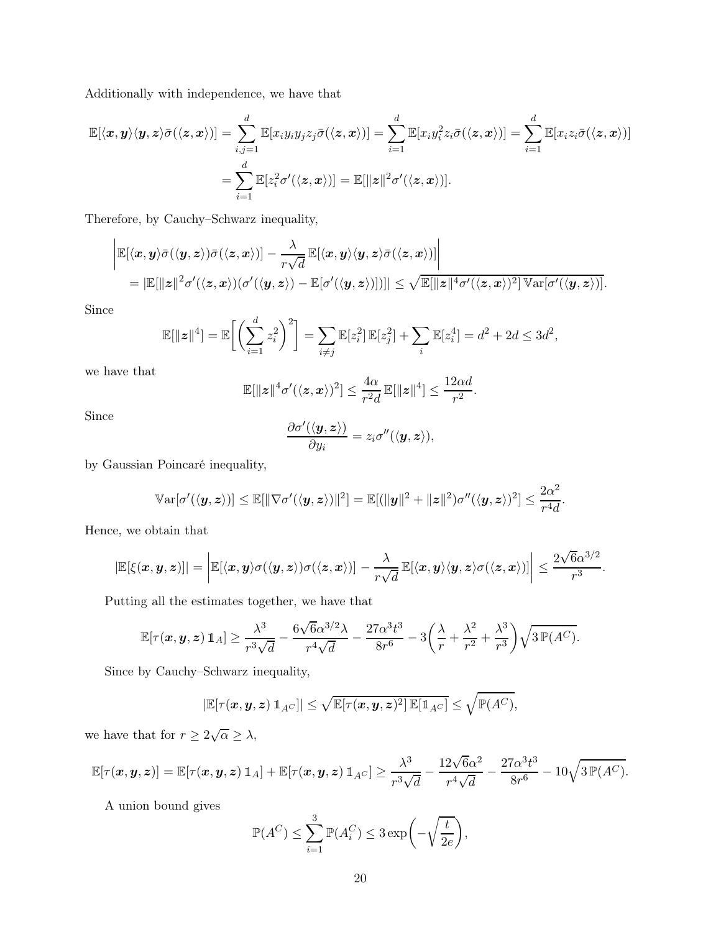Additionally with independence, we have that

$$
\mathbb{E}[\langle \boldsymbol{x}, \boldsymbol{y} \rangle \langle \boldsymbol{y}, \boldsymbol{z} \rangle \bar{\sigma}(\langle \boldsymbol{z}, \boldsymbol{x} \rangle)] = \sum_{i,j=1}^d \mathbb{E}[x_i y_i y_j z_j \bar{\sigma}(\langle \boldsymbol{z}, \boldsymbol{x} \rangle)] = \sum_{i=1}^d \mathbb{E}[x_i y_i^2 z_i \bar{\sigma}(\langle \boldsymbol{z}, \boldsymbol{x} \rangle)] = \sum_{i=1}^d \mathbb{E}[x_i z_i \bar{\sigma}(\langle \boldsymbol{z}, \boldsymbol{x} \rangle)]
$$

$$
= \sum_{i=1}^d \mathbb{E}[z_i^2 \sigma'(\langle \boldsymbol{z}, \boldsymbol{x} \rangle)] = \mathbb{E}[\|\boldsymbol{z}\|^2 \sigma'(\langle \boldsymbol{z}, \boldsymbol{x} \rangle)].
$$

Therefore, by Cauchy–Schwarz inequality,

$$
\begin{aligned}&\left|\mathbb{E}[\langle x,y\rangle \bar{\sigma}(\langle y,z\rangle )\bar{\sigma}(\langle z,x\rangle )]-\frac{\lambda}{r\sqrt{d}}\mathbb{E}[\langle x,y\rangle \langle y,z\rangle \bar{\sigma}(\langle z,x\rangle )]\right|\\&=|\mathbb{E}[\|z\|^2\sigma'(\langle z,x\rangle )(\sigma'(\langle y,z\rangle)-\mathbb{E}[\sigma'(\langle y,z\rangle )])]| \leq \sqrt{\mathbb{E}[\|z\|^4\sigma'(\langle z,x\rangle)^2]\,\mathbb{V}\mathrm{ar}[\sigma'(\langle y,z\rangle )]}.\end{aligned}
$$

Since

$$
\mathbb{E}[\|z\|^4] = \mathbb{E}\bigg[\bigg(\sum_{i=1}^d z_i^2\bigg)^2\bigg] = \sum_{i \neq j} \mathbb{E}[z_i^2] \, \mathbb{E}[z_j^2] + \sum_i \mathbb{E}[z_i^4] = d^2 + 2d \le 3d^2,
$$

we have that

$$
\mathbb{E}[\|z\|^4 \sigma'(\langle z,x\rangle)^2] \leq \frac{4\alpha}{r^2 d} \mathbb{E}[\|z\|^4] \leq \frac{12\alpha d}{r^2}.
$$

Since

$$
\frac{\partial \sigma'(\langle \boldsymbol{y}, \boldsymbol{z} \rangle)}{\partial y_i} = z_i \sigma''(\langle \boldsymbol{y}, \boldsymbol{z} \rangle),
$$

by Gaussian Poincaré inequality,

$$
\mathbb{V}\text{ar}[\sigma'(\langle \mathbf{y}, \mathbf{z} \rangle)] \le \mathbb{E}[\|\nabla \sigma'(\langle \mathbf{y}, \mathbf{z} \rangle)\|^2] = \mathbb{E}[(\|\mathbf{y}\|^2 + \|\mathbf{z}\|^2)\sigma''(\langle \mathbf{y}, \mathbf{z} \rangle)^2] \le \frac{2\alpha^2}{r^4d}.
$$

Hence, we obtain that

$$
|\mathbb{E}[\xi(x,y,z)]| = \bigg|\mathbb{E}[\langle x,y\rangle \sigma(\langle y,z\rangle) \sigma(\langle z,x\rangle)] - \frac{\lambda}{r\sqrt{d}}\mathbb{E}[\langle x,y\rangle \langle y,z\rangle \sigma(\langle z,x\rangle)]\bigg| \leq \frac{2\sqrt{6}\alpha^{3/2}}{r^3}.
$$

Putting all the estimates together, we have that

$$
\mathbb{E}[\tau(\boldsymbol{x},\boldsymbol{y},\boldsymbol{z})\,\mathbbm{1}_A] \geq \frac{\lambda^3}{r^3\sqrt{d}} - \frac{6\sqrt{6}\alpha^{3/2}\lambda}{r^4\sqrt{d}} - \frac{27\alpha^3 t^3}{8r^6} - 3\bigg(\frac{\lambda}{r} + \frac{\lambda^2}{r^2} + \frac{\lambda^3}{r^3}\bigg)\sqrt{3\,\mathbb{P}(A^C)}.
$$

Since by Cauchy–Schwarz inequality,

$$
|\mathbb{E}[\tau(\boldsymbol{x},\boldsymbol{y},\boldsymbol{z})\,1\!\!1_{A^C}]|\leq \sqrt{\mathbb{E}[\tau(\boldsymbol{x},\boldsymbol{y},\boldsymbol{z})^2]\,\mathbb{E}[1\!\!1_{A^C}]}\leq \sqrt{\mathbb{P}(A^C)},
$$

we have that for  $r \geq 2\sqrt{\alpha} \geq \lambda$ ,

$$
\mathbb{E}[\tau(\boldsymbol{x},\boldsymbol{y},\boldsymbol{z})] = \mathbb{E}[\tau(\boldsymbol{x},\boldsymbol{y},\boldsymbol{z})\,\mathbbm{1}_A] + \mathbb{E}[\tau(\boldsymbol{x},\boldsymbol{y},\boldsymbol{z})\,\mathbbm{1}_{A^C}] \geq \frac{\lambda^3}{r^3\sqrt{d}} - \frac{12\sqrt{6}\alpha^2}{r^4\sqrt{d}} - \frac{27\alpha^3 t^3}{8r^6} - 10\sqrt{3\,\mathbb{P}(A^C)}.
$$

A union bound gives

$$
\mathbb{P}(A^C) \le \sum_{i=1}^3 \mathbb{P}(A_i^C) \le 3 \exp\bigg(-\sqrt{\frac{t}{2e}}\bigg),\,
$$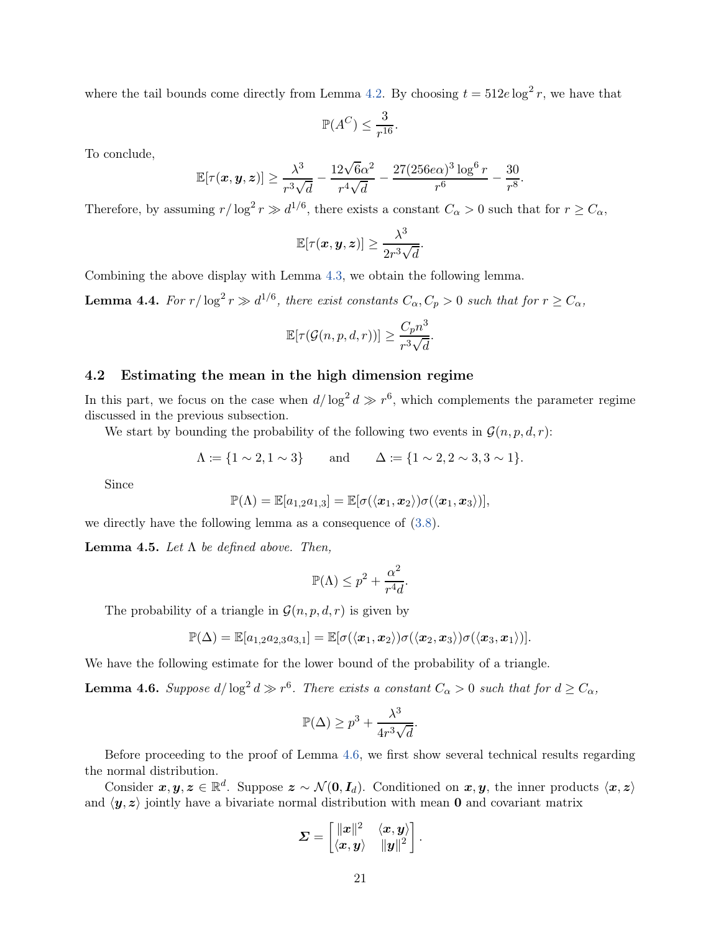where the tail bounds come directly from Lemma [4.2.](#page-14-0) By choosing  $t = 512e \log^2 r$ , we have that

$$
\mathbb{P}(A^C) \le \frac{3}{r^{16}}.
$$

To conclude,

$$
\mathbb{E}[\tau(\bm{x}, \bm{y}, \bm{z})] \ge \frac{\lambda^3}{r^3 \sqrt{d}} - \frac{12\sqrt{6\alpha^2}}{r^4 \sqrt{d}} - \frac{27(256e\alpha)^3 \log^6 r}{r^6} - \frac{30}{r^8}.
$$

Therefore, by assuming  $r/\log^2 r \gg d^{1/6}$ , there exists a constant  $C_{\alpha} > 0$  such that for  $r \ge C_{\alpha}$ ,

$$
\mathbb{E}[\tau(\boldsymbol{x},\boldsymbol{y},\boldsymbol{z})] \geq \frac{\lambda^3}{2r^3\sqrt{d}}.
$$

Combining the above display with Lemma [4.3,](#page-16-2) we obtain the following lemma.

<span id="page-20-2"></span>**Lemma 4.4.** For  $r/\log^2 r \gg d^{1/6}$ , there exist constants  $C_{\alpha}, C_p > 0$  such that for  $r \ge C_{\alpha}$ ,

$$
\mathbb{E}[\tau(\mathcal{G}(n, p, d, r))] \ge \frac{C_p n^3}{r^3 \sqrt{d}}.
$$

#### 4.2 Estimating the mean in the high dimension regime

In this part, we focus on the case when  $d/\log^2 d \gg r^6$ , which complements the parameter regime discussed in the previous subsection.

We start by bounding the probability of the following two events in  $\mathcal{G}(n, p, d, r)$ :

$$
\Lambda := \{1 \sim 2, 1 \sim 3\}
$$
 and  $\Delta := \{1 \sim 2, 2 \sim 3, 3 \sim 1\}.$ 

Since

$$
\mathbb{P}(\Lambda)=\mathbb{E}[a_{1,2}a_{1,3}]=\mathbb{E}[\sigma(\langle \boldsymbol{x}_1,\boldsymbol{x}_2\rangle)\sigma(\langle \boldsymbol{x}_1,\boldsymbol{x}_3\rangle)],
$$

we directly have the following lemma as a consequence of [\(3.8\)](#page-12-3).

<span id="page-20-1"></span>**Lemma 4.5.** Let  $\Lambda$  be defined above. Then,

$$
\mathbb{P}(\Lambda) \le p^2 + \frac{\alpha^2}{r^4 d}.
$$

The probability of a triangle in  $\mathcal{G}(n, p, d, r)$  is given by

$$
\mathbb{P}(\Delta) = \mathbb{E}[a_{1,2}a_{2,3}a_{3,1}] = \mathbb{E}[\sigma(\langle \boldsymbol{x}_1, \boldsymbol{x}_2 \rangle) \sigma(\langle \boldsymbol{x}_2, \boldsymbol{x}_3 \rangle) \sigma(\langle \boldsymbol{x}_3, \boldsymbol{x}_1 \rangle)].
$$

We have the following estimate for the lower bound of the probability of a triangle.

<span id="page-20-0"></span>**Lemma 4.6.** Suppose  $d/\log^2 d \gg r^6$ . There exists a constant  $C_{\alpha} > 0$  such that for  $d \geq C_{\alpha}$ ,

$$
\mathbb{P}(\Delta) \ge p^3 + \frac{\lambda^3}{4r^3\sqrt{d}}.
$$

Before proceeding to the proof of Lemma [4.6,](#page-20-0) we first show several technical results regarding the normal distribution.

Consider  $x, y, z \in \mathbb{R}^d$ . Suppose  $z \sim \mathcal{N}(0, I_d)$ . Conditioned on  $x, y$ , the inner products  $\langle x, z \rangle$ and  $\langle y, z \rangle$  jointly have a bivariate normal distribution with mean 0 and covariant matrix

$$
\boldsymbol{\varSigma} = \begin{bmatrix} \|\boldsymbol{x}\|^2 & \langle \boldsymbol{x}, \boldsymbol{y} \rangle \\ \langle \boldsymbol{x}, \boldsymbol{y} \rangle & \|\boldsymbol{y}\|^2 \end{bmatrix}.
$$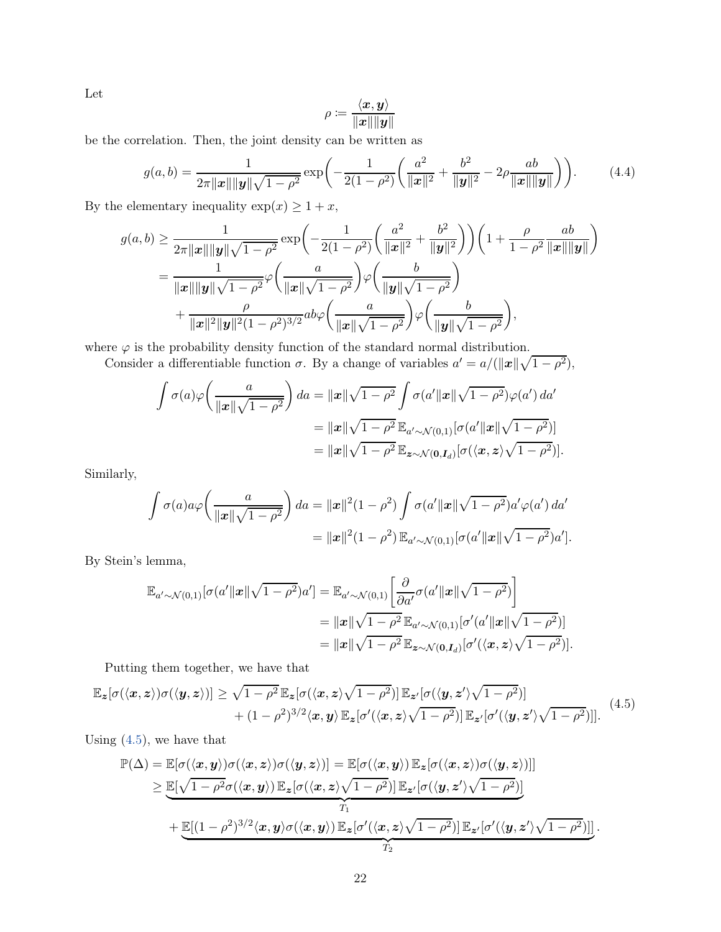Let

$$
\rho \coloneqq \frac{\langle x, y \rangle}{\|x\| \|y\|}
$$

be the correlation. Then, the joint density can be written as

$$
g(a,b) = \frac{1}{2\pi ||\mathbf{x}|| ||\mathbf{y}|| \sqrt{1-\rho^2}} \exp\left(-\frac{1}{2(1-\rho^2)} \left(\frac{a^2}{||\mathbf{x}||^2} + \frac{b^2}{||\mathbf{y}||^2} - 2\rho \frac{ab}{||\mathbf{x}|| ||\mathbf{y}||}\right)\right).
$$
(4.4)

By the elementary inequality  $\exp(x) \geq 1 + x$ ,

$$
g(a,b) \ge \frac{1}{2\pi ||x|| ||y|| \sqrt{1-\rho^2}} \exp\left(-\frac{1}{2(1-\rho^2)} \left(\frac{a^2}{||x||^2} + \frac{b^2}{||y||^2}\right)\right) \left(1 + \frac{\rho}{1-\rho^2} \frac{ab}{||x|| ||y||}\right)
$$
  
= 
$$
\frac{1}{||x|| ||y|| \sqrt{1-\rho^2}} \varphi\left(\frac{a}{||x|| \sqrt{1-\rho^2}}\right) \varphi\left(\frac{b}{||y|| \sqrt{1-\rho^2}}\right)
$$
  
+ 
$$
\frac{\rho}{||x||^2 ||y||^2 (1-\rho^2)^{3/2}} ab\varphi\left(\frac{a}{||x|| \sqrt{1-\rho^2}}\right) \varphi\left(\frac{b}{||y|| \sqrt{1-\rho^2}}\right),
$$

where  $\varphi$  is the probability density function of the standard normal distribution.

Consider a differentiable function  $\sigma$ . By a change of variables  $a' = a/(\Vert \mathbf{x} \Vert \sqrt{1-\rho^2}),$ 

$$
\int \sigma(a)\varphi\left(\frac{a}{\|x\|\sqrt{1-\rho^2}}\right)da = \|x\|\sqrt{1-\rho^2}\int \sigma(a'\|x\|\sqrt{1-\rho^2})\varphi(a')\,da' \n= \|x\|\sqrt{1-\rho^2}\,\mathbb{E}_{a'\sim\mathcal{N}(0,1)}[\sigma(a'\|x\|\sqrt{1-\rho^2})] \n= \|x\|\sqrt{1-\rho^2}\,\mathbb{E}_{\mathbf{z}\sim\mathcal{N}(\mathbf{0},\mathbf{I}_d)}[\sigma(\langle\mathbf{x},\mathbf{z}\rangle\sqrt{1-\rho^2})].
$$

Similarly,

$$
\int \sigma(a)a\varphi\left(\frac{a}{\|x\|\sqrt{1-\rho^2}}\right)da = \|x\|^2(1-\rho^2)\int \sigma(a'\|x\|\sqrt{1-\rho^2})a'\varphi(a')\,da' \n= \|x\|^2(1-\rho^2)\,\mathbb{E}_{a'\sim\mathcal{N}(0,1)}[\sigma(a'\|x\|\sqrt{1-\rho^2})a'].
$$

By Stein's lemma,

$$
\mathbb{E}_{a'\sim\mathcal{N}(0,1)}[\sigma(a'\|x\|\sqrt{1-\rho^2})a'] = \mathbb{E}_{a'\sim\mathcal{N}(0,1)}\left[\frac{\partial}{\partial a'}\sigma(a'\|x\|\sqrt{1-\rho^2})\right]
$$
  
\n
$$
= \|x\|\sqrt{1-\rho^2}\mathbb{E}_{a'\sim\mathcal{N}(0,1)}[\sigma'(a'\|x\|\sqrt{1-\rho^2})]
$$
  
\n
$$
= \|x\|\sqrt{1-\rho^2}\mathbb{E}_{z\sim\mathcal{N}(0,I_d)}[\sigma'(\langle x,z\rangle\sqrt{1-\rho^2})].
$$

Putting them together, we have that

<span id="page-21-0"></span>
$$
\mathbb{E}_{\mathbf{z}}[\sigma(\langle \mathbf{x}, \mathbf{z} \rangle) \sigma(\langle \mathbf{y}, \mathbf{z} \rangle)] \ge \sqrt{1 - \rho^2} \mathbb{E}_{\mathbf{z}}[\sigma(\langle \mathbf{x}, \mathbf{z} \rangle \sqrt{1 - \rho^2})] \mathbb{E}_{\mathbf{z}'}[\sigma(\langle \mathbf{y}, \mathbf{z}' \rangle \sqrt{1 - \rho^2})]
$$
  
+  $(1 - \rho^2)^{3/2} \langle \mathbf{x}, \mathbf{y} \rangle \mathbb{E}_{\mathbf{z}}[\sigma'(\langle \mathbf{x}, \mathbf{z} \rangle \sqrt{1 - \rho^2})] \mathbb{E}_{\mathbf{z}'}[\sigma'(\langle \mathbf{y}, \mathbf{z}' \rangle \sqrt{1 - \rho^2})].$  (4.5)

Using  $(4.5)$ , we have that

$$
\mathbb{P}(\Delta) = \mathbb{E}[\sigma(\langle x, y \rangle) \sigma(\langle x, z \rangle) \sigma(\langle y, z \rangle)] = \mathbb{E}[\sigma(\langle x, y \rangle) \mathbb{E}_{z}[\sigma(\langle x, z \rangle) \sigma(\langle y, z \rangle)]]
$$
  
\n
$$
\geq \underbrace{\mathbb{E}[\sqrt{1 - \rho^{2}} \sigma(\langle x, y \rangle) \mathbb{E}_{z}[\sigma(\langle x, z \rangle \sqrt{1 - \rho^{2}})] \mathbb{E}_{z'}[\sigma(\langle y, z' \rangle \sqrt{1 - \rho^{2}})]}_{T_{1}} + \underbrace{\mathbb{E}[(1 - \rho^{2})^{3/2} \langle x, y \rangle \sigma(\langle x, y \rangle) \mathbb{E}_{z}[\sigma'(\langle x, z \rangle \sqrt{1 - \rho^{2}})] \mathbb{E}_{z'}[\sigma'(\langle y, z' \rangle \sqrt{1 - \rho^{2}})]]}_{T_{2}}.
$$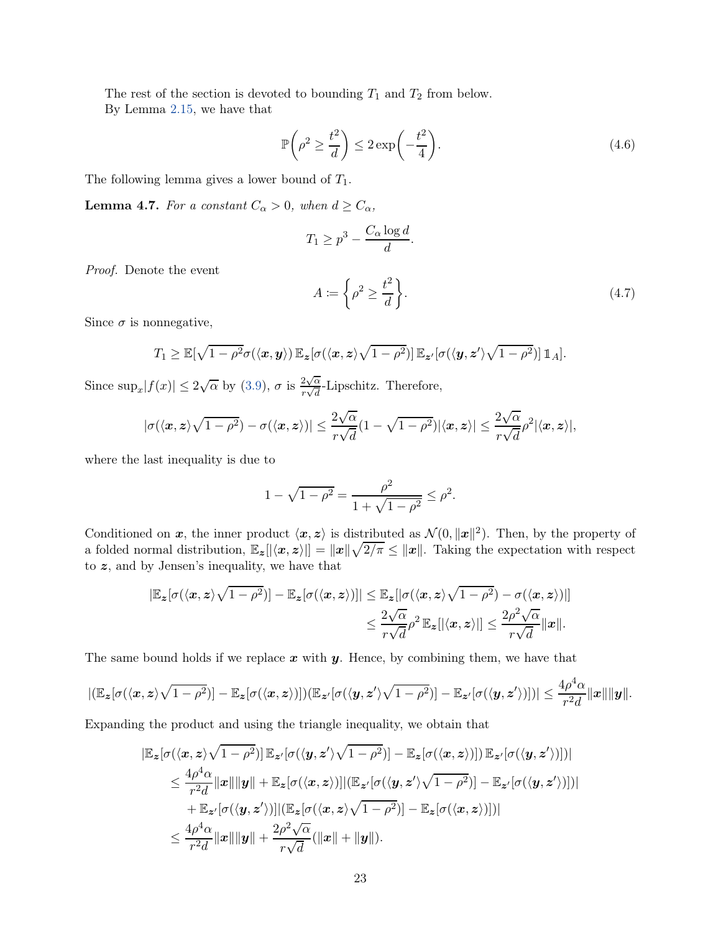The rest of the section is devoted to bounding  $T_1$  and  $T_2$  from below. By Lemma [2.15,](#page-8-0) we have that

<span id="page-22-0"></span>
$$
\mathbb{P}\left(\rho^2 \ge \frac{t^2}{d}\right) \le 2\exp\left(-\frac{t^2}{4}\right). \tag{4.6}
$$

The following lemma gives a lower bound of  $T_1$ .

<span id="page-22-1"></span>**Lemma 4.7.** For a constant  $C_{\alpha} > 0$ , when  $d \geq C_{\alpha}$ ,

$$
T_1 \ge p^3 - \frac{C_\alpha \log d}{d}.
$$

Proof. Denote the event

$$
A := \left\{ \rho^2 \ge \frac{t^2}{d} \right\}.
$$
\n
$$
(4.7)
$$

Since  $\sigma$  is nonnegative,

$$
T_1 \geq \mathbb{E}[\sqrt{1-\rho^2}\sigma(\langle \mathbf{x}, \mathbf{y} \rangle) \mathbb{E}_{\mathbf{z}}[\sigma(\langle \mathbf{x}, \mathbf{z} \rangle \sqrt{1-\rho^2})] \mathbb{E}_{\mathbf{z}'}[\sigma(\langle \mathbf{y}, \mathbf{z}' \rangle \sqrt{1-\rho^2})] \mathbb{1}_A].
$$

Since  $\sup_x |f(x)| \leq 2\sqrt{\alpha}$  by [\(3.9\)](#page-12-1),  $\sigma$  is  $\frac{2\sqrt{\alpha}}{r\sqrt{d}}$  $\frac{2\sqrt{\alpha}}{r\sqrt{d}}$ -Lipschitz. Therefore,

$$
|\sigma(\langle \mathbf{x}, \mathbf{z} \rangle \sqrt{1-\rho^2}) - \sigma(\langle \mathbf{x}, \mathbf{z} \rangle)| \leq \frac{2\sqrt{\alpha}}{r\sqrt{d}} (1 - \sqrt{1-\rho^2}) |\langle \mathbf{x}, \mathbf{z} \rangle| \leq \frac{2\sqrt{\alpha}}{r\sqrt{d}} \rho^2 |\langle \mathbf{x}, \mathbf{z} \rangle|,
$$

where the last inequality is due to

$$
1 - \sqrt{1 - \rho^2} = \frac{\rho^2}{1 + \sqrt{1 - \rho^2}} \le \rho^2.
$$

Conditioned on x, the inner product  $\langle x, z \rangle$  is distributed as  $\mathcal{N}(0, ||x||^2)$ . Then, by the property of a folded normal distribution,  $\mathbb{E}_{\mathbf{z}}[|\langle \mathbf{x}, \mathbf{z} \rangle|] = \|\mathbf{x}\| \sqrt{2/\pi} \leq \|\mathbf{x}\|$ . Taking the expectation with respect to z, and by Jensen's inequality, we have that

$$
|\mathbb{E}_{\mathbf{z}}[\sigma(\langle \mathbf{x}, \mathbf{z} \rangle \sqrt{1-\rho^2})] - \mathbb{E}_{\mathbf{z}}[\sigma(\langle \mathbf{x}, \mathbf{z} \rangle)]| \leq \mathbb{E}_{\mathbf{z}}[|\sigma(\langle \mathbf{x}, \mathbf{z} \rangle \sqrt{1-\rho^2}) - \sigma(\langle \mathbf{x}, \mathbf{z} \rangle)|] \n\leq \frac{2\sqrt{\alpha}}{r\sqrt{d}}\rho^2 \mathbb{E}_{\mathbf{z}}[|\langle \mathbf{x}, \mathbf{z} \rangle|] \leq \frac{2\rho^2\sqrt{\alpha}}{r\sqrt{d}} \|\mathbf{x}\|.
$$

The same bound holds if we replace  $x$  with  $y$ . Hence, by combining them, we have that

$$
|(\mathbb{E}_{\boldsymbol{z}}[\sigma(\langle \boldsymbol{x}, \boldsymbol{z} \rangle \sqrt{1-\rho^2})] - \mathbb{E}_{\boldsymbol{z}}[\sigma(\langle \boldsymbol{x}, \boldsymbol{z} \rangle)])(\mathbb{E}_{\boldsymbol{z}'}[\sigma(\langle \boldsymbol{y}, \boldsymbol{z}' \rangle \sqrt{1-\rho^2})] - \mathbb{E}_{\boldsymbol{z}'}[\sigma(\langle \boldsymbol{y}, \boldsymbol{z}' \rangle)])| \leq \frac{4\rho^4 \alpha}{r^2 d} ||\boldsymbol{x}|| ||\boldsymbol{y}||.
$$

Expanding the product and using the triangle inequality, we obtain that

$$
\begin{aligned} |\mathbb{E}_{\boldsymbol{z}}[\sigma(\langle \boldsymbol{x}, \boldsymbol{z} \rangle \sqrt{1-\rho^2})] \, \mathbb{E}_{\boldsymbol{z}'}[\sigma(\langle \boldsymbol{y}, \boldsymbol{z}' \rangle \sqrt{1-\rho^2})] - \mathbb{E}_{\boldsymbol{z}}[\sigma(\langle \boldsymbol{x}, \boldsymbol{z} \rangle)]] \, \mathbb{E}_{\boldsymbol{z}'}[\sigma(\langle \boldsymbol{y}, \boldsymbol{z}' \rangle)]]| \\ &\leq \frac{4\rho^4 \alpha}{r^2 d} ||\boldsymbol{x}|| ||\boldsymbol{y}|| + \mathbb{E}_{\boldsymbol{z}}[\sigma(\langle \boldsymbol{x}, \boldsymbol{z} \rangle)] | (\mathbb{E}_{\boldsymbol{z}'}[\sigma(\langle \boldsymbol{y}, \boldsymbol{z}' \rangle \sqrt{1-\rho^2})] - \mathbb{E}_{\boldsymbol{z}'}[\sigma(\langle \boldsymbol{y}, \boldsymbol{z}' \rangle)]]| \\ &+ \mathbb{E}_{\boldsymbol{z}'}[\sigma(\langle \boldsymbol{y}, \boldsymbol{z}' \rangle)] | (\mathbb{E}_{\boldsymbol{z}}[\sigma(\langle \boldsymbol{x}, \boldsymbol{z} \rangle \sqrt{1-\rho^2})] - \mathbb{E}_{\boldsymbol{z}}[\sigma(\langle \boldsymbol{x}, \boldsymbol{z} \rangle)]]| \\ &\leq \frac{4\rho^4 \alpha}{r^2 d} ||\boldsymbol{x}|| ||\boldsymbol{y}|| + \frac{2\rho^2 \sqrt{\alpha}}{r \sqrt{d}} (||\boldsymbol{x}|| + ||\boldsymbol{y}||). \end{aligned}
$$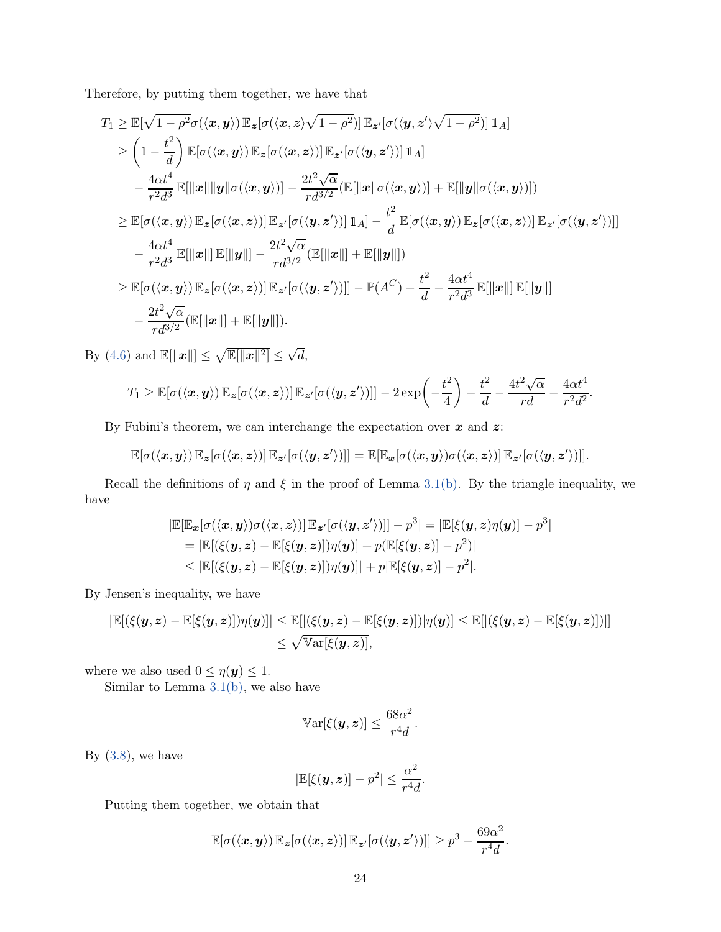Therefore, by putting them together, we have that

$$
T_1 \geq \mathbb{E}[\sqrt{1-\rho^2}\sigma(\langle x, y \rangle) \mathbb{E}_z[\sigma(\langle x, z \rangle \sqrt{1-\rho^2})] \mathbb{E}_{z'}[\sigma(\langle y, z' \rangle \sqrt{1-\rho^2})] \mathbb{1}_A]
$$
  
\n
$$
\geq \left(1-\frac{t^2}{d}\right) \mathbb{E}[\sigma(\langle x, y \rangle) \mathbb{E}_z[\sigma(\langle x, z \rangle)] \mathbb{E}_{z'}[\sigma(\langle y, z' \rangle)] \mathbb{1}_A]
$$
  
\n
$$
-\frac{4\alpha t^4}{r^2 d^3} \mathbb{E}[\|\boldsymbol{x}\| \|\boldsymbol{y}\| \sigma(\langle x, y \rangle)] - \frac{2t^2 \sqrt{\alpha}}{r d^{3/2}} (\mathbb{E}[\|\boldsymbol{x}\| \sigma(\langle x, y \rangle)] + \mathbb{E}[\|\boldsymbol{y}\| \sigma(\langle x, y \rangle)])
$$
  
\n
$$
\geq \mathbb{E}[\sigma(\langle x, y \rangle) \mathbb{E}_z[\sigma(\langle x, z \rangle)] \mathbb{E}_{z'}[\sigma(\langle y, z' \rangle)] \mathbb{1}_A] - \frac{t^2}{d} \mathbb{E}[\sigma(\langle x, y \rangle) \mathbb{E}_z[\sigma(\langle x, z \rangle)] \mathbb{E}_{z'}[\sigma(\langle y, z' \rangle)]]
$$
  
\n
$$
-\frac{4\alpha t^4}{r^2 d^3} \mathbb{E}[\|\boldsymbol{x}\|] \mathbb{E}[\|\boldsymbol{y}\|] - \frac{2t^2 \sqrt{\alpha}}{r d^{3/2}} (\mathbb{E}[\|\boldsymbol{x}\|] + \mathbb{E}[\|\boldsymbol{y}\|])
$$
  
\n
$$
\geq \mathbb{E}[\sigma(\langle x, y \rangle) \mathbb{E}_z[\sigma(\langle x, z \rangle)] \mathbb{E}_{z'}[\sigma(\langle y, z' \rangle)]] - \mathbb{P}(A^C) - \frac{t^2}{d} - \frac{4\alpha t^4}{r^2 d^3} \mathbb{E}[\|\boldsymbol{x}\|] \mathbb{E}[\|\boldsymbol{y}\|]
$$
  
\n
$$
-\frac{2t^2 \sqrt{\alpha}}{r d^{3/2}} (\mathbb{E}[\|\boldsymbol{x}\|] + \mathbb{E}[\|\boldsymbol{y}\|]).
$$

By [\(4.6\)](#page-22-0) and  $\mathbb{E}[\Vert \boldsymbol{x} \Vert] \leq \sqrt{\mathbb{E}[\Vert \boldsymbol{x} \Vert^2]} \leq \sqrt{d}$ ,

$$
T_1 \geq \mathbb{E}[\sigma(\langle \mathbf{x}, \mathbf{y} \rangle) \mathbb{E}_{\mathbf{z}}[\sigma(\langle \mathbf{x}, \mathbf{z} \rangle)] \mathbb{E}_{\mathbf{z}'}[\sigma(\langle \mathbf{y}, \mathbf{z}' \rangle)]] - 2 \exp\left(-\frac{t^2}{4}\right) - \frac{t^2}{d} - \frac{4t^2\sqrt{\alpha}}{rd} - \frac{4\alpha t^4}{r^2 d^2}.
$$

By Fubini's theorem, we can interchange the expectation over  $x$  and  $z$ :

$$
\mathbb{E}[\sigma(\langle x, y \rangle) \mathbb{E}_{\boldsymbol{z}}[\sigma(\langle x, z \rangle)] \mathbb{E}_{\boldsymbol{z}'}[\sigma(\langle y, z' \rangle)]] = \mathbb{E}[\mathbb{E}_{\boldsymbol{x}}[\sigma(\langle x, y \rangle) \sigma(\langle x, z \rangle)] \mathbb{E}_{\boldsymbol{z}'}[\sigma(\langle y, z' \rangle)]].
$$

Recall the definitions of  $\eta$  and  $\xi$  in the proof of Lemma [3.1\(b\).](#page-11-3) By the triangle inequality, we have

$$
|\mathbb{E}[\mathbb{E}_{\boldsymbol{x}}[\sigma(\langle \boldsymbol{x}, \boldsymbol{y} \rangle) \sigma(\langle \boldsymbol{x}, \boldsymbol{z} \rangle)] \mathbb{E}_{\boldsymbol{z}'}[\sigma(\langle \boldsymbol{y}, \boldsymbol{z}' \rangle)]] - p^3| = |\mathbb{E}[\xi(\boldsymbol{y}, \boldsymbol{z}) \eta(\boldsymbol{y})] - p^3|
$$
  
\n
$$
= |\mathbb{E}[(\xi(\boldsymbol{y}, \boldsymbol{z}) - \mathbb{E}[\xi(\boldsymbol{y}, \boldsymbol{z})]) \eta(\boldsymbol{y})] + p(\mathbb{E}[\xi(\boldsymbol{y}, \boldsymbol{z})] - p^2)|
$$
  
\n
$$
\leq |\mathbb{E}[(\xi(\boldsymbol{y}, \boldsymbol{z}) - \mathbb{E}[\xi(\boldsymbol{y}, \boldsymbol{z})]) \eta(\boldsymbol{y})]| + p|\mathbb{E}[\xi(\boldsymbol{y}, \boldsymbol{z})] - p^2|.
$$

By Jensen's inequality, we have

$$
|\mathbb{E}[(\xi(\mathbf{y},\mathbf{z}) - \mathbb{E}[\xi(\mathbf{y},\mathbf{z})])\eta(\mathbf{y})]| \leq \mathbb{E}[|(\xi(\mathbf{y},\mathbf{z}) - \mathbb{E}[\xi(\mathbf{y},\mathbf{z})])|\eta(\mathbf{y})] \leq \mathbb{E}[|(\xi(\mathbf{y},\mathbf{z}) - \mathbb{E}[\xi(\mathbf{y},\mathbf{z})])|]
$$
  

$$
\leq \sqrt{\mathbb{V}\text{ar}[\xi(\mathbf{y},\mathbf{z})]},
$$

where we also used  $0 \leq \eta(\boldsymbol{y}) \leq 1$ .

Similar to Lemma [3.1\(b\),](#page-11-3) we also have

$$
\mathbb{V}\text{ar}[\xi(\boldsymbol{y},\boldsymbol{z})] \leq \frac{68\alpha^2}{r^4d}.
$$

By  $(3.8)$ , we have

$$
|\mathbb{E}[\xi(\mathbf{y},\mathbf{z})] - p^2| \leq \frac{\alpha^2}{r^4 d}.
$$

Putting them together, we obtain that

$$
\mathbb{E}[\sigma(\langle \mathbf{x}, \mathbf{y} \rangle) \mathbb{E}_{\mathbf{z}}[\sigma(\langle \mathbf{x}, \mathbf{z} \rangle)] \mathbb{E}_{\mathbf{z}'}[\sigma(\langle \mathbf{y}, \mathbf{z}' \rangle)]] \ge p^3 - \frac{69\alpha^2}{r^4 d}
$$

.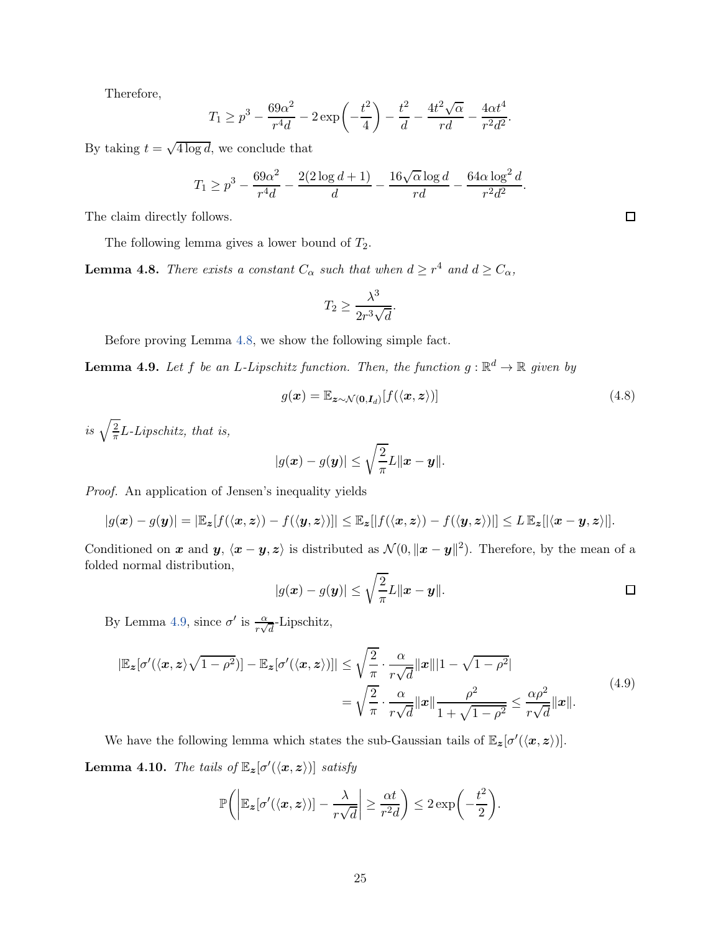Therefore,

$$
T_1 \ge p^3 - \frac{69\alpha^2}{r^4 d} - 2 \exp\left(-\frac{t^2}{4}\right) - \frac{t^2}{d} - \frac{4t^2\sqrt{\alpha}}{rd} - \frac{4\alpha t^4}{r^2 d^2}.
$$

By taking  $t = \sqrt{4 \log d}$ , we conclude that

$$
T_1 \ge p^3 - \frac{69\alpha^2}{r^4 d} - \frac{2(2\log d + 1)}{d} - \frac{16\sqrt{\alpha}\log d}{rd} - \frac{64\alpha\log^2 d}{r^2 d^2}.
$$

The claim directly follows.

The following lemma gives a lower bound of  $T_2$ .

<span id="page-24-0"></span>**Lemma 4.8.** There exists a constant  $C_{\alpha}$  such that when  $d \geq r^4$  and  $d \geq C_{\alpha}$ ,

$$
T_2 \ge \frac{\lambda^3}{2r^3\sqrt{d}}.
$$

Before proving Lemma [4.8,](#page-24-0) we show the following simple fact.

<span id="page-24-1"></span>**Lemma 4.9.** Let f be an L-Lipschitz function. Then, the function  $g : \mathbb{R}^d \to \mathbb{R}$  given by

$$
g(\boldsymbol{x}) = \mathbb{E}_{\boldsymbol{z} \sim \mathcal{N}(\mathbf{0}, \boldsymbol{I}_d)}[f(\langle \boldsymbol{x}, \boldsymbol{z} \rangle)] \tag{4.8}
$$

is  $\sqrt{\frac{2}{\pi}}$  $\frac{2}{\pi}$ *L*-*Lipschitz*, that is,

$$
|g(\boldsymbol{x})-g(\boldsymbol{y})|\leq \sqrt{\frac{2}{\pi}}L\|\boldsymbol{x}-\boldsymbol{y}\|.
$$

Proof. An application of Jensen's inequality yields

$$
|g(\mathbf{x})-g(\mathbf{y})| = |\mathbb{E}_{\mathbf{z}}[f(\langle \mathbf{x}, \mathbf{z} \rangle) - f(\langle \mathbf{y}, \mathbf{z} \rangle)]| \leq \mathbb{E}_{\mathbf{z}}[|f(\langle \mathbf{x}, \mathbf{z} \rangle) - f(\langle \mathbf{y}, \mathbf{z} \rangle)]| \leq L \mathbb{E}_{\mathbf{z}}[|\langle \mathbf{x} - \mathbf{y}, \mathbf{z} \rangle|].
$$

Conditioned on x and y,  $\langle x - y, z \rangle$  is distributed as  $\mathcal{N}(0, \|x - y\|^2)$ . Therefore, by the mean of a folded normal distribution,

$$
|g(\boldsymbol{x}) - g(\boldsymbol{y})| \leq \sqrt{\frac{2}{\pi}} L \|\boldsymbol{x} - \boldsymbol{y}\|.
$$

By Lemma [4.9,](#page-24-1) since  $\sigma'$  is  $\frac{\alpha}{r\sqrt{d}}$ -Lipschitz,

<span id="page-24-3"></span>
$$
|\mathbb{E}_{\mathbf{z}}[\sigma'(\langle \mathbf{x}, \mathbf{z} \rangle \sqrt{1-\rho^2})] - \mathbb{E}_{\mathbf{z}}[\sigma'(\langle \mathbf{x}, \mathbf{z} \rangle)]| \leq \sqrt{\frac{2}{\pi}} \cdot \frac{\alpha}{r\sqrt{d}} ||\mathbf{x}|| |1 - \sqrt{1-\rho^2}|
$$
  
= 
$$
\sqrt{\frac{2}{\pi}} \cdot \frac{\alpha}{r\sqrt{d}} ||\mathbf{x}|| \frac{\rho^2}{1 + \sqrt{1-\rho^2}} \leq \frac{\alpha \rho^2}{r\sqrt{d}} ||\mathbf{x}||.
$$
 (4.9)

<span id="page-24-2"></span>We have the following lemma which states the sub-Gaussian tails of  $\mathbb{E}_{\mathbf{z}}[\sigma'(\langle \mathbf{x}, \mathbf{z} \rangle)].$ **Lemma 4.10.** The tails of  $\mathbb{E}_{\mathbf{z}}[\sigma'(\langle \mathbf{x}, \mathbf{z} \rangle)]$  satisfy

$$
\mathbb{P}\bigg(\bigg|\mathbb{E}_{\boldsymbol{z}}[\sigma'(\langle \boldsymbol{x}, \boldsymbol{z}\rangle)] - \frac{\lambda}{r\sqrt{d}}\bigg| \geq \frac{\alpha t}{r^2 d}\bigg) \leq 2 \exp\bigg(-\frac{t^2}{2}\bigg).
$$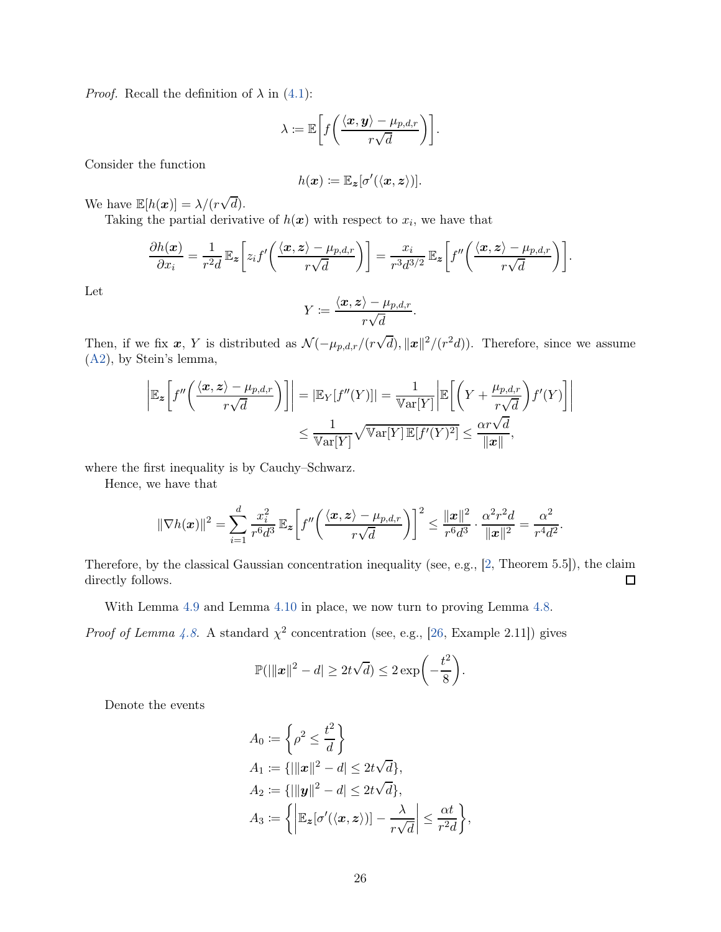*Proof.* Recall the definition of  $\lambda$  in [\(4.1\)](#page-16-0):

$$
\lambda \coloneqq \mathbb{E}\bigg[f\bigg(\frac{\langle \boldsymbol{x}, \boldsymbol{y} \rangle - \mu_{p,d,r}}{r\sqrt{d}}\bigg)\bigg].
$$

Consider the function

$$
h(\boldsymbol{x}) \coloneqq \mathbb{E}_{\boldsymbol{z}}[\sigma'(\langle \boldsymbol{x}, \boldsymbol{z} \rangle)].
$$

We have  $\mathbb{E}[h(\boldsymbol{x})] = \lambda/(r\sqrt{d}).$ 

Taking the partial derivative of  $h(x)$  with respect to  $x_i$ , we have that

$$
\frac{\partial h(\boldsymbol{x})}{\partial x_i} = \frac{1}{r^2 d} \mathbb{E}_{\boldsymbol{z}} \bigg[ z_i f' \bigg( \frac{\langle \boldsymbol{x}, \boldsymbol{z} \rangle - \mu_{p,d,r}}{r \sqrt{d}} \bigg) \bigg] = \frac{x_i}{r^3 d^{3/2}} \mathbb{E}_{\boldsymbol{z}} \bigg[ f'' \bigg( \frac{\langle \boldsymbol{x}, \boldsymbol{z} \rangle - \mu_{p,d,r}}{r \sqrt{d}} \bigg) \bigg].
$$

Let

$$
Y \coloneqq \frac{\langle \boldsymbol{x}, \boldsymbol{z} \rangle - \mu_{p,d,r}}{r \sqrt{d}}.
$$

Then, if we fix  $x$ , Y is distributed as  $\mathcal{N}(-\mu_{p,d,r}/(r\sqrt{d}), ||x||^2/(r^2d))$ . Therefore, since we assume [\(A2\)](#page-1-2), by Stein's lemma,

$$
\left| \mathbb{E}_{\mathbf{z}} \left[ f''\left( \frac{\langle x, z \rangle - \mu_{p,d,r}}{r \sqrt{d}} \right) \right] \right| = \left| \mathbb{E}_{Y} [f''(Y)] \right| = \frac{1}{\text{Var}[Y]} \left| \mathbb{E} \left[ \left( Y + \frac{\mu_{p,d,r}}{r \sqrt{d}} \right) f'(Y) \right] \right|
$$
  

$$
\leq \frac{1}{\text{Var}[Y]} \sqrt{\text{Var}[Y] \mathbb{E}[f'(Y)^2]} \leq \frac{\alpha r \sqrt{d}}{\|x\|},
$$

where the first inequality is by Cauchy–Schwarz.

Hence, we have that

$$
\|\nabla h(\boldsymbol{x})\|^2 = \sum_{i=1}^d \frac{x_i^2}{r^6 d^3} \mathbb{E}_{\boldsymbol{z}} \bigg[ f''\bigg(\frac{\langle \boldsymbol{x}, \boldsymbol{z} \rangle - \mu_{p,d,r}}{r \sqrt{d}} \bigg) \bigg]^2 \leq \frac{\|\boldsymbol{x}\|^2}{r^6 d^3} \cdot \frac{\alpha^2 r^2 d}{\|\boldsymbol{x}\|^2} = \frac{\alpha^2}{r^4 d^2}.
$$

Therefore, by the classical Gaussian concentration inequality (see, e.g., [\[2](#page-31-12), Theorem 5.5]), the claim directly follows.  $\Box$ 

With Lemma [4.9](#page-24-1) and Lemma [4.10](#page-24-2) in place, we now turn to proving Lemma [4.8.](#page-24-0)

*Proof of Lemma [4.8.](#page-24-0)* A standard  $\chi^2$  concentration (see, e.g., [\[26,](#page-32-10) Example 2.11]) gives

$$
\mathbb{P}(||\|\boldsymbol{x}\|^2 - d| \geq 2t\sqrt{d}) \leq 2\exp\biggl(-\frac{t^2}{8}\biggr).
$$

Denote the events

$$
A_0 := \left\{ \rho^2 \le \frac{t^2}{d} \right\}
$$
  
\n
$$
A_1 := \{ |||x||^2 - d| \le 2t\sqrt{d} \},
$$
  
\n
$$
A_2 := \{ |||y||^2 - d| \le 2t\sqrt{d} \},
$$
  
\n
$$
A_3 := \left\{ \left| \mathbb{E}_z[\sigma'(\langle x, z \rangle)] - \frac{\lambda}{r\sqrt{d}} \right| \le \frac{\alpha t}{r^2 d} \right\},
$$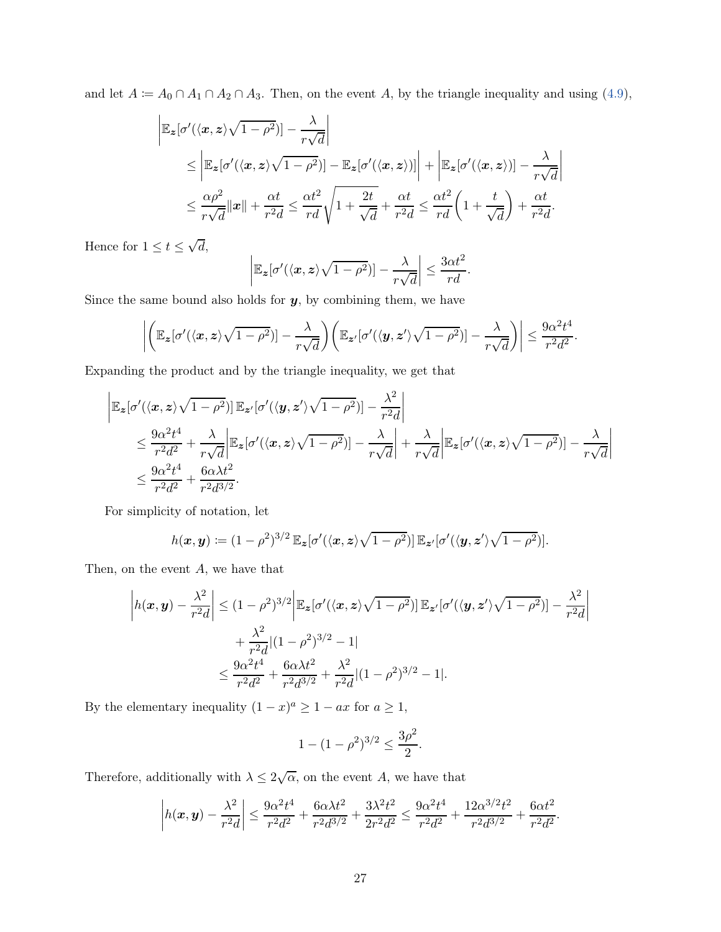and let  $A := A_0 \cap A_1 \cap A_2 \cap A_3$ . Then, on the event A, by the triangle inequality and using [\(4.9\)](#page-24-3),

$$
\begin{split} \left| \mathbb{E}_{\mathbf{z}}[\sigma'(\langle \mathbf{x}, \mathbf{z} \rangle \sqrt{1-\rho^2})] - \frac{\lambda}{r\sqrt{d}} \right| \\ &\leq \left| \mathbb{E}_{\mathbf{z}}[\sigma'(\langle \mathbf{x}, \mathbf{z} \rangle \sqrt{1-\rho^2})] - \mathbb{E}_{\mathbf{z}}[\sigma'(\langle \mathbf{x}, \mathbf{z} \rangle)] \right| + \left| \mathbb{E}_{\mathbf{z}}[\sigma'(\langle \mathbf{x}, \mathbf{z} \rangle)] - \frac{\lambda}{r\sqrt{d}} \right| \\ &\leq \frac{\alpha \rho^2}{r\sqrt{d}} \| \mathbf{x} \| + \frac{\alpha t}{r^2 d} \leq \frac{\alpha t^2}{r d} \sqrt{1 + \frac{2t}{\sqrt{d}}} + \frac{\alpha t}{r^2 d} \leq \frac{\alpha t^2}{r d} \left( 1 + \frac{t}{\sqrt{d}} \right) + \frac{\alpha t}{r^2 d}. \end{split}
$$

Hence for  $1 \le t \le \sqrt{d}$ ,

$$
\left|\mathbb{E}_{\boldsymbol{z}}[\sigma'(\langle \boldsymbol{x}, \boldsymbol{z}\rangle \sqrt{1-\rho^2})] - \frac{\lambda}{r\sqrt{d}}\right| \leq \frac{3\alpha t^2}{rd}.
$$

Since the same bound also holds for  $y$ , by combining them, we have

$$
\left| \left( \mathbb{E}_{\boldsymbol{z}}[\sigma'(\langle \boldsymbol{x}, \boldsymbol{z} \rangle \sqrt{1-\rho^2})] - \frac{\lambda}{r\sqrt{d}} \right) \left( \mathbb{E}_{\boldsymbol{z}'}[\sigma'(\langle \boldsymbol{y}, \boldsymbol{z}' \rangle \sqrt{1-\rho^2})] - \frac{\lambda}{r\sqrt{d}} \right) \right| \leq \frac{9\alpha^2 t^4}{r^2 d^2}.
$$

Expanding the product and by the triangle inequality, we get that

$$
\begin{split} \left| \mathbb{E}_{\mathbf{z}}[\sigma'(\langle \mathbf{x}, \mathbf{z} \rangle \sqrt{1-\rho^2})] \, \mathbb{E}_{\mathbf{z}'}[\sigma'(\langle \mathbf{y}, \mathbf{z}' \rangle \sqrt{1-\rho^2})] - \frac{\lambda^2}{r^2 d} \right| \\ &\leq \frac{9\alpha^2 t^4}{r^2 d^2} + \frac{\lambda}{r \sqrt{d}} \left| \mathbb{E}_{\mathbf{z}}[\sigma'(\langle \mathbf{x}, \mathbf{z} \rangle \sqrt{1-\rho^2})] - \frac{\lambda}{r \sqrt{d}} \right| + \frac{\lambda}{r \sqrt{d}} \left| \mathbb{E}_{\mathbf{z}}[\sigma'(\langle \mathbf{x}, \mathbf{z} \rangle \sqrt{1-\rho^2})] - \frac{\lambda}{r \sqrt{d}} \right| \\ &\leq \frac{9\alpha^2 t^4}{r^2 d^2} + \frac{6\alpha \lambda t^2}{r^2 d^{3/2}}. \end{split}
$$

For simplicity of notation, let

$$
h(\boldsymbol{x},\boldsymbol{y}) \coloneqq (1-\rho^2)^{3/2} \mathbb{E}_{\boldsymbol{z}}[\sigma'(\langle \boldsymbol{x}, \boldsymbol{z} \rangle \sqrt{1-\rho^2})] \mathbb{E}_{\boldsymbol{z}'}[\sigma'(\langle \boldsymbol{y}, \boldsymbol{z}' \rangle \sqrt{1-\rho^2})].
$$

Then, on the event  $A$ , we have that

$$
\left| h(x, y) - \frac{\lambda^2}{r^2 d} \right| \le (1 - \rho^2)^{3/2} \left| \mathbb{E}_z[\sigma'(\langle x, z \rangle \sqrt{1 - \rho^2})] \mathbb{E}_{z'}[\sigma'(\langle y, z' \rangle \sqrt{1 - \rho^2})] - \frac{\lambda^2}{r^2 d} \right|
$$
  
+ 
$$
\frac{\lambda^2}{r^2 d} |(1 - \rho^2)^{3/2} - 1|
$$
  

$$
\le \frac{9\alpha^2 t^4}{r^2 d^2} + \frac{6\alpha \lambda t^2}{r^2 d^{3/2}} + \frac{\lambda^2}{r^2 d} |(1 - \rho^2)^{3/2} - 1|.
$$

By the elementary inequality  $(1-x)^a \ge 1 - ax$  for  $a \ge 1$ ,

$$
1 - (1 - \rho^2)^{3/2} \le \frac{3\rho^2}{2}.
$$

Therefore, additionally with  $\lambda \leq 2\sqrt{\alpha}$ , on the event A, we have that

$$
\left| h(x, y) - \frac{\lambda^2}{r^2 d} \right| \le \frac{9\alpha^2 t^4}{r^2 d^2} + \frac{6\alpha \lambda t^2}{r^2 d^{3/2}} + \frac{3\lambda^2 t^2}{2r^2 d^2} \le \frac{9\alpha^2 t^4}{r^2 d^2} + \frac{12\alpha^{3/2} t^2}{r^2 d^{3/2}} + \frac{6\alpha t^2}{r^2 d^2}.
$$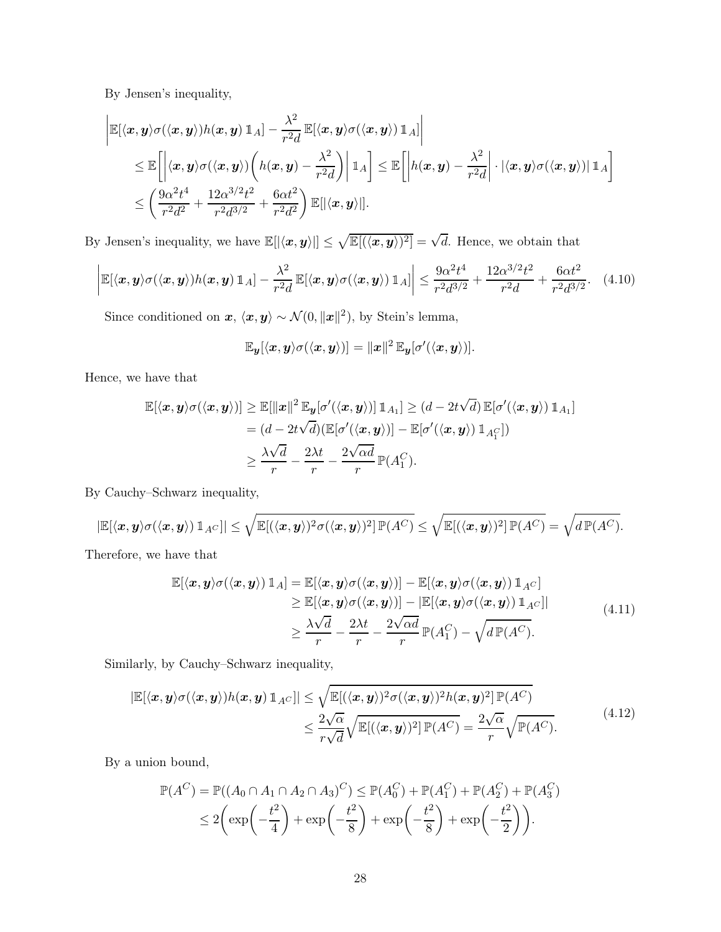By Jensen's inequality,

$$
\begin{aligned} &\left| \mathbb{E}[\langle \bm{x},\bm{y}\rangle \sigma(\langle \bm{x},\bm{y}\rangle) h(\bm{x},\bm{y}) \, \mathbbm{1}_A] - \frac{\lambda^2}{r^2 d} \, \mathbb{E}[\langle \bm{x},\bm{y}\rangle \sigma(\langle \bm{x},\bm{y}\rangle) \, \mathbbm{1}_A] \right| \\ &\leq \mathbb{E}\bigg[ \bigg| \langle \bm{x},\bm{y}\rangle \sigma(\langle \bm{x},\bm{y}\rangle) \bigg( h(\bm{x},\bm{y}) - \frac{\lambda^2}{r^2 d} \bigg) \bigg| \, \mathbbm{1}_A \bigg] \leq \mathbb{E}\bigg[ \bigg| h(\bm{x},\bm{y}) - \frac{\lambda^2}{r^2 d} \bigg| \cdot |\langle \bm{x},\bm{y}\rangle \sigma(\langle \bm{x},\bm{y}\rangle) | \, \mathbbm{1}_A \bigg] \\ &\leq \bigg( \frac{9\alpha^2 t^4}{r^2 d^2} + \frac{12\alpha^{3/2} t^2}{r^2 d^{3/2}} + \frac{6\alpha t^2}{r^2 d^2} \bigg) \, \mathbb{E}[|\langle \bm{x},\bm{y}\rangle|]. \end{aligned}
$$

By Jensen's inequality, we have  $\mathbb{E}[|\langle x, y \rangle|] \leq \sqrt{\mathbb{E}[(\langle x, y \rangle)^2]} = \sqrt{d}$ . Hence, we obtain that

<span id="page-27-0"></span>
$$
\left| \mathbb{E}[\langle \boldsymbol{x}, \boldsymbol{y} \rangle \sigma(\langle \boldsymbol{x}, \boldsymbol{y} \rangle) h(\boldsymbol{x}, \boldsymbol{y}) \, \mathbb{1}_A] - \frac{\lambda^2}{r^2 d} \, \mathbb{E}[\langle \boldsymbol{x}, \boldsymbol{y} \rangle \sigma(\langle \boldsymbol{x}, \boldsymbol{y} \rangle) \, \mathbb{1}_A] \right| \leq \frac{9\alpha^2 t^4}{r^2 d^{3/2}} + \frac{12\alpha^{3/2} t^2}{r^2 d} + \frac{6\alpha t^2}{r^2 d^{3/2}}. \tag{4.10}
$$

Since conditioned on  $x, \langle x, y \rangle \sim \mathcal{N}(0, ||x||^2)$ , by Stein's lemma,

$$
\mathbb{E}_{\boldsymbol{y}}[\langle \boldsymbol{x}, \boldsymbol{y} \rangle \sigma(\langle \boldsymbol{x}, \boldsymbol{y} \rangle)] = ||\boldsymbol{x}||^2 \mathbb{E}_{\boldsymbol{y}}[\sigma'(\langle \boldsymbol{x}, \boldsymbol{y} \rangle)].
$$

Hence, we have that

$$
\mathbb{E}[\langle \mathbf{x}, \mathbf{y} \rangle \sigma(\langle \mathbf{x}, \mathbf{y} \rangle)] \geq \mathbb{E}[\|\mathbf{x}\|^2 \mathbb{E}_{\mathbf{y}}[\sigma'(\langle \mathbf{x}, \mathbf{y} \rangle)] \mathbb{1}_{A_1}] \geq (d - 2t\sqrt{d}) \mathbb{E}[\sigma'(\langle \mathbf{x}, \mathbf{y} \rangle) \mathbb{1}_{A_1}]
$$
  
\n
$$
= (d - 2t\sqrt{d}) (\mathbb{E}[\sigma'(\langle \mathbf{x}, \mathbf{y} \rangle)] - \mathbb{E}[\sigma'(\langle \mathbf{x}, \mathbf{y} \rangle) \mathbb{1}_{A_1^C}])
$$
  
\n
$$
\geq \frac{\lambda \sqrt{d}}{r} - \frac{2\lambda t}{r} - \frac{2\sqrt{d}}{r} \mathbb{P}(A_1^C).
$$

By Cauchy–Schwarz inequality,

$$
|\mathbb{E}[\langle \bm{x},\bm{y}\rangle \sigma(\langle \bm{x},\bm{y}\rangle) \, \mathbb{1}_{A^C}]| \leq \sqrt{\mathbb{E}[(\langle \bm{x},\bm{y}\rangle)^2 \sigma(\langle \bm{x},\bm{y}\rangle)^2]\,\mathbb{P}(A^C)} \leq \sqrt{\mathbb{E}[(\langle \bm{x},\bm{y}\rangle)^2]\,\mathbb{P}(A^C)} = \sqrt{d\,\mathbb{P}(A^C)}.
$$

<span id="page-27-1"></span>Therefore, we have that

$$
\mathbb{E}[\langle \boldsymbol{x}, \boldsymbol{y} \rangle \sigma(\langle \boldsymbol{x}, \boldsymbol{y} \rangle) \mathbbm{1}_A] = \mathbb{E}[\langle \boldsymbol{x}, \boldsymbol{y} \rangle \sigma(\langle \boldsymbol{x}, \boldsymbol{y} \rangle)] - \mathbb{E}[\langle \boldsymbol{x}, \boldsymbol{y} \rangle \sigma(\langle \boldsymbol{x}, \boldsymbol{y} \rangle) \mathbbm{1}_{A^C}] \n\geq \mathbb{E}[\langle \boldsymbol{x}, \boldsymbol{y} \rangle \sigma(\langle \boldsymbol{x}, \boldsymbol{y} \rangle)] - |\mathbb{E}[\langle \boldsymbol{x}, \boldsymbol{y} \rangle \sigma(\langle \boldsymbol{x}, \boldsymbol{y} \rangle) \mathbbm{1}_{A^C}]| \n\geq \frac{\lambda \sqrt{d}}{r} - \frac{2\lambda t}{r} - \frac{2\sqrt{\alpha d}}{r} \mathbb{P}(A_1^C) - \sqrt{d \mathbb{P}(A^C)}.
$$
\n(4.11)

Similarly, by Cauchy–Schwarz inequality,

<span id="page-27-2"></span>
$$
|\mathbb{E}[\langle \mathbf{x}, \mathbf{y} \rangle \sigma(\langle \mathbf{x}, \mathbf{y} \rangle) h(\mathbf{x}, \mathbf{y}) \mathbb{1}_{A^C}]| \leq \sqrt{\mathbb{E}[(\langle \mathbf{x}, \mathbf{y} \rangle)^2 \sigma(\langle \mathbf{x}, \mathbf{y} \rangle)^2 h(\mathbf{x}, \mathbf{y})^2] \mathbb{P}(A^C)}
$$
  

$$
\leq \frac{2\sqrt{\alpha}}{r\sqrt{d}} \sqrt{\mathbb{E}[(\langle \mathbf{x}, \mathbf{y} \rangle)^2] \mathbb{P}(A^C)} = \frac{2\sqrt{\alpha}}{r} \sqrt{\mathbb{P}(A^C)}.
$$
 (4.12)

By a union bound,

$$
\mathbb{P}(A^C) = \mathbb{P}((A_0 \cap A_1 \cap A_2 \cap A_3)^C) \le \mathbb{P}(A_0^C) + \mathbb{P}(A_1^C) + \mathbb{P}(A_2^C) + \mathbb{P}(A_3^C)
$$
  
\n
$$
\le 2\left(\exp\left(-\frac{t^2}{4}\right) + \exp\left(-\frac{t^2}{8}\right) + \exp\left(-\frac{t^2}{8}\right) + \exp\left(-\frac{t^2}{2}\right)\right).
$$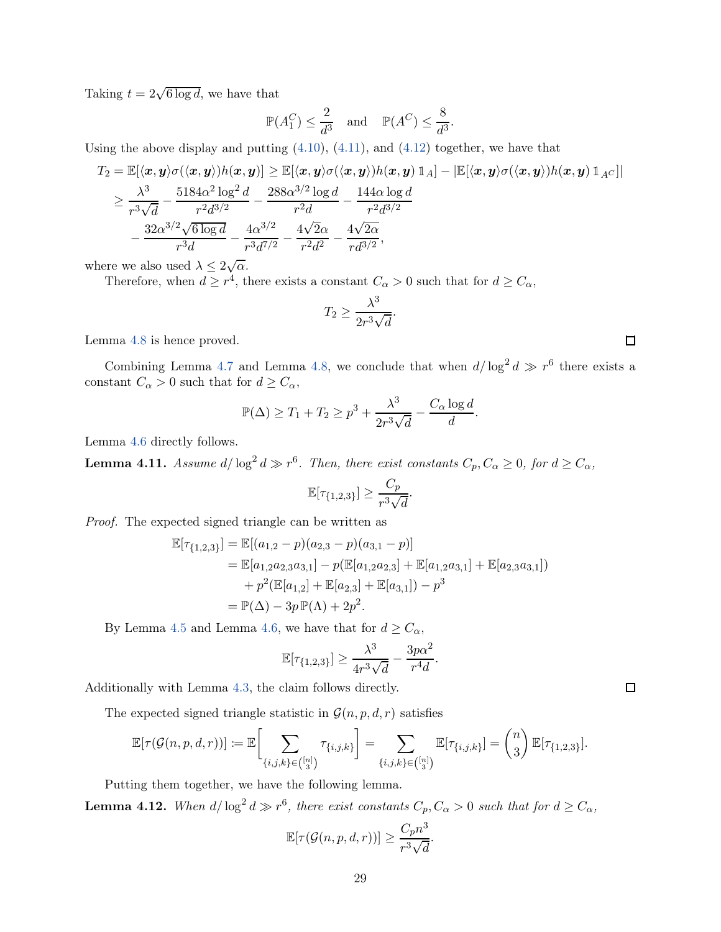Taking  $t = 2\sqrt{6 \log d}$ , we have that

$$
\mathbb{P}(A_1^C) \le \frac{2}{d^3} \quad \text{and} \quad \mathbb{P}(A^C) \le \frac{8}{d^3}.
$$

Using the above display and putting  $(4.10)$ ,  $(4.11)$ , and  $(4.12)$  together, we have that

$$
T_2 = \mathbb{E}[\langle \mathbf{x}, \mathbf{y} \rangle \sigma(\langle \mathbf{x}, \mathbf{y} \rangle) h(\mathbf{x}, \mathbf{y})] \geq \mathbb{E}[\langle \mathbf{x}, \mathbf{y} \rangle \sigma(\langle \mathbf{x}, \mathbf{y} \rangle) h(\mathbf{x}, \mathbf{y}) \mathbbm{1}_A] - |\mathbb{E}[\langle \mathbf{x}, \mathbf{y} \rangle \sigma(\langle \mathbf{x}, \mathbf{y} \rangle) h(\mathbf{x}, \mathbf{y}) \mathbbm{1}_A c]|
$$
  
\n
$$
\geq \frac{\lambda^3}{r^3 \sqrt{d}} - \frac{5184\alpha^2 \log^2 d}{r^2 d^{3/2}} - \frac{288\alpha^{3/2} \log d}{r^2 d} - \frac{144\alpha \log d}{r^2 d^{3/2}}
$$
  
\n
$$
- \frac{32\alpha^{3/2} \sqrt{6 \log d}}{r^3 d} - \frac{4\alpha^{3/2}}{r^3 d^{7/2}} - \frac{4\sqrt{2}\alpha}{r^2 d^2} - \frac{4\sqrt{2}\alpha}{r d^{3/2}},
$$

where we also used  $\lambda \leq 2\sqrt{\alpha}$ .

Therefore, when  $d \geq r^4$ , there exists a constant  $C_{\alpha} > 0$  such that for  $d \geq C_{\alpha}$ ,

$$
T_2 \ge \frac{\lambda^3}{2r^3\sqrt{d}}.
$$

Lemma [4.8](#page-24-0) is hence proved.

Combining Lemma [4.7](#page-22-1) and Lemma [4.8,](#page-24-0) we conclude that when  $d/\log^2 d \gg r^6$  there exists a constant  $C_{\alpha} > 0$  such that for  $d \geq C_{\alpha}$ ,

$$
\mathbb{P}(\Delta) \ge T_1 + T_2 \ge p^3 + \frac{\lambda^3}{2r^3\sqrt{d}} - \frac{C_\alpha \log d}{d}.
$$

Lemma [4.6](#page-20-0) directly follows.

**Lemma 4.11.** Assume  $d/\log^2 d \gg r^6$ . Then, there exist constants  $C_p, C_\alpha \geq 0$ , for  $d \geq C_\alpha$ ,

$$
\mathbb{E}[\tau_{\{1,2,3\}}] \ge \frac{C_p}{r^3 \sqrt{d}}
$$

.

Proof. The expected signed triangle can be written as

$$
\mathbb{E}[\tau_{\{1,2,3\}}] = \mathbb{E}[(a_{1,2} - p)(a_{2,3} - p)(a_{3,1} - p)]
$$
  
=  $\mathbb{E}[a_{1,2}a_{2,3}a_{3,1}] - p(\mathbb{E}[a_{1,2}a_{2,3}] + \mathbb{E}[a_{1,2}a_{3,1}] + \mathbb{E}[a_{2,3}a_{3,1}])$   
+  $p^2(\mathbb{E}[a_{1,2}] + \mathbb{E}[a_{2,3}] + \mathbb{E}[a_{3,1}]) - p^3$   
=  $\mathbb{P}(\Delta) - 3p \mathbb{P}(\Lambda) + 2p^2$ .

By Lemma [4.5](#page-20-1) and Lemma [4.6,](#page-20-0) we have that for  $d \geq C_{\alpha}$ ,

$$
\mathbb{E}[\tau_{\{1,2,3\}}] \ge \frac{\lambda^3}{4r^3\sqrt{d}} - \frac{3p\alpha^2}{r^4d}.
$$

Additionally with Lemma [4.3,](#page-16-2) the claim follows directly.

The expected signed triangle statistic in  $\mathcal{G}(n, p, d, r)$  satisfies

$$
\mathbb{E}[\tau(\mathcal{G}(n,p,d,r))] := \mathbb{E}\bigg[\sum_{\{i,j,k\} \in \binom{[n]}{3}} \tau_{\{i,j,k\}}\bigg] = \sum_{\{i,j,k\} \in \binom{[n]}{3}} \mathbb{E}[\tau_{\{i,j,k\}}] = \binom{n}{3} \mathbb{E}[\tau_{\{1,2,3\}}].
$$

Putting them together, we have the following lemma.

<span id="page-28-0"></span>**Lemma 4.12.** When  $d/\log^2 d \gg r^6$ , there exist constants  $C_p, C_\alpha > 0$  such that for  $d \geq C_\alpha$ ,

$$
\mathbb{E}[\tau(\mathcal{G}(n, p, d, r))] \ge \frac{C_p n^3}{r^3 \sqrt{d}}.
$$

 $\Box$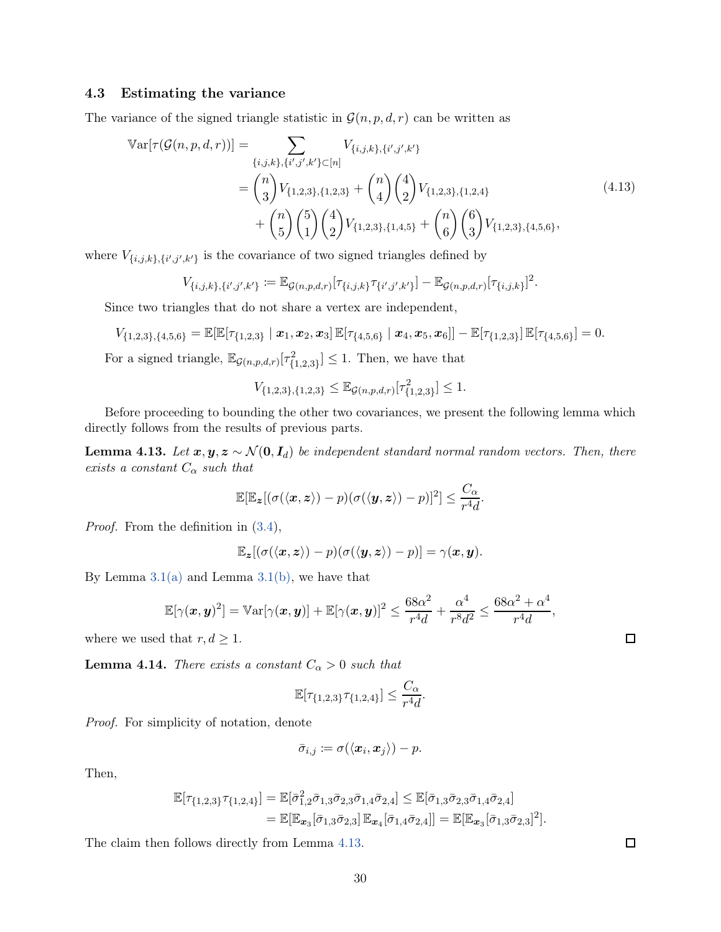### 4.3 Estimating the variance

The variance of the signed triangle statistic in  $\mathcal{G}(n, p, d, r)$  can be written as

$$
\mathbb{V}\text{ar}[\tau(\mathcal{G}(n, p, d, r))] = \sum_{\{i, j, k\}, \{i', j', k'\} \subset [n]} V_{\{i, j, k\}, \{i', j', k'\}} \n= {n \choose 3} V_{\{1, 2, 3\}, \{1, 2, 3\}} + {n \choose 4} {4 \choose 2} V_{\{1, 2, 3\}, \{1, 2, 4\}} \n+ {n \choose 5} {5 \choose 1} {4 \choose 2} V_{\{1, 2, 3\}, \{1, 4, 5\}} + {n \choose 6} {6 \choose 3} V_{\{1, 2, 3\}, \{4, 5, 6\}},
$$
\n(4.13)

where  $V_{\{i,j,k\},\{i',j',k'\}}$  is the covariance of two signed triangles defined by

$$
V_{\{i,j,k\},\{i',j',k'\}} \coloneqq \mathbb{E}_{\mathcal{G}(n,p,d,r)}[\tau_{\{i,j,k\}}\tau_{\{i',j',k'\}}] - \mathbb{E}_{\mathcal{G}(n,p,d,r)}[\tau_{\{i,j,k\}}]^2.
$$

Since two triangles that do not share a vertex are independent,

$$
V_{\{1,2,3\},\{4,5,6\}} = \mathbb{E}[\mathbb{E}[\tau_{\{1,2,3\}} \mid \boldsymbol{x}_1, \boldsymbol{x}_2, \boldsymbol{x}_3] \mathbb{E}[\tau_{\{4,5,6\}} \mid \boldsymbol{x}_4, \boldsymbol{x}_5, \boldsymbol{x}_6]] - \mathbb{E}[\tau_{\{1,2,3\}}] \mathbb{E}[\tau_{\{4,5,6\}}] = 0.
$$

For a signed triangle,  $\mathbb{E}_{\mathcal{G}(n,p,d,r)}[\tau^2_{\{1,2,3\}}] \leq 1$ . Then, we have that

$$
V_{\{1,2,3\},\{1,2,3\}} \leq \mathbb{E}_{\mathcal{G}(n,p,d,r)}[\tau^2_{\{1,2,3\}}] \leq 1.
$$

Before proceeding to bounding the other two covariances, we present the following lemma which directly follows from the results of previous parts.

<span id="page-29-0"></span>**Lemma 4.13.** Let  $x, y, z \sim \mathcal{N}(0, I_d)$  be independent standard normal random vectors. Then, there exists a constant  $C_{\alpha}$  such that

$$
\mathbb{E}[\mathbb{E}_{\mathbf{z}}[(\sigma(\langle \mathbf{x}, \mathbf{z} \rangle) - p)(\sigma(\langle \mathbf{y}, \mathbf{z} \rangle) - p)]^2] \leq \frac{C_{\alpha}}{r^4 d}.
$$

Proof. From the definition in [\(3.4\)](#page-11-6),

$$
\mathbb{E}_{\mathbf{z}}[(\sigma(\langle \mathbf{x}, \mathbf{z} \rangle) - p)(\sigma(\langle \mathbf{y}, \mathbf{z} \rangle) - p)] = \gamma(\mathbf{x}, \mathbf{y}).
$$

By Lemma  $3.1(a)$  and Lemma  $3.1(b)$ , we have that

$$
\mathbb{E}[\gamma(\boldsymbol{x},\boldsymbol{y})^2] = \mathbb{V}\ar[\gamma(\boldsymbol{x},\boldsymbol{y})] + \mathbb{E}[\gamma(\boldsymbol{x},\boldsymbol{y})]^2 \le \frac{68\alpha^2}{r^4d} + \frac{\alpha^4}{r^8d^2} \le \frac{68\alpha^2 + \alpha^4}{r^4d},
$$

where we used that  $r, d \geq 1$ .

<span id="page-29-1"></span>**Lemma 4.14.** There exists a constant  $C_{\alpha} > 0$  such that

$$
\mathbb{E}[\tau_{\{1,2,3\}}\tau_{\{1,2,4\}}] \leq \frac{C_{\alpha}}{r^4d}.
$$

Proof. For simplicity of notation, denote

$$
\bar{\sigma}_{i,j} \coloneqq \sigma(\langle \boldsymbol{x}_i, \boldsymbol{x}_j \rangle) - p.
$$

Then,

$$
\mathbb{E}[\tau_{\{1,2,3\}}\tau_{\{1,2,4\}}] = \mathbb{E}[\bar{\sigma}_{1,2}^2\bar{\sigma}_{1,3}\bar{\sigma}_{2,3}\bar{\sigma}_{1,4}\bar{\sigma}_{2,4}] \leq \mathbb{E}[\bar{\sigma}_{1,3}\bar{\sigma}_{2,3}\bar{\sigma}_{1,4}\bar{\sigma}_{2,4}] \n= \mathbb{E}[\mathbb{E}_{\mathbf{x}_3}[\bar{\sigma}_{1,3}\bar{\sigma}_{2,3}] \mathbb{E}_{\mathbf{x}_4}[\bar{\sigma}_{1,4}\bar{\sigma}_{2,4}]] = \mathbb{E}[\mathbb{E}_{\mathbf{x}_3}[\bar{\sigma}_{1,3}\bar{\sigma}_{2,3}]^2].
$$

The claim then follows directly from Lemma [4.13.](#page-29-0)

 $\Box$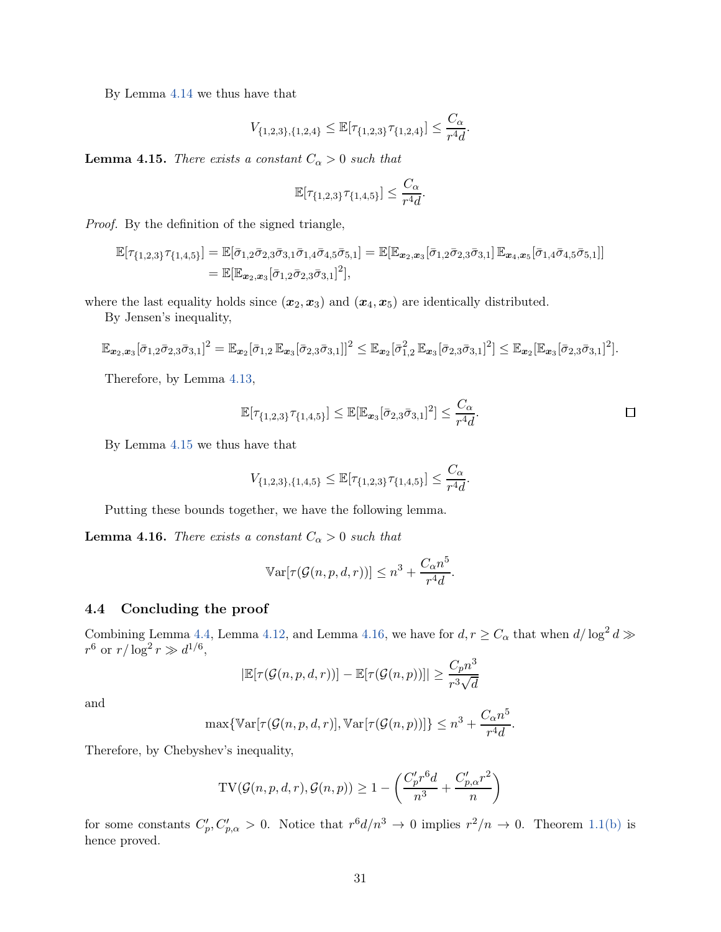By Lemma [4.14](#page-29-1) we thus have that

$$
V_{\{1,2,3\},\{1,2,4\}} \leq \mathbb{E}[\tau_{\{1,2,3\}}\tau_{\{1,2,4\}}] \leq \frac{C_{\alpha}}{r^4d}.
$$

<span id="page-30-0"></span>**Lemma 4.15.** There exists a constant  $C_{\alpha} > 0$  such that

$$
\mathbb{E}[\tau_{\{1,2,3\}}\tau_{\{1,4,5\}}] \leq \frac{C_{\alpha}}{r^4d}.
$$

Proof. By the definition of the signed triangle,

$$
\mathbb{E}[\tau_{\{1,2,3\}}\tau_{\{1,4,5\}}] = \mathbb{E}[\bar{\sigma}_{1,2}\bar{\sigma}_{2,3}\bar{\sigma}_{3,1}\bar{\sigma}_{1,4}\bar{\sigma}_{4,5}\bar{\sigma}_{5,1}] = \mathbb{E}[\mathbb{E}_{\bm{x}_2,\bm{x}_3}[\bar{\sigma}_{1,2}\bar{\sigma}_{2,3}\bar{\sigma}_{3,1}]\mathbb{E}_{\bm{x}_4,\bm{x}_5}[\bar{\sigma}_{1,4}\bar{\sigma}_{4,5}\bar{\sigma}_{5,1}]]
$$
  
=  $\mathbb{E}[\mathbb{E}_{\bm{x}_2,\bm{x}_3}[\bar{\sigma}_{1,2}\bar{\sigma}_{2,3}\bar{\sigma}_{3,1}]^2],$ 

where the last equality holds since  $(x_2, x_3)$  and  $(x_4, x_5)$  are identically distributed.

By Jensen's inequality,

$$
\mathbb{E}_{\mathbf{x}_2,\mathbf{x}_3}[\bar{\sigma}_{1,2}\bar{\sigma}_{2,3}\bar{\sigma}_{3,1}]^2 = \mathbb{E}_{\mathbf{x}_2}[\bar{\sigma}_{1,2}\,\mathbb{E}_{\mathbf{x}_3}[\bar{\sigma}_{2,3}\bar{\sigma}_{3,1}]]^2 \leq \mathbb{E}_{\mathbf{x}_2}[\bar{\sigma}_{1,2}^2\,\mathbb{E}_{\mathbf{x}_3}[\bar{\sigma}_{2,3}\bar{\sigma}_{3,1}]^2] \leq \mathbb{E}_{\mathbf{x}_2}[\mathbb{E}_{\mathbf{x}_3}[\bar{\sigma}_{2,3}\bar{\sigma}_{3,1}]^2].
$$

Therefore, by Lemma [4.13,](#page-29-0)

$$
\mathbb{E}[\tau_{\{1,2,3\}}\tau_{\{1,4,5\}}] \leq \mathbb{E}[\mathbb{E}_{\mathbf{x}_3}[\bar{\sigma}_{2,3}\bar{\sigma}_{3,1}]^2] \leq \frac{C_{\alpha}}{r^4d}.
$$

By Lemma [4.15](#page-30-0) we thus have that

$$
V_{\{1,2,3\},\{1,4,5\}} \leq \mathbb{E}[\tau_{\{1,2,3\}}\tau_{\{1,4,5\}}] \leq \frac{C_{\alpha}}{r^4d}.
$$

Putting these bounds together, we have the following lemma.

<span id="page-30-1"></span>**Lemma 4.16.** There exists a constant  $C_{\alpha} > 0$  such that

$$
\mathbb{V}\text{ar}[\tau(\mathcal{G}(n, p, d, r))] \leq n^3 + \frac{C_{\alpha}n^5}{r^4d}.
$$

## 4.4 Concluding the proof

Combining Lemma [4.4,](#page-20-2) Lemma [4.12,](#page-28-0) and Lemma [4.16,](#page-30-1) we have for  $d, r \ge C_{\alpha}$  that when  $d/\log^2 d \gg$  $r^6$  or  $r/\log^2 r \gg d^{1/6}$ ,

$$
|\mathbb{E}[\tau(\mathcal{G}(n, p, d, r))] - \mathbb{E}[\tau(\mathcal{G}(n, p))]| \ge \frac{C_p n^3}{r^3 \sqrt{d}}
$$

and

$$
\max\{\mathbb{V}\text{ar}[\tau(\mathcal{G}(n, p, d, r)], \mathbb{V}\text{ar}[\tau(\mathcal{G}(n, p))]\} \leq n^3 + \frac{C_{\alpha}n^5}{r^4d}.
$$

Therefore, by Chebyshev's inequality,

$$
\text{TV}(\mathcal{G}(n, p, d, r), \mathcal{G}(n, p)) \ge 1 - \left(\frac{C'_p r^6 d}{n^3} + \frac{C'_{p, \alpha} r^2}{n}\right)
$$

for some constants  $C_p', C_{p,\alpha}' > 0$ . Notice that  $r^6 d/n^3 \to 0$  implies  $r^2/n \to 0$ . Theorem [1.1\(b\)](#page-2-1) is hence proved.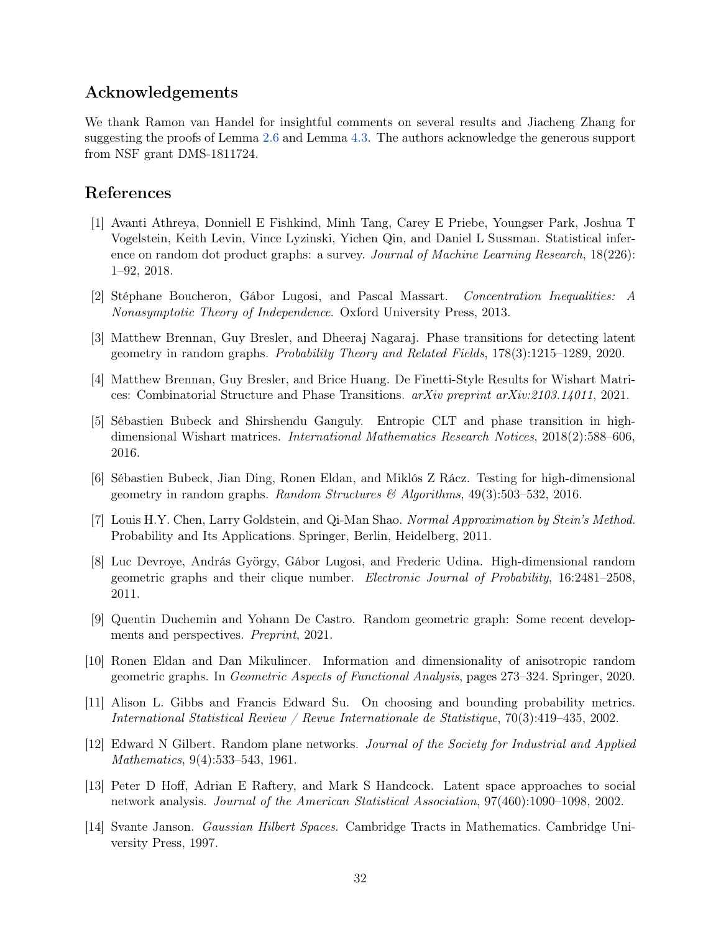## Acknowledgements

We thank Ramon van Handel for insightful comments on several results and Jiacheng Zhang for suggesting the proofs of Lemma [2.6](#page-5-0) and Lemma [4.3.](#page-16-2) The authors acknowledge the generous support from NSF grant DMS-1811724.

# References

- <span id="page-31-0"></span>[1] Avanti Athreya, Donniell E Fishkind, Minh Tang, Carey E Priebe, Youngser Park, Joshua T Vogelstein, Keith Levin, Vince Lyzinski, Yichen Qin, and Daniel L Sussman. Statistical inference on random dot product graphs: a survey. *Journal of Machine Learning Research*, 18(226): 1–92, 2018.
- <span id="page-31-12"></span>[2] Stéphane Boucheron, Gábor Lugosi, and Pascal Massart. Concentration Inequalities: A Nonasymptotic Theory of Independence. Oxford University Press, 2013.
- <span id="page-31-13"></span>[3] Matthew Brennan, Guy Bresler, and Dheeraj Nagaraj. Phase transitions for detecting latent geometry in random graphs. Probability Theory and Related Fields, 178(3):1215–1289, 2020.
- <span id="page-31-8"></span>[4] Matthew Brennan, Guy Bresler, and Brice Huang. De Finetti-Style Results for Wishart Matrices: Combinatorial Structure and Phase Transitions. arXiv preprint arXiv:2103.14011, 2021.
- <span id="page-31-6"></span>[5] Sébastien Bubeck and Shirshendu Ganguly. Entropic CLT and phase transition in highdimensional Wishart matrices. International Mathematics Research Notices, 2018(2):588–606, 2016.
- <span id="page-31-4"></span>[6] Sébastien Bubeck, Jian Ding, Ronen Eldan, and Miklós Z Rácz. Testing for high-dimensional geometry in random graphs. Random Structures & Algorithms,  $49(3):503-532$ , 2016.
- <span id="page-31-11"></span>[7] Louis H.Y. Chen, Larry Goldstein, and Qi-Man Shao. Normal Approximation by Stein's Method. Probability and Its Applications. Springer, Berlin, Heidelberg, 2011.
- <span id="page-31-3"></span>[8] Luc Devroye, András György, Gábor Lugosi, and Frederic Udina. High-dimensional random geometric graphs and their clique number. Electronic Journal of Probability, 16:2481–2508, 2011.
- <span id="page-31-5"></span>[9] Quentin Duchemin and Yohann De Castro. Random geometric graph: Some recent developments and perspectives. Preprint, 2021.
- <span id="page-31-7"></span>[10] Ronen Eldan and Dan Mikulincer. Information and dimensionality of anisotropic random geometric graphs. In Geometric Aspects of Functional Analysis, pages 273–324. Springer, 2020.
- <span id="page-31-9"></span>[11] Alison L. Gibbs and Francis Edward Su. On choosing and bounding probability metrics. International Statistical Review / Revue Internationale de Statistique, 70(3):419–435, 2002.
- <span id="page-31-1"></span>[12] Edward N Gilbert. Random plane networks. Journal of the Society for Industrial and Applied Mathematics, 9(4):533–543, 1961.
- <span id="page-31-2"></span>[13] Peter D Hoff, Adrian E Raftery, and Mark S Handcock. Latent space approaches to social network analysis. Journal of the American Statistical Association, 97(460):1090–1098, 2002.
- <span id="page-31-10"></span>[14] Svante Janson. Gaussian Hilbert Spaces. Cambridge Tracts in Mathematics. Cambridge University Press, 1997.